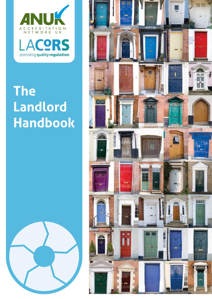

# **The** Landlord **Handbook**



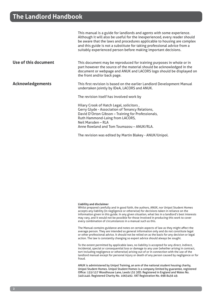|                         | This manual is a guide for landlords and agents with some experience.<br>Although it will also be useful for the inexperienced, every reader should<br>be aware that the laws and procedures applicable to housing are complex<br>and this guide is not a substitute for taking professional advice from a<br>suitably experienced person before making important decisions. |
|-------------------------|------------------------------------------------------------------------------------------------------------------------------------------------------------------------------------------------------------------------------------------------------------------------------------------------------------------------------------------------------------------------------|
| Use of this document    | This document may be reproduced for training purposes in whole or in<br>part however the source of the material should be acknowledged in the<br>document or webpage and ANUK and LACORS logo should be displayed on<br>the front and/or back page.                                                                                                                          |
| <b>Acknowledgements</b> | This first revision is based on the earlier Landlord Development Manual<br>undertaken jointly by IDeA, LACORS and ANUK.                                                                                                                                                                                                                                                      |
|                         | The revision itself has involved work by                                                                                                                                                                                                                                                                                                                                     |
|                         | Hilary Crook of Hatch Legal, solicitors,<br>Gerry Glyde - Association of Tenancy Relations,<br>David D'Orton Gibson - Training for Professionals,<br>Ruth Hammond-Laing from LACORS,<br>Neil Marsden - RLA<br>Anne Rowland and Tom Toumazou - ANUK/RLA.                                                                                                                      |
|                         | The revision was edited by Martin Blakey - ANUK/Unipol.                                                                                                                                                                                                                                                                                                                      |

#### **Liability and disclaimer**

Whilst prepared carefully and in good faith, the authors, ANUK, nor Unipol Student Homes accepts any liability (in negligence or otherwise) for decisions taken in reliance on the information given in this guide. In any given situation, what lies in a landlord's best interests may vary, and it would not be possible for those involved in producing this work to cover every combination of circumstances in a manual such as this.

The Manual contains guidance and notes on certain aspects of law as they might affect the average person. They are intended as general information only and do not constitute legal or other professional advice. It should not be relied on as the basis for any decision or legal action. The law is constantly changing so expert advice should always be sought.

To the extent permitted by applicable laws, no liability is accepted for any direct, indirect, incidental, special or consequential loss or damage to any user (whether arising in contract, tort including negligence or otherwise) arising out of or in connection with the use of the landlord manual except for personal injury or death of any person caused by negligence or for fraud.

ANUK is administered by Unipol Training, an arm of the national student housing charity, Unipol Student Homes. Unipol Student Homes is a company limited by guarantee, registered Office: 155/157 Woodhouse Lane, Leeds LS2 3ED. Registered in England and Wales No. 3401440. Registered Charity No. 1063492. VAT Registration No. 698 8456 49.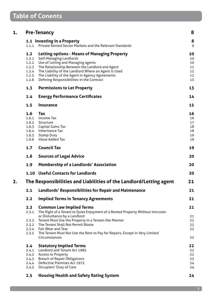| 1. |                | <b>Pre-Tenancy</b>                                                                                                 | 8      |
|----|----------------|--------------------------------------------------------------------------------------------------------------------|--------|
|    | 1.1.1          | 1.1 Investing in a Property<br>Private Rented Sector Markets and the Relevant Standards                            | 8<br>9 |
|    | 1.2            | <b>Letting options - Means of Managing Property</b>                                                                | 10     |
|    | 1.2.1          | <b>Self-Managing Landlords</b>                                                                                     | 10     |
|    | 1.2.2          | Use of Letting and Managing agents                                                                                 | 10     |
|    | 1.2.3          | The Relationship Between the Landlord and Agent                                                                    | 11     |
|    | 1.2.4          | The Liability of the Landlord Where an Agent is Used                                                               | 12     |
|    | 1.2.5          | The Liability of the Agent in Agency Agreements                                                                    | 12     |
|    | 1.2.6          | Defining Responsibilities in the Contract                                                                          | 13     |
|    | 1.3            | <b>Permissions to Let Property</b>                                                                                 | 13     |
|    | 1.4            | <b>Energy Performance Certificates</b>                                                                             | 14     |
|    | 1.5            | <b>Insurance</b>                                                                                                   | 15     |
|    | 1.6            | Тах                                                                                                                | 16     |
|    | 1.6.1          | <b>Income Tax</b>                                                                                                  | 16     |
|    | 1.6.2          | Structure                                                                                                          | 17     |
|    | 1.6.3          | Capital Gains Tax                                                                                                  | 18     |
|    | 1.6.4          | <b>Inheritance Tax</b>                                                                                             | 18     |
|    | 1.6.5          | <b>Stamp Duty</b>                                                                                                  | 19     |
|    | 1.6.6          | Value Added Tax                                                                                                    | 19     |
|    | 1.7            | <b>Council Tax</b>                                                                                                 | 19     |
|    | 1.8            | <b>Sources of Legal Advice</b>                                                                                     | 20     |
|    | 1.9            | <b>Membership of a Landlords' Association</b>                                                                      | 20     |
|    | 1.10           | <b>Useful Contacts for Landlords</b>                                                                               | 20     |
| 2. |                | The Responsibilities and Liabilities of the Landlord/Letting agent                                                 | 21     |
|    | 2.1            | <b>Landlords' Responsibilities for Repair and Maintenance</b>                                                      | 21     |
|    | 2.2            | <b>Implied Terms in Tenancy Agreements</b>                                                                         | 21     |
|    | 2.3<br>2.3.1   | <b>Common Law Implied Terms</b><br>The Right of a Tenant to Quiet Enjoyment of a Rented Property Without Intrusion | 21     |
|    |                | or Disturbance by a Landlord                                                                                       | 21     |
|    | 2.3.2          | Tenant Must Use the Property in a Tenant-like Manner                                                               | 22     |
|    | 2.3.2          | The Tenant Shall Not Permit Waste                                                                                  | 22     |
|    | 2.3.4<br>2.3.5 | Fair Wear and Tear<br>The Tenant Must Not Use the Rent to Pay for Repairs, Except in Very Limited                  | 22     |
|    |                | Circumstances                                                                                                      | 22     |
|    | $2.4^{\circ}$  | <b>Statutory Implied Terms</b>                                                                                     | 22     |
|    | 2.4.1          | Landlord and Tenant Act 1985                                                                                       | 22     |
|    | 2.4.2          | <b>Access to Property</b>                                                                                          | 22     |
|    | 2.4.3          | <b>Breach of Repair Obligations</b>                                                                                | 23     |
|    | 2.4.4          | <b>Defective Premises Act 1972</b>                                                                                 | 24     |
|    | 2.4.5          | Occupiers' Duty of Care                                                                                            | 24     |
|    | 2.5            | <b>Housing Health and Safety Rating System</b>                                                                     | 24     |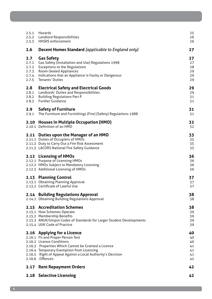| 2.5.1<br>2.5.2<br>2.5.3                          | Hazards<br>Landlord Responsibilities<br><b>HHSRS</b> enforcement                                                                                                                                                                                                                    | 25<br>26<br>26                         |
|--------------------------------------------------|-------------------------------------------------------------------------------------------------------------------------------------------------------------------------------------------------------------------------------------------------------------------------------------|----------------------------------------|
| 2.6                                              | <b>Decent Homes Standard</b> (applicable to England only)                                                                                                                                                                                                                           | 27                                     |
| 2.7<br>2.7.1<br>2.7.2<br>2.7.3<br>2.7.4<br>2.7.5 | <b>Gas Safety</b><br>Gas Safety (Installation and Use) Regulations 1998<br><b>Exceptions to the Regulations</b><br><b>Room-Sealed Appliances</b><br>Indications that an Appliance is Faulty or Dangerous<br><b>Tenants' Duties</b>                                                  | 27<br>27<br>28<br>29<br>29<br>29       |
| 2.8<br>2.8.1<br>2.8.2<br>2.8.3                   | <b>Electrical Safety and Electrical Goods</b><br>Landlords' Duties and Responsibilities<br><b>Building Regulations Part P</b><br><b>Further Guidance</b>                                                                                                                            | 29<br>29<br>31<br>31                   |
| 2.9<br>2.9.1                                     | <b>Safety of Furniture</b><br>The Furniture and Furnishings (Fire) (Safety) Regulations 1988                                                                                                                                                                                        | 31<br>31                               |
| 2.10                                             | <b>Houses in Multiple Occupation (HMO)</b><br>2.10.1 Definition of an HMO                                                                                                                                                                                                           | 32<br>32                               |
|                                                  | 2.11 Duties upon the Manager of an HMO<br>2.11.1 Duties of Occupiers of HMOs<br>2.11.2 Duty to Carry Out a Fire Risk Assessment<br>2.11.3 LACORS National Fire Safety Guidance                                                                                                      | 33<br>35<br>35<br>35                   |
|                                                  | 2.12 Licensing of HMOs<br>2.12.1 Purpose of Licensing HMOs<br>2.12.2 HMOs Subject to Mandatory Licensing<br>2.12.3 Additional Licensing of HMOs                                                                                                                                     | 36<br>36<br>36<br>36                   |
|                                                  | 2.13 Planning Control<br>2.13.1 Obtaining Planning Approval<br>2.13.2 Certificate of Lawful Use                                                                                                                                                                                     | 37<br>37<br>37                         |
|                                                  | 2.14 Building Regulations Approval<br>2.14.1 Obtaining Building Regulations Approval                                                                                                                                                                                                | 38<br>38                               |
|                                                  | 2.15 Accreditation Schemes<br>2.15.1 How Schemes Operate<br>2.15.2 Membership Benefits<br>2.15.3 ANUK/Unipol Codes of Standards for Larger Student Developments<br>2.15.4 UUK Code of Practice                                                                                      | 38<br>39<br>39<br>39<br>39             |
|                                                  | 2.16 Applying for a Licence<br>2.16.1 Fit and Proper Person Test<br>2.16.2 Licence Conditions<br>2.16.3 Properties Which Cannot be Granted a Licence<br>2.16.4 Temporary Exemption from Licensing<br>2.16.5 Right of Appeal Against a Local Authority's Decision<br>2.16.6 Offences | 40<br>40<br>40<br>41<br>41<br>41<br>42 |
|                                                  | 2.17 Rent Repayment Orders                                                                                                                                                                                                                                                          | 42                                     |
|                                                  | 2.18 Selective Licensing                                                                                                                                                                                                                                                            | 42                                     |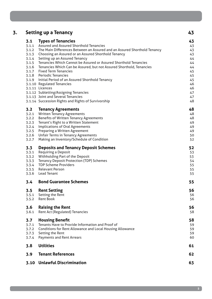| 3. |                | <b>Setting up a Tenancy</b>                                                            | 43       |
|----|----------------|----------------------------------------------------------------------------------------|----------|
|    | 3.1            | <b>Types of Tenancies</b>                                                              | 43       |
|    | 3.1.1          | Assured and Assured Shorthold Tenancies                                                | 43       |
|    | 3.1.2          | The Main Differences Between an Assured and an Assured Shorthold Tenancy               | 43       |
|    |                | 3.1.3 Choosing an Assured or an Assured Shorthold Tenancy                              | 43       |
|    |                | 3.1.4 Setting up an Assured Tenancy                                                    | 44       |
|    | 3.1.5          | Tenancies Which Cannot be Assured or Assured Shorthold Tenancies                       | 44       |
|    |                | 3.1.6 Tenancies Which Can be Assured, but not Assured Shorthold, Tenancies             | 44       |
|    |                | 3.1.7 Fixed Term Tenancies                                                             | 45       |
|    |                | 3.1.8 Periodic Tenancies                                                               | 45       |
|    |                | 3.1.9 Initial Period of an Assured Shorthold Tenancy                                   | 45       |
|    |                | 3.1.10 Regulated Tenancies                                                             | 46       |
|    |                | 3.1.11 Licences                                                                        | 46       |
|    |                | 3.1.12 Subletting/Assigning Tenancies                                                  | 47       |
|    |                | 3.1.13 Joint and Several Tenancies                                                     | 47       |
|    |                | 3.1.14 Succession Rights and Rights of Survivorship                                    | 48       |
|    | 3.2            | <b>Tenancy Agreements</b>                                                              | 48       |
|    | 3.2.1          | <b>Written Tenancy Agreements</b>                                                      | 48       |
|    | 3.2.2<br>3.2.3 | <b>Benefits of Written Tenancy Agreements</b><br>Tenant's Right to a Written Statement | 48       |
|    | 3.2.4          | <b>Implications of Oral Agreements</b>                                                 | 49<br>49 |
|    | 3.2.5          | <b>Preparing a Written Agreement</b>                                                   | 49       |
|    | 3.2.6          | <b>Unfair Terms in Tenancy Agreements</b>                                              | 50       |
|    | 3.2.7          | Making an Inventory/Schedule of Condition                                              | 52       |
|    | 3.3            | <b>Deposits and Tenancy Deposit Schemes</b>                                            | 52       |
|    | 3.3.1          | Requiring a Deposit                                                                    | 53       |
|    | 3.3.2          | Withholding Part of the Deposit                                                        | 53       |
|    | 3.3.3          | <b>Tenancy Deposit Protection (TDP) Schemes</b>                                        | 54       |
|    | 3.3.4          | <b>TDP Scheme Providers</b>                                                            | 55       |
|    |                | 3.3.5 Relevant Person                                                                  | 55       |
|    |                | 3.3.6 Lead Tenant                                                                      | 55       |
|    | 3.4            | <b>Bond Guarantee Schemes</b>                                                          | 55       |
|    | 3.5            | <b>Rent Setting</b>                                                                    | 56       |
|    | 3.5.1          | Setting the Rent                                                                       | 56       |
|    | 3.5.2          | <b>Rent Book</b>                                                                       | 56       |
|    | 3.6            | <b>Raising the Rent</b>                                                                | 56       |
|    | 3.6.1          | <b>Rent Act (Regulated) Tenancies</b>                                                  | 58       |
|    | 3.7            | <b>Housing Benefit</b>                                                                 | 58       |
|    | 3.7.1          | Tenants Have to Provide Information and Proof of                                       | 59       |
|    | 3.7.2          | <b>Conditions for Rent Allowance and Local Housing Allowance</b>                       | 59       |
|    | 3.7.3          | Setting the Rent                                                                       | 59       |
|    | 3.7.4          | <b>Payments and Rent Arrears</b>                                                       | 60       |
|    | 3.8            | <b>Utilities</b>                                                                       | 61       |
|    | 3.9            | <b>Tenant References</b>                                                               | 62       |
|    |                | 3.10 Unlawful Discrimination                                                           | 63       |
|    |                |                                                                                        |          |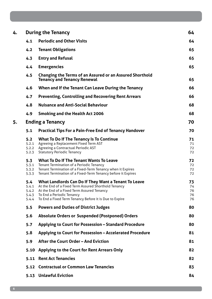| 4. |                                         | <b>During the Tenancy</b>                                                                                                                                                                                                                         | 64                         |
|----|-----------------------------------------|---------------------------------------------------------------------------------------------------------------------------------------------------------------------------------------------------------------------------------------------------|----------------------------|
|    | 4.1                                     | <b>Periodic and Other Visits</b>                                                                                                                                                                                                                  | 64                         |
|    | 4.2                                     | <b>Tenant Obligations</b>                                                                                                                                                                                                                         | 65                         |
|    | 4.3                                     | <b>Entry and Refusal</b>                                                                                                                                                                                                                          | 65                         |
|    | 4.4                                     | <b>Emergencies</b>                                                                                                                                                                                                                                | 65                         |
|    | 4.5                                     | <b>Changing the Terms of an Assured or an Assured Shorthold</b><br><b>Tenancy and Tenancy Renewal</b>                                                                                                                                             | 65                         |
|    | 4.6                                     | When and If the Tenant Can Leave During the Tenancy                                                                                                                                                                                               | 66                         |
|    | 4.7                                     | <b>Preventing, Controlling and Recovering Rent Arrears</b>                                                                                                                                                                                        | 66                         |
|    | 4.8                                     | <b>Nuisance and Anti-Social Behaviour</b>                                                                                                                                                                                                         | 68                         |
|    | 4.9                                     | <b>Smoking and the Health Act 2006</b>                                                                                                                                                                                                            | 68                         |
| 5. |                                         | <b>Ending a Tenancy</b>                                                                                                                                                                                                                           | 70                         |
|    | 5.1                                     | <b>Practical Tips For a Pain-Free End of Tenancy Handover</b>                                                                                                                                                                                     | 70                         |
|    | 5.2<br>5.2.1<br>5.2.2<br>5.2.3          | <b>What To Do If The Tenancy Is To Continue</b><br>Agreeing a Replacement Fixed Term AST<br>Agreeing a Contractual Periodic AST<br><b>Statutory Periodic Tenancy</b>                                                                              | 71<br>71<br>72<br>72       |
|    | 5.3<br>5.3.1<br>5.3.2<br>5.3.3          | <b>What To Do If The Tenant Wants To Leave</b><br><b>Tenant Termination of a Periodic Tenancy</b><br>Tenant Termination of a Fixed-Term Tenancy when it Expires<br>Tenant Termination of a Fixed-Term Tenancy before it Expires                   | 72<br>72<br>72<br>72       |
|    | 5.4<br>5.4.1<br>5.4.2<br>5.4.3<br>5.4.4 | What Landlords Can Do If They Want a Tenant To Leave<br>At the End of a Fixed Term Assured Shorthold Tenancy<br>At the End of a Fixed Term Assured Tenancy<br>To End a Periodic Tenancy<br>To End a Fixed Term Tenancy Before it is Due to Expire | 73<br>74<br>76<br>76<br>76 |
|    | 5.5                                     | <b>Powers and Duties of District Judges</b>                                                                                                                                                                                                       | 80                         |
|    | 5.6                                     | <b>Absolute Orders or Suspended (Postponed) Orders</b>                                                                                                                                                                                            | 80                         |
|    | 5.7                                     | Applying to Court for Possession - Standard Procedure                                                                                                                                                                                             | 80                         |
|    | 5.8                                     | Applying to Court for Possession - Accelerated Procedure                                                                                                                                                                                          | 81                         |
|    | 5.9                                     | After the Court Order - And Eviction                                                                                                                                                                                                              | 81                         |
|    | 5.10                                    | Applying to the Court for Rent Arrears Only                                                                                                                                                                                                       | 82                         |
|    | 5.11                                    | <b>Rent Act Tenancies</b>                                                                                                                                                                                                                         | 82                         |
|    |                                         | 5.12 Contractual or Common Law Tenancies                                                                                                                                                                                                          | 83                         |
|    |                                         | 5.13 Unlawful Eviction                                                                                                                                                                                                                            | 84                         |
|    |                                         |                                                                                                                                                                                                                                                   |                            |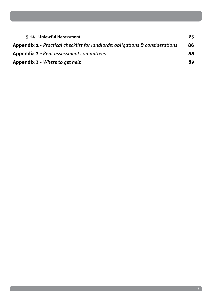| 5.14 Unlawful Harassment                                                                | 85 |
|-----------------------------------------------------------------------------------------|----|
| <b>Appendix 1 - Practical checklist for landlords: obligations &amp; considerations</b> | 86 |
| <b>Appendix 2 -</b> Rent assessment committees                                          | 88 |
| <b>Appendix 3 - Where to get help</b>                                                   | 89 |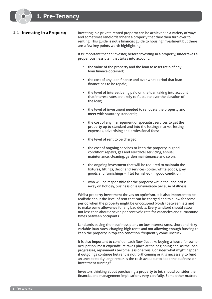# **1.1 Investing in a Property**

Investing in a private rented property can be achieved in a variety of ways and sometimes landlords inherit a property that they then turn over to renting. This guide is not a financial guide to housing investment but there are a few key points worth highlighting.

It is important that an investor, before investing in a property, undertakes a proper business plan that takes into account:

- the value of the property and the loan to asset ratio of any loan finance obtained;
- the cost of any loan finance and over what period that loan finance has to be repaid;
- the level of interest being paid on the loan taking into account that interest rates are likely to fluctuate over the duration of the loan;
- the level of investment needed to renovate the property and meet with statutory standards;
- the cost of any management or specialist services to get the property up to standard and into the lettings market, letting expenses, advertising and professional fees;
- the level of rent to be charged;
- the cost of ongoing services to keep the property in good condition: repairs, gas and electrical servicing, annual maintenance, cleaning, garden maintenance and so on;
- the ongoing investment that will be required to maintain the fixtures, fittings, decor and services (boiler, white goods, grey goods and furnishings - if let furnished) in good condition;
- who will be responsible for the property while the landlord is away on holiday, business or is unavailable because of illness.

Whilst property investment thrives on optimism, it is also important to be realistic about the level of rent that can be charged and to allow for some period when the property might be unoccupied (voids) between lets and to make some allowance for any bad debts. Every landlord should allow not less than about a seven per cent void rate for vacancies and turnaround times between occupants

Landlords basing their business plans on low interest rates, short and risky variable loan rates, charging high rents and not allowing enough funding to keep the property in top-top condition, frequently come unstuck.

It is also important to consider cash flow. Just like buying a house for owner occupation, most expenditure takes place at the beginning and, as the loan progresses, repayments become less onerous. Consider what might happen if outgoings continue but rent is not forthcoming or it is necessary to fund an unexpectedly large repair. Is the cash available to keep the business or investment running?

Investors thinking about purchasing a property to let, should consider the financial and management implications very carefully. Some other matters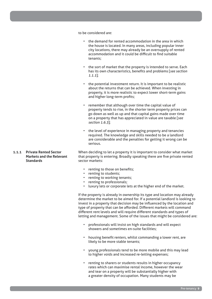to be considered are:

- the demand for rented accommodation in the area in which the house is located. In many areas, including popular inner city locations, there may already be an oversupply of rented accommodation and it could be difficult to find suitable tenants;
- the sort of market that the property is intended to serve. Each has its own characteristics, benefits and problems [*see section 1.1.1*];
- the potential investment return. It is important to be realistic about the returns that can be achieved. When investing in property, it is more realistic to expect lower short-term gains and higher long-term profits;
- remember that although over time the capital value of property tends to rise, in the shorter term property prices can go down as well as up and that capital gains made over time on a property that has appreciated in value are taxable [*see section 1.6.3*];
- the level of experience in managing property and tenancies required. The knowledge and skills needed to be a landlord are considerable and the penalties for getting it wrong can be serious.

When deciding to let a property it is important to consider what market that property is entering. Broadly speaking there are five private rented sector markets:

- renting to those on benefits;
- renting to students;
- renting to working tenants;
- renting to professionals;
- luxury lets or corporate lets at the higher end of the market.

If the property is already in ownership its type and location may already determine the market to be aimed for. If a potential landlord is looking to invest in a property that decision may be influenced by the location and type of property that can be afforded. Different markets will command different rent levels and will require different standards and types of letting and management. Some of the issues that might be considered are:

- professionals will insist on high standards and will expect showers and sometimes en-suite facilities;
- housing benefit renters, whilst commanding a lower rent, are likely to be more stable tenants;
- young professionals tend to be more mobile and this may lead to higher voids and increased re-letting expenses;
- renting to sharers or students results in higher occupancy rates which can maximise rental income, however the wear and tear on a property will be substantially higher with a greater density of occupation. Many students may be

# **1.1.1 Private Rented Sector Markets and the Relevant Standards**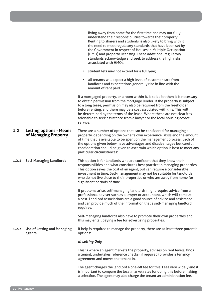|       |                                                        | living away from home for the first time and may not fully<br>understand their responsibilities towards their property.<br>Renting to sharers and students is also likely to bring with it<br>the need to meet regulatory standards that have been set by<br>the Government in respect of Houses in Multiple Occupation<br>(HMO) and property licensing. These additional regulatory<br>standards acknowledge and seek to address the high risks<br>associated with HMOs;<br>• student lets may not extend for a full year;<br>all tenants will expect a high level of customer care from<br>$\bullet$ |
|-------|--------------------------------------------------------|--------------------------------------------------------------------------------------------------------------------------------------------------------------------------------------------------------------------------------------------------------------------------------------------------------------------------------------------------------------------------------------------------------------------------------------------------------------------------------------------------------------------------------------------------------------------------------------------------------|
|       |                                                        | landlords and expectations generally rise in line with the<br>amount of rent paid.<br>If a mortgaged property, or a room within it, is to be let then it is necessary<br>to obtain permission from the mortgage lender. If the property is subject<br>to a long lease, permission may also be required from the freeholder<br>before renting, and there may be a cost associated with this. This will<br>be determined by the terms of the lease. Where these are not clear it is<br>advisable to seek assistance from a lawyer or the local housing advice<br>service.                                |
| 1.2   | <b>Letting options - Means</b><br>of Managing Property | There are a number of options that can be considered for managing a<br>property, depending on the owner's own experience, skills and the amount<br>of time that is available to be spent on the management process. Each of<br>the options given below have advantages and disadvantages but careful<br>consideration should be given to ascertain which option is best to meet any<br>particular circumstances:                                                                                                                                                                                       |
| 1.2.1 | <b>Self-Managing Landlords</b>                         | This option is for landlords who are confident that they know their<br>responsibilities and what constitutes best practice in managing properties.<br>This option saves the cost of an agent, but can require a considerable<br>investment in time. Self-management may not be suitable for landlords<br>who do not live close to their properties or who are away from home for<br>significant periods of time.                                                                                                                                                                                       |
|       |                                                        | If problems arise, self-managing landlords might require advice from a<br>professional adviser such as a lawyer or accountant, which will come at<br>a cost. Landlord associations are a good source of advice and assistance<br>and can provide much of the information that a self-managing landlord<br>requires.                                                                                                                                                                                                                                                                                    |
|       |                                                        | Self-managing landlords also have to promote their own properties and<br>this may entail paying a fee for advertising properties.                                                                                                                                                                                                                                                                                                                                                                                                                                                                      |
| 1.2.2 | <b>Use of Letting and Managing</b><br>agents           | If help is required to manage the property, there are at least three potential<br>options:                                                                                                                                                                                                                                                                                                                                                                                                                                                                                                             |
|       |                                                        | a) Letting Only                                                                                                                                                                                                                                                                                                                                                                                                                                                                                                                                                                                        |
|       |                                                        | This is where an agent markets the property, advises on rent levels, finds<br>a tenant, undertakes reference checks (if required) provides a tenancy<br>agreement and moves the tenant in.                                                                                                                                                                                                                                                                                                                                                                                                             |
|       |                                                        | The agent charges the landlord a one-off fee for this. Fees vary widely and it<br>is important to compare the local market rates for doing this before making<br>a selection. The agent may also charge the tenant an administration fee.                                                                                                                                                                                                                                                                                                                                                              |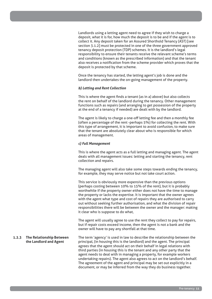Landlords using a letting agent need to agree if they wish to charge a deposit, what it is for, how much the deposit is to be and if the agent is to collect it. Any deposit taken for an Assured Shorthold Tenancy (AST) [see section 3.1.2] must be protected in one of the three government approved tenancy deposit protection (TDP) schemes. It is the landlord's legal responsibility to ensure their tenants receive the relevant scheme's terms and conditions (known as the prescribed information) and that the tenant also receives a notification from the scheme provider which proves that the deposit is protected by that scheme.

Once the tenancy has started, the letting agent's job is done and the landlord then undertakes the on-going management of the property.

# *b) Letting and Rent Collection*

This is where the agent finds a tenant (as in a) above) but also collects the rent on behalf of the landlord during the tenancy. Other management functions such as repairs (and arranging to get possession of the property at the end of a tenancy if needed) are dealt with by the landlord.

The agent is likely to charge a one-off letting fee and then a monthly fee (often a percentage of the rent -perhaps 5%) for collecting the rent. With this type of arrangement, it is important to avoid confusion, to make sure that the tenant are absolutely clear about who is responsible for which areas of management.

# *c) Full Management*

This is where the agent acts as a full letting and managing agent. The agent deals with all management issues: letting and starting the tenancy, rent collection and repairs.

The managing agent will also take some steps towards ending the tenancy, for example, they may serve notice but not take court action.

This service is obviously more expensive than the previous options (perhaps costing between 10% to 15% of the rent), but it is probably worthwhile if the property owner either does not have the time to manage the property or lacks the expertise. It is important that the owner agrees with the agent what type and cost of repairs they are authorised to carry out without seeking further authorisation, and what the division of repair responsibilities there will be between the owner and the manager: making it clear who is suppose to do what,

The agent will usually agree to use the rent they collect to pay for repairs, but if repair costs exceed income, then the agent is not a bank and the owner will have to pay any shortfall at that time.

**1.2.3 The Relationship Between the Landlord and Agent** The term 'agency' is used in law to describe the relationship between the principal, (in housing this is the landlord) and the agent. The principal agrees that the agent should act on their behalf in legal relations with third parties (in housing this is the tenant and any other party that the agent needs to deal with in managing a property, for example workers undertaking repairs). The agent also agrees to act on the landlord's behalf. The agreement of the agent and principal may be set out explicitly in a document, or may be inferred from the way they do business together.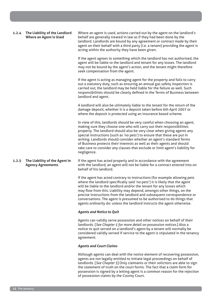| 1.2.4 | The Liability of the Landlord<br><b>Where an Agent is Used</b> | Where an agent is used, actions carried out by the agent on the landlord's<br>behalf are generally treated in law as if they had been done by the<br>landlord. Landlords are bound by any agreement or contract made by their<br>agent on their behalf with a third party (i.e. a tenant) providing the agent is<br>acting within the authority they have been given.                                                                                                                                                                                        |
|-------|----------------------------------------------------------------|--------------------------------------------------------------------------------------------------------------------------------------------------------------------------------------------------------------------------------------------------------------------------------------------------------------------------------------------------------------------------------------------------------------------------------------------------------------------------------------------------------------------------------------------------------------|
|       |                                                                | If the agent agrees to something which the landlord has not authorised, the<br>agent will be liable to the landlord and tenant for any losses. The landlord<br>may not be bound by the agent's action, and the tenant might therefore<br>seek compensation from the agent.                                                                                                                                                                                                                                                                                   |
|       |                                                                | If the agent is acting as managing agent for the property and fails to carry<br>out a statutory duty, such as ensuring an annual gas safety inspection is<br>carried out, the landlord may be held liable for the failure as well. Such<br>responsibilities should be clearly defined in the Terms of Business between<br>landlord and agent.                                                                                                                                                                                                                |
|       |                                                                | A landlord will also be ultimately liable to the tenant for the return of the<br>damage deposit, whether it is a deposit taken before 6th April 2007 or<br>where the deposit is protected using an insurance based scheme.                                                                                                                                                                                                                                                                                                                                   |
|       |                                                                | In view of this, landlords should be very careful when choosing an agent,<br>making sure they choose one who will carry out their responsibilities<br>properly. The landlord should also be very clear when giving agents any<br>special instructions (such as 'no pets') to ensure that these are put in<br>writing. Landlords should consider whether an agent's standard Terms<br>of Business protects their interests as well as their agents and should<br>take care to consider any clauses that exclude or limit agent's liability for<br>negligence. |
| 1.2.5 | The Liability of the Agent in<br><b>Agency Agreements</b>      | If the agent has acted properly and in accordance with the agreement<br>with the landlord, an agent will not be liable for a contract entered into on<br>behalf of his landlord.                                                                                                                                                                                                                                                                                                                                                                             |
|       |                                                                | If the agent has acted contrary to instructions (for example allowing pets<br>where the landlord specifically said 'no pets') it is likely that the agent<br>will be liable to the landlord and/or the tenant for any losses which<br>may flow from this. Liability may depend, amongst other things, on the<br>precise instructions from the landlord and subsequent correspondence or<br>conversations. The agent is presumed to be authorised to do things that<br>agents ordinarily do: unless the landlord instructs the agent otherwise.               |
|       |                                                                | <b>Agents and Notice to Quit</b>                                                                                                                                                                                                                                                                                                                                                                                                                                                                                                                             |
|       |                                                                | Agents can validly serve possession and other notices on behalf of their<br>landlords. [See Chapter 5 for more detail on possession notices.] Also a<br>notice to quit served on a landlord's agent by a tenant will normally be<br>considered validly served if service to the agent is stipulated in the tenancy<br>agreement.                                                                                                                                                                                                                             |
|       |                                                                | <b>Agents and Court Claims</b>                                                                                                                                                                                                                                                                                                                                                                                                                                                                                                                               |
|       |                                                                | Although agents can deal with the notice element of recovering possession,<br>agents are not legally entitled to initiate legal proceedings on behalf of<br>landlords. [See Chapter 5] Only claimants or their solicitors are able to sign<br>the statement of truth on the court forms. The fact that a claim form for<br>possession is signed by a letting agent is a common reason for the rejection                                                                                                                                                      |

of possession claims by the County Court.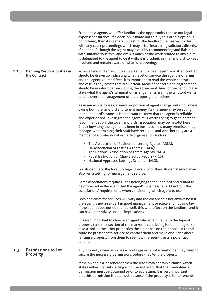Frequently, agents will offer landlords the opportunity to take out legal expenses insurance. If a decision is made not to buy this or this option is not offered, then it is generally best for the landlord themselves to deal with any court proceedings which may arise, instructing solicitors directly, if needed. Although the agent may assist by recommending and liaising with suitable solicitors, and even if much of the work related to any claim is delegated to the agent to deal with, it is prudent, as the landlord, to keep involved and remain aware of what is happening.

**1.2.6 Defining Responsibilities in the Contract** When a landlord enters into an agreement with an agent, a written contract should be drawn up indicating what level of service the agent is offering and the agent's agreed fees. It is important to read the whole contract and discuss any points that are unclear. Areas of concern or disagreement should be resolved before signing the agreement. Any contract should also state what the agent's termination arrangements are if the landlord wants to take over the management of the property themselves.

> As in many businesses, a small proportion of agents can go out of business owing both the landlord and tenant money. As the agent may be acting in the landlord's name, it is important to know that the agent is reliable and experienced. Investigate the agent: it is worth trying to get a personal recommendation (the local landlords' association may be helpful here). Check how long the agent has been in business, how many premises they manage, what training their staff have received, and whether they are a member of a professional or trade organisation such as:

- The Association of Residential Letting Agents (ARLA);
- UK Association of Letting Agents (UKALA);
- The National Association of Estate Agents (NAEA);
- Royal Institution of Chartered Surveyors (RICS);
- National Approved Lettings Scheme (NALS).

For student lets, the local College, University or their students' union may also run a lettings or management service.

Some associations require funds belonging to the landlord and tenant to be protected in the event that the agent's business fails. Check out the associations' requirements when considering which agent to use.

Fees and costs for services will vary and the cheapest is not always best if the agent is not an expert in good management practice and housing law. If the agent does not do the job well, this will reflect on the landlord, and it can have potentially serious implications.

It is also important to choose an agent who is familiar with the type of property (and that section of the market) that is being let or managed, so take a look at the other properties the agent has on their books. A friend could be pressed into service to contact them and make enquiries about renting a property from them to see how the agent treats a potential tenant.

# **1.3 Permissions to Let Property**

Any property owner who has a mortgage or is not a freeholder may need to secure the necessary permissions before they let the property.

If the owner is a leaseholder then the lease may contain a clause which states either that sub-letting is not permitted or that the freeholder's permission must be obtained prior to subletting. It is very important that this permission is obtained, because if the property is let to tenants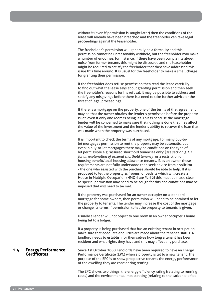without it (even if permission is sought later) then the conditions of the lease will already have been breached and the freeholder can take legal proceedings against the leaseholder.

The freeholder's permission will generally be a formality and this permission cannot be unreasonably withheld, but the freeholder may make a number of enquiries, for instance, if there have been complaints about noise from former tenants this might be discussed and the leaseholder might be required to satisfy the freeholder that they have addressed this issue this time around. It is usual for the freeholder to make a small charge for granting their permission.

If the freeholder does refuse permission then read the lease carefully to find out what the lease says about granting permission and then seek the freeholder's reasons for his refusal. It may be possible to address and satisfy any misgivings before there is a need to take further advice or the threat of legal proceedings.

If there is a mortgage on the property, one of the terms of that agreement may be that the owner obtains the lender's permission before the property is let, even if only one room is being let. This is because the mortgage lender will be concerned to make sure that nothing is done that may affect the value of the investment and the lender's ability to recover the loan that was made when the property was purchased.

It is important to check the terms of any mortgage. For many buy-tolet mortgages permission to rent the property may be automatic, but even in buy-to-let mortgages there may be conditions on the type of let permissible e.g. 'assured shorthold tenancies only' [*see section 3.1.2 for an explanation of assured shorthold tenancy*] or a restriction on housing benefit/local housing allowance tenants. If, as an owner, these requirements are not fully understood then seek advice from a solicitor - the one who assisted with the purchase should be able to help. If it is proposed to let the property as 'rooms' or bedsits which will create a House in Multiple Occupation (HMO) [*see Part 2*] this must be made clear as special permission may need to be sough for this and conditions may be imposed that will need to be met.

If the property was purchased for an owner-occupier on a standard mortgage for home owners, then permission will need to be obtained to let the property to tenants. The lender may increase the cost of the mortgage or change its terms if permission to let the property to tenants is given.

Usually a lender will not object to one room in an owner occupier's home being let to a lodger.

If a property is being purchased that has an existing tenant in occupation make sure that adequate enquiries are made about the tenant's status. A landlord needs to establish for themselves how long a tenant has been resident and what rights they have and this may affect any purchase.

#### **1.4 Energy Performance Certificates** Since 1st October 2008, landlords have been required to have an Energy Performance Certificate (EPC) when a property is let to a new tenant. The purpose of the EPC is to show prospective tenants the energy performance of the dwelling they are considering renting.

The EPC shows two things; the energy efficiency rating (relating to running costs) and the environmental impact rating (relating to the carbon dioxide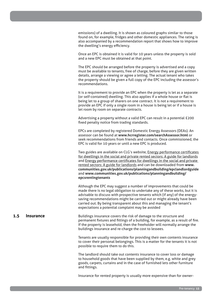emissions) of a dwelling. It is shown as coloured graphs similar to those found on, for example, fridges and other domestic appliances. The rating is also accompanied by a recommendation report that shows how to improve the dwelling's energy efficiency.

Once an EPC is obtained it is valid for 10 years unless the property is sold and a new EPC must be obtained at that point.

The EPC should be arranged before the property is advertised and a copy must be available to tenants, free of charge, before they are given written details, arrange a viewing or agree a letting. The actual tenant who takes the property should be given a full copy of the EPC including the assessor's recommendations.

It is a requirement to provide an EPC when the property is let as a separate (or self-contained) dwelling. This also applies if a whole house or flat is being let to a group of sharers on one contract. It is not a requirement to provide an EPC if only a single room in a house is being let or if a house is let room by room on separate contracts.

Advertising a property without a valid EPC can result in a potential £200 fixed penalty notice from trading standards.

EPCs are completed by registered Domestic Energy Assessors (DEAs). An assessor can be found at **www.hcrregister.com/searchAssessor.html** or seek recommendations from friends and contacts. Once commissioned, the EPC is valid for 10 years or until a new EPC is produced.

Two guides are available on CLG's website, **Energy performance certificates** for dwellings in the social and private rented sectors: A guide for landlords and Energy performance certificates for dwellings in the social and private rented sectors: A guide for landlords and can be downloaded from **www. communities.gov.uk/publications/planningandbuilding/epclandlordguide** and **www.communities.gov.uk/publications/planningandbuilding/ epcsrentingtenants**

Although the EPC may suggest a number of improvements that could be made there is no legal obligation to undertake any of these works, but it is advisable to discuss with prospective tenants which (if any) of the energysaving recommendations might be carried out or might already have been carried out. By being transparent about this and managing the tenant's expectations a potential complaint may be avoided

# **1.5 Insurance**

Buildings insurance covers the risk of damage to the structure and permanent fixtures and fittings of a building, for example, as a result of fire. If the property is leasehold, then the freeholder will normally arrange the buildings insurance and re-charge the cost to lessees.

Tenants are usually responsible for providing their own contents insurance to cover their personal belongings. This is a matter for the tenants it is not possible to require them to do this.

The landlord should take out contents insurance to cover loss or damage to household goods that have been supplied by them, e.g. white and grey goods, carpets, curtains and in the case of furnished lets other furniture and fittings.

Insurance for rented property is usually more expensive than for owner-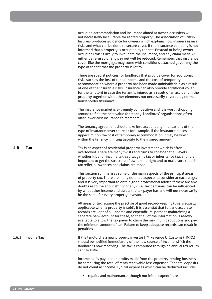|       |                   | occupied accommodation and insurance aimed at owner-occupiers will<br>not necessarily be suitable for rented property. The Association of British<br>Insurers produces guidance for owners which explains how insurers assess<br>risks and what can be done to secure cover. If the insurance company is not<br>informed that a property is occupied by tenants (instead of being owner-<br>occupied) this is likely to invalidate the insurance, and any claim made will<br>either be refused or any pay out will be reduced. Remember, that insurance<br>cover, like the mortgage, may come with conditions attached governing the<br>type of tenant that the property is let to. |
|-------|-------------------|-------------------------------------------------------------------------------------------------------------------------------------------------------------------------------------------------------------------------------------------------------------------------------------------------------------------------------------------------------------------------------------------------------------------------------------------------------------------------------------------------------------------------------------------------------------------------------------------------------------------------------------------------------------------------------------|
|       |                   | There are special policies for landlords that provide cover for additional<br>risks such as the loss of rental income and the cost of temporary<br>accommodation where a property has been made uninhabitable as a result<br>of one of the insurable risks. Insurance can also provide additional cover<br>for the landlord in case the tenant is injured as a result of an accident in the<br>property together with other elements not necessarily covered by normal<br>householder insurance.                                                                                                                                                                                    |
|       |                   | The insurance market is extremely competitive and it is worth shopping<br>around to find the best value for money. Landlords' organisations often<br>offer lower cost insurance to members.                                                                                                                                                                                                                                                                                                                                                                                                                                                                                         |
|       |                   | The tenancy agreement should take into account any implications of the<br>type of insurance cover there is: for example, if the insurance places an<br>upper limit on the cost of temporary accommodation it may be worth,<br>within the tenancy, limiting liability to the insured amount.                                                                                                                                                                                                                                                                                                                                                                                         |
| 1.6   | Тах               | Tax is an aspect of residential property investment which is often<br>overlooked. There are many twists and turns to consider at all levels,<br>whether it be for income tax, capital gains tax or inheritance tax, and it is<br>important to get the structure of ownership right and to make sure that all<br>tax relief, allowances and claims are made.                                                                                                                                                                                                                                                                                                                         |
|       |                   | This section summarises some of the main aspects of the principal areas<br>of property tax. There are many detailed aspects to consider at each stage,<br>and it is very important to obtain good professional advice if there are any<br>doubts as to the applicability of any rule. Tax decisions can be influenced<br>by what other income and assets the tax payer has and will not necessarily<br>be the same for every property investor.                                                                                                                                                                                                                                     |
|       |                   | All areas of tax require the practise of good record-keeping (this is equally<br>applicable when a property is sold). It is essential that full and accurate<br>records are kept of all income and expenditure, perhaps maintaining a<br>separate bank account for these, so that all of the information is readily<br>available to allow the tax payer to claim the maximum deductions and pay<br>the minimum amount of tax. Failure to keep adequate records can result in<br>penalties.                                                                                                                                                                                          |
| 1.6.1 | <b>Income Tax</b> | If the landlord is a new property investor HM Revenue & Customs (HMRC)<br>should be notified immediately of the new source of income which the<br>landlord is now receiving. The tax is computed through an annual tax return<br>sent to HMRC.                                                                                                                                                                                                                                                                                                                                                                                                                                      |
|       |                   | Income tax is payable on profits made from the property-renting business<br>by computing the total of rents receivable less expenses. Tenants' deposits<br>do not count as income. Typical expenses which can be deducted include:                                                                                                                                                                                                                                                                                                                                                                                                                                                  |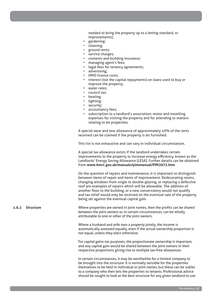needed to bring the property up to a letting standard, or improvements);

- gardening;
- cleaning;
- ground rents;
- service charges;
- contents and building insurance;
- managing agent's fees;
- legal fees for tenancy agreements;
- advertising;
- HMO licence costs;
- interest (not the capital repayments) on loans used to buy or improve the property;
- water rates;
- council tax;
- heating;
- lighting;
- security;
- accountancy fees;
- subscription to a landlord's association; motor and travelling expenses for visiting the property and for attending to matters relating to let properties.

A special wear and tear allowance of approximately 10% of the rents received can be claimed if the property is let furnished.

This list is not exhaustive and can vary in individual circumstances.

A special tax allowance exists if the landlord undertakes certain improvements to the property to increase energy efficiency, known as the Landlords' Energy Saving Allowance (LESA). Further details can be obtained from **www.hmrc.gov.uk/manuals/pimmanual/PIM2072.htm**

On the question of repairs and maintenance, it is important to distinguish between items of repair and items of improvement. Redecorating rooms, changing windows from single to double-glazing, or replacing a defective roof are examples of repairs which will be allowable. The addition of another floor to the building, or a new conservatory would not qualify and tax relief would only be received on the eventual sale of the property, being set against the eventual capital gain.

**1.6.2 Structure** Where properties are owned in joint names, then the profits can be shared between the joint owners or, in certain circumstances, can be wholly attributable to one or other of the joint owners.

> Where a husband and wife own a property jointly, the income is automatically assessed equally, even if the actual ownership proportion is not equal, unless they elect otherwise.

For capital gains tax purposes, the proportionate ownership is important, and any capital gain would be shared between the joint owners in their respective proportions giving rise to multiple tax-free allowances.

In certain circumstances, it may be worthwhile for a limited company to be brought into the structure. It is normally sensible for the properties themselves to be held in individual or joint names, but these can be sublet to a company who then lets the properties to tenants. Professional advice should be sought to look at the best structure for any given landlord to use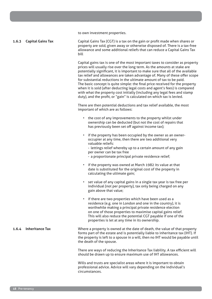to own investment properties.

#### **1.6.3 Capital Gains Tax**

Capital Gains Tax (CGT) is a tax on the gain or profit made when shares or property are sold, given away or otherwise disposed of. There is a tax-free allowance and some additional reliefs that can reduce a Capital Gains Tax bill

Capital gains tax is one of the most important taxes to consider as property prices will usually rise over the long term. As the amounts at stake are potentially significant, it is important to make sure that all of the available tax relief and allowances are taken advantage of. Many of these offer scope for substantial reductions in the ultimate amount of tax to be paid. The basic concept is quite simple: the final price received for the property when it is sold (after deducting legal costs and agent's fees) is compared with what the property cost initially (including any legal fees and stamp duty), and the profit, or "gain" is calculated on which tax is levied.

There are then potential deductions and tax relief available, the most important of which are as follows:

- the cost of any improvements to the property whilst under ownership can be deducted (but not the cost of repairs that has previously been set off against income tax);
- if the property has been occupied by the owner as an owneroccupier at any time, then there are two additional very valuable reliefs:
	- lettings relief whereby up to a certain amount of any gain per owner can be tax free
	- a proportionate principal private residence relief;
- if the property was owned at March 1982 its value at that date is substituted for the original cost of the property in calculating the ultimate gain;
- set value of any capital gains in a single tax year is tax free per individual (not per property), tax only being charged on any gain above that value;
- if there are two properties which have been used as a residence (e.g. one in London and one in the country), it is worthwhile making a principal private residence election on one of those properties to maximise capital gains relief. This will also reduce the potential CGT payable if one of the properties is let at any time in its ownership.
- **1.6.4 Inheritance Tax** Where a property is owned at the date of death, the value of that property forms part of the estate and is potentially liable to inheritance tax (IHT). If the property is left to a spouse in a will, then no IHT would be payable until the death of the spouse.

There are ways of reducing the Inheritance Tax liability. A tax efficient will should be drawn up to ensure maximum use of IHT allowances.

Wills and trusts are specialist areas where it is important to obtain professional advice. Advice will vary depending on the individual's circumstances.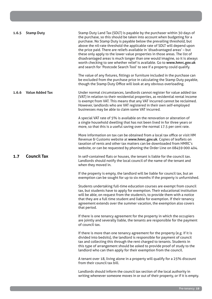| 1.6.5 | <b>Stamp Duty</b>      | Stamp Duty Land Tax (SDLT) is payable by the purchaser within 30 days of<br>the purchase, so this should be taken into account when budgeting for a<br>purchase. No Stamp Duty is payable below the prevailing threshold, but<br>above the nil-rate threshold the applicable rate of SDLT will depend upon<br>the price paid. There are reliefs available in 'disadvantaged areas' - but<br>these only apply to the lower value properties in those areas. The list of<br>disadvantaged areas is much longer than one would imagine, so it is always<br>worth checking to see whether relief is available. Go to www.hmrc.gov.uk<br>and search for 'Postcode Search Tool' to see if a property could qualify. |
|-------|------------------------|---------------------------------------------------------------------------------------------------------------------------------------------------------------------------------------------------------------------------------------------------------------------------------------------------------------------------------------------------------------------------------------------------------------------------------------------------------------------------------------------------------------------------------------------------------------------------------------------------------------------------------------------------------------------------------------------------------------|
|       |                        | The value of any fixtures, fittings or furniture included in the purchase can<br>be excluded from the purchase price in calculating the Stamp Duty payable,<br>though the Stamp Duty Office will look at any obvious overloading.                                                                                                                                                                                                                                                                                                                                                                                                                                                                             |
| 1.6.6 | <b>Value Added Tax</b> | Under normal circumstances, landlords cannot register for value added tax<br>(VAT) in relation to their residential properties, as residential rental income<br>is exempt from VAT. This means that any VAT incurred cannot be reclaimed.<br>However, landlords who are VAT registered in their own self-employed<br>businesses may be able to claim some VAT incurred.                                                                                                                                                                                                                                                                                                                                       |
|       |                        | A special VAT rate of 5% is available on the renovation or alteration of<br>a single household dwelling that has not been lived in for three years or<br>more, so that this is a useful saving over the normal 17.5 per cent rate.                                                                                                                                                                                                                                                                                                                                                                                                                                                                            |
|       |                        | More information on tax can be obtained from a local tax office or visit HM<br>Revenue & Customs website at www.hmrc.gov.uk. Copies of leaflets on<br>taxation of rents and other tax matters can be downloaded from HMRC's<br>website, or can be requested by phoning the Order Line on 08459 000 404.                                                                                                                                                                                                                                                                                                                                                                                                       |
| 1.7   | <b>Council Tax</b>     | In self-contained flats or houses, the tenant is liable for the council tax.<br>Landlords should notify the local council of the name of the tenant and<br>when they moved in.                                                                                                                                                                                                                                                                                                                                                                                                                                                                                                                                |
|       |                        | If the property is empty, the landlord will be liable for council tax, but an<br>exemption can be sought for up to six months if the property is unfurnished.                                                                                                                                                                                                                                                                                                                                                                                                                                                                                                                                                 |
|       |                        | Students undertaking full-time education courses are exempt from council<br>tax, but students have to apply for exemption. Their educational institution<br>will be able, on request from the student/s, to provide them with a notice<br>that they are a full time student and liable for exemption. If their tenancy<br>agreement extends over the summer vacation, the exemption also covers<br>that period.                                                                                                                                                                                                                                                                                               |
|       |                        | If there is one tenancy agreement for the property in which the occupiers<br>are jointly and severally liable, the tenants are responsible for the payment<br>of council tax.                                                                                                                                                                                                                                                                                                                                                                                                                                                                                                                                 |
|       |                        | If there is more than one tenancy agreement for the property (e.g. if it is<br>divided into bedsits), the landlord is responsible for payment of council<br>tax and collecting this through the rent charged to tenants. Students in<br>this type of arrangement should be asked to provide proof of study to the<br>landlord who can then apply for their exemption from the council.                                                                                                                                                                                                                                                                                                                        |
|       |                        | A tenant over 18, living alone in a property will qualify for a 25% discount<br>from their council tax bill.                                                                                                                                                                                                                                                                                                                                                                                                                                                                                                                                                                                                  |
|       |                        | Landlords should inform the council tax section of the local authority in<br>writing whenever someone moves in or out of their property, or if it is empty.                                                                                                                                                                                                                                                                                                                                                                                                                                                                                                                                                   |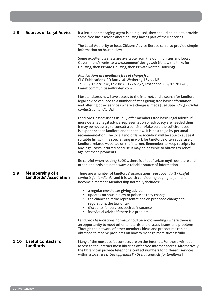| 1.8  | <b>Sources of Legal Advice</b>                   | If a letting or managing agent is being used, they should be able to provide<br>some free basic advice about housing law as part of their services.                                                                                                                                                                                                                                                                                                                                                                                                                                                                                                      |
|------|--------------------------------------------------|----------------------------------------------------------------------------------------------------------------------------------------------------------------------------------------------------------------------------------------------------------------------------------------------------------------------------------------------------------------------------------------------------------------------------------------------------------------------------------------------------------------------------------------------------------------------------------------------------------------------------------------------------------|
|      |                                                  | The Local Authority or local Citizens Advice Bureau can also provide simple<br>information on housing law.                                                                                                                                                                                                                                                                                                                                                                                                                                                                                                                                               |
|      |                                                  | Some excellent leaflets are available from the Communities and Local<br>Government's website www.communities.gov.uk (follow the links for<br>Housing, then Private Housing, then Private Rented Housing).                                                                                                                                                                                                                                                                                                                                                                                                                                                |
|      |                                                  | Publications are available free of charge from:<br>CLG Publications, PO Box 236, Wetherby, LS23 7NB<br>Tel: 0870 1226 236, Fax: 0870 1226 237, Textphone: 0870 1207 405<br>Email: communities@twoten.com                                                                                                                                                                                                                                                                                                                                                                                                                                                 |
|      |                                                  | Most landlords now have access to the internet, and a search for landlord<br>legal advice can lead to a number of sites giving free basic information<br>and offering other services where a charge is made [See appendix 3 - Useful<br>contacts for landlords.]                                                                                                                                                                                                                                                                                                                                                                                         |
|      |                                                  | Landlords' associations usually offer members free basic legal advice. If<br>more detailed legal advice, representation or advocacy are needed then<br>it may be necessary to consult a solicitor. Make sure the solicitor used<br>is experienced in landlord and tenant law. It is best to go by personal<br>recommendation. The local landlords' association will be able to suggest<br>suitable firms. Firms specialising in work for landlords often advertise on<br>landlord-related websites on the internet. Remember to keep receipts for<br>any legal costs incurred because it may be possible to obtain tax relief<br>against these payments. |
|      |                                                  | Be careful when reading BLOGs: there is a lot of urban myth out there and<br>other landlords are not always a reliable source of information.                                                                                                                                                                                                                                                                                                                                                                                                                                                                                                            |
| 1.9  | Membership of a<br><b>Landlords' Association</b> | There are a number of landlords' associations [see appendix 3 - Useful<br>contacts for landlords] and it is worth considering paying to join and<br>become a member. Membership normally includes:                                                                                                                                                                                                                                                                                                                                                                                                                                                       |
|      |                                                  | a regular newsletter giving advice;<br>updates on housing law or policy as they change;<br>the chance to make representations on proposed changes to<br>regulations, the law or tax;<br>discounts for services such as insurance;<br>individual advice if there is a problem.                                                                                                                                                                                                                                                                                                                                                                            |
|      |                                                  | Landlords Associations normally hold periodic meetings where there is<br>an opportunity to meet other landlords and discuss issues and problems.<br>Through the network of other members ideas and procedures can be<br>obtained to resolve problems on how to manage more successfully.                                                                                                                                                                                                                                                                                                                                                                 |
| 1.10 | <b>Useful Contacts for</b><br><b>Landlords</b>   | Many of the most useful contacts are on the internet. For those without<br>access to the internet most libraries offer free internet access. Alternatively<br>the library can provide telephone contact numbers for different services<br>within a local area. [See appendix 3 - Useful contacts for landlords].                                                                                                                                                                                                                                                                                                                                         |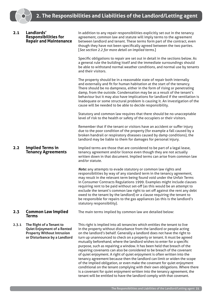| 2.1   | Landlords'<br><b>Responsibilities for</b><br><b>Repair and Maintenance</b>                                                          | In addition to any repair responsibilities explicitly set out in the tenancy<br>agreement, common law and statute will imply terms to the agreement<br>between landlord and tenant. These terms form part of the contract, even<br>though they have not been specifically agreed between the two parties.<br>[See section 2.2 for more detail on implied terms.]<br>Specific obligations to repair are set out in detail in the sections below. As<br>a general rule the building itself and the immediate surroundings should<br>be able to withstand normal weather conditions, and normal use by tenants<br>and their visitors.                                                                                                                                                                                                                                                                                                                                                                                       |
|-------|-------------------------------------------------------------------------------------------------------------------------------------|--------------------------------------------------------------------------------------------------------------------------------------------------------------------------------------------------------------------------------------------------------------------------------------------------------------------------------------------------------------------------------------------------------------------------------------------------------------------------------------------------------------------------------------------------------------------------------------------------------------------------------------------------------------------------------------------------------------------------------------------------------------------------------------------------------------------------------------------------------------------------------------------------------------------------------------------------------------------------------------------------------------------------|
|       |                                                                                                                                     | The property should be in a reasonable state of repair both internally<br>and externally and fit for human habitation at the start of the tenancy.<br>There should be no dampness, either in the form of rising or penetrating<br>damp, from the outside. Condensation may be as a result of the tenant's<br>behaviour but it may also have implications for landlord if the ventilation is<br>inadequate or some structural problem is causing it. An investigation of the<br>cause will be needed to be able to decide responsibility.                                                                                                                                                                                                                                                                                                                                                                                                                                                                                 |
|       |                                                                                                                                     | Statutory and common law requires that there should be no unacceptable<br>level of risk to the health or safety of the occupiers or their visitors.                                                                                                                                                                                                                                                                                                                                                                                                                                                                                                                                                                                                                                                                                                                                                                                                                                                                      |
|       |                                                                                                                                     | Remember that if the tenant or visitors have an accident or suffer injury<br>due to the poor condition of the property (for example a fall caused by a<br>broken handrail or respiratory diseases caused by damp conditions), the<br>landlord may be liable to them for damages for personal injury.                                                                                                                                                                                                                                                                                                                                                                                                                                                                                                                                                                                                                                                                                                                     |
| 2.2   | <b>Implied Terms in</b><br><b>Tenancy Agreements</b>                                                                                | Implied terms are those that are considered to be part of a legal lease,<br>tenancy agreement and/or licence even though they are not actually<br>written down in that document. Implied terms can arise from common law<br>and/or statute.                                                                                                                                                                                                                                                                                                                                                                                                                                                                                                                                                                                                                                                                                                                                                                              |
|       |                                                                                                                                     | Note: any attempts to evade statutory or common law rights and<br>responsibilities by way of any standard term in the tenancy agreement,<br>may result in the relevant term being found void under the Unfair Terms<br>in Consumer Contracts Regulations 1999. Examples might include clauses<br>requiring rent to be paid without set-off (as this would be an attempt to<br>exclude the tenant's common law right to set off against the rent any debt<br>owed to the tenant by the landlord) or a clause requiring the tenant to<br>be responsible for repairs to the gas appliances (as this is the landlord's<br>statutory responsibility).                                                                                                                                                                                                                                                                                                                                                                         |
| 2.3   | <b>Common Law Implied</b><br><b>Terms</b>                                                                                           | The main terms implied by common law are detailed below:                                                                                                                                                                                                                                                                                                                                                                                                                                                                                                                                                                                                                                                                                                                                                                                                                                                                                                                                                                 |
| 2.3.1 | The Right of a Tenant to<br><b>Quiet Enjoyment of a Rented</b><br><b>Property Without Intrusion</b><br>or Disturbance by a Landlord | This right is implied into all tenancies which entitles the tenant to live<br>in the property without disturbance from the landlord or people acting<br>on the landlord's behalf. Generally a landlord does not have the right to<br>turn up unannounced to check on a property or tenant. It must be agreed<br>mutually beforehand, where the landlord wishes to enter for a specific<br>purpose, such as repairing a window. It has been held that breach of the<br>repairing covenants can also be considered to be breach of the covenant<br>of quiet enjoyment. A right of quiet enjoyment is often written into the<br>tenancy agreement because then the landlord can limit or widen the scope<br>of the implied obligation, or even make the covenant for quiet enjoyment<br>conditional on the tenant complying with their own obligations. Where there<br>is a covenant for quiet enjoyment written into the tenancy agreement, the<br>tenant will be entitled to have the landlord comply with that covenant. |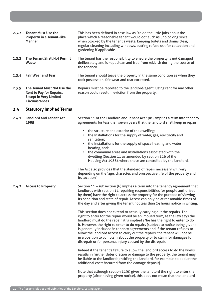| 2.3.2 | <b>Tenant Must Use the</b><br><b>Property in a Tenant-like</b><br><b>Manner</b>                                         | This has been defined in case law as "to do the little jobs about the<br>place which a reasonable tenant would do" such as unblocking sinks<br>when blocked by the tenant's waste, keeping toilets and drains clear,<br>regular cleaning including windows, putting refuse out for collection and<br>gardening if applicable.                                                                                                                                                                                                                                                                                             |
|-------|-------------------------------------------------------------------------------------------------------------------------|---------------------------------------------------------------------------------------------------------------------------------------------------------------------------------------------------------------------------------------------------------------------------------------------------------------------------------------------------------------------------------------------------------------------------------------------------------------------------------------------------------------------------------------------------------------------------------------------------------------------------|
| 2.3.3 | <b>The Tenant Shall Not Permit</b><br><b>Waste</b>                                                                      | The tenant has the responsibility to ensure the property is not damaged<br>deliberately and is kept clean and free from rubbish during the course of<br>the tenancy.                                                                                                                                                                                                                                                                                                                                                                                                                                                      |
| 2.3.4 | <b>Fair Wear and Tear</b>                                                                                               | The tenant should leave the property in the same condition as when they<br>took possession, fair wear and tear excepted.                                                                                                                                                                                                                                                                                                                                                                                                                                                                                                  |
| 2.3.5 | The Tenant Must Not Use the<br><b>Rent to Pay for Repairs,</b><br><b>Except in Very Limited</b><br><b>Circumstances</b> | Repairs must be reported to the landlord/agent. Using rent for any other<br>reason could result in eviction from the property.                                                                                                                                                                                                                                                                                                                                                                                                                                                                                            |
| 2.4   | <b>Statutory Implied Terms</b>                                                                                          |                                                                                                                                                                                                                                                                                                                                                                                                                                                                                                                                                                                                                           |
| 2.4.1 | <b>Landlord and Tenant Act</b><br>1985                                                                                  | Section 11 of the Landlord and Tenant Act 1985 implies a term into tenancy<br>agreements for less than seven years that the landlord shall keep in repair:                                                                                                                                                                                                                                                                                                                                                                                                                                                                |
|       |                                                                                                                         | • the structure and exterior of the dwelling;<br>• the installations for the supply of water, gas, electricity and<br>sanitation;<br>the installations for the supply of space heating and water<br>heating, and;<br>the communal areas and installations associated with the<br>dwelling (Section 11 as amended by section 116 of the<br>Housing Act 1988), where these are controlled by the landlord.<br>The Act also provides that the standard of repair necessary will vary                                                                                                                                         |
|       |                                                                                                                         | depending on the 'age, character, and prospective life of the property and<br>its location'.                                                                                                                                                                                                                                                                                                                                                                                                                                                                                                                              |
|       | 2.4.2 Access to Property                                                                                                | Section 11 - subsection (6) implies a term into the tenancy agreement that<br>landlords with section 11 repairing responsibilities (or people authorised<br>by them) have the right to access the property for the purpose of viewing<br>its condition and state of repair. Access can only be at reasonable times of<br>the day and after giving the tenant not less than 24 hours notice in writing.                                                                                                                                                                                                                    |
|       |                                                                                                                         | This section does not extend to actually carrying out the repairs. The<br>right to enter for the repair would be an implied term, as the law says the<br>landlord must do the repair, it is implied s/he has the right to enter to do<br>it. However, the right to enter to do repairs (subject to notice being given)<br>is generally included in tenancy agreements and if the tenant refuses to<br>allow the landlord access to carry out the repairs, the tenant will not be<br>in a position to complain about the property or to claim for damages for<br>disrepair or for personal injury caused by the disrepair. |
|       |                                                                                                                         | Indeed if the tenant's failure to allow the landlord access to do the works<br>results in further deterioration or damage to the property, the tenant may<br>be liable to the landlord (entitling the landlord, for example, to deduct the<br>additional costs incurred from the damage deposit).                                                                                                                                                                                                                                                                                                                         |
|       |                                                                                                                         | Note that although section 11(6) gives the landlord the right to enter the<br>property (after having given notice), this does not mean that the landlord                                                                                                                                                                                                                                                                                                                                                                                                                                                                  |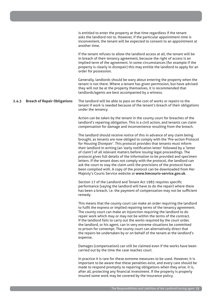|       |                                     | is entitled to enter the property at that time regardless if the tenant<br>asks the landlord not to. However, if the particular appointment time is<br>inconvenient, the tenant will be expected to consent to an appointment at<br>another time.                                                                                                                                                                                                                                                                                                                                                                                                                                                                                                                                       |
|-------|-------------------------------------|-----------------------------------------------------------------------------------------------------------------------------------------------------------------------------------------------------------------------------------------------------------------------------------------------------------------------------------------------------------------------------------------------------------------------------------------------------------------------------------------------------------------------------------------------------------------------------------------------------------------------------------------------------------------------------------------------------------------------------------------------------------------------------------------|
|       |                                     | If the tenant refuses to allow the landlord access at all, the tenant will be<br>in breach of their tenancy agreement, because the right of access is an<br>implied term of the agreement. In some circumstances (for example if the<br>property is clearly in disrepair) this may entitle the landlord to apply for an<br>order for possession.                                                                                                                                                                                                                                                                                                                                                                                                                                        |
|       |                                     | Generally, landlords should be wary about entering the property when the<br>tenant is not there. Where a tenant has given permission, but have advised<br>they will not be at the property themselves, it is recommended that<br>landlords/agents are best accompanied by a witness.                                                                                                                                                                                                                                                                                                                                                                                                                                                                                                    |
| 2.4.3 | <b>Breach of Repair Obligations</b> | The landlord will be able to pass on the cost of works or repairs to the<br>tenant if work is needed because of the tenant's breach of their obligations<br>under the tenancy.                                                                                                                                                                                                                                                                                                                                                                                                                                                                                                                                                                                                          |
|       |                                     | Action can be taken by the tenant in the county court for breaches of the<br>landlord's repairing obligation. This is a civil action, and tenants can claim<br>compensation for damage and inconvenience resulting from the breach.                                                                                                                                                                                                                                                                                                                                                                                                                                                                                                                                                     |
|       |                                     | The landlord should receive notice of this in advance of any claim being<br>brought, as tenants are now obliged to comply with the 'Pre-action Protocol<br>for Housing Disrepair'. This protocol provides that tenants must inform<br>their landlord in writing (an 'early notification letter' followed by a 'letter<br>of claim') of all relevant matters before issuing legal proceedings. The<br>protocol gives full details of the information to be provided and specimen<br>letters. If the tenant does not comply with the protocol, the landlord can<br>ask the court to stay the claim until the provisions of the protocol have<br>been complied with. A copy of the protocol can be downloaded from Her<br>Majesty's Courts Service website at www.hmcourts-service.gov.uk. |
|       |                                     | Section 17 of the Landlord and Tenant Act 1985 requires specific<br>performance (saying the landlord will have to do the repair) where there<br>has been a breach, i.e. the payment of compensation may not be sufficient<br>remedy.                                                                                                                                                                                                                                                                                                                                                                                                                                                                                                                                                    |
|       |                                     | This means that the county court can make an order requiring the landlord<br>to fulfil the express or implied repairing terms of the tenancy agreement.<br>The county court can make an injunction requiring the landlord to do<br>repair work which may or may not be within the terms of the contract.<br>If the landlord fails to carry out the works required by the court order,<br>the landlord, or his agent, can in very extreme situations be committed<br>to prison for contempt. The county court can alternatively direct that<br>the repairs be undertaken by or on behalf of the tenant at the landlord's<br>expense.                                                                                                                                                     |
|       |                                     | Damages (compensation) can still be claimed even if the works have been<br>carried out by the time the case reaches court.                                                                                                                                                                                                                                                                                                                                                                                                                                                                                                                                                                                                                                                              |
|       |                                     | In practice it is rare for these extreme measures to be used. However, it is<br>important to be aware that these penalties exist, and every care should be<br>made to respond promptly to repairing obligations when they arise. It is,<br>after all, protecting any financial investment. If the property is properly<br>insured some work may be covered by the insurance policy.                                                                                                                                                                                                                                                                                                                                                                                                     |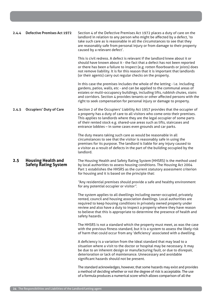| 2.4.4 | <b>Defective Premises Act 1972</b>                       | Section 4 of the Defective Premises Act 1972 places a duty of care on the<br>landlord in relation to any person who might be affected by a defect, 'to<br>take such care as is reasonable in all the circumstances to see that they<br>are reasonably safe from personal injury or from damage to their property<br>caused by a relevant defect'.                                                          |
|-------|----------------------------------------------------------|------------------------------------------------------------------------------------------------------------------------------------------------------------------------------------------------------------------------------------------------------------------------------------------------------------------------------------------------------------------------------------------------------------|
|       |                                                          | This is civil redress. A defect is relevant if the landlord knew about it or<br>should have known about it - the fact that a defect has not been reported<br>or there has been a failure to inspect (e.g. rotten floorboards or joists) does<br>not remove liability. It is for this reason that it is important that landlords<br>(or their agents) carry out regular checks on the property.             |
|       |                                                          | In this case the premises includes the whole of the letting - i.e. including<br>gardens, patios, walls, etc - and can be applied to the communal areas of<br>estates or multi-occupancy buildings, including lifts, rubbish chutes, stairs<br>and corridors. Section 4 provides tenants or other affected persons with the<br>right to seek compensation for personal injury or damage to property.        |
| 2.4.5 | <b>Occupiers' Duty of Care</b>                           | Section 2 of the Occupiers' Liability Act 1957 provides that the occupier of<br>a property has a duty of care to all visitors who come onto their premises.<br>This applies to landlords where they are the legal occupier of some parts<br>of their rented stock e.g. shared-use areas such as lifts, staircases and<br>entrance lobbies - in some cases even grounds and car parks.                      |
|       |                                                          | The duty means taking such care as would be reasonable in all<br>circumstances to see that the visitor is reasonably safe in using the<br>premises for its purpose. The landlord is liable for any injury caused to<br>a visitor as a result of defects in the part of the building occupied by the<br>landlord.                                                                                           |
| 2.5   | <b>Housing Health and</b><br><b>Safety Rating System</b> | The Housing Health and Safety Rating System (HHSRS) is the method used<br>by local authorities to assess housing conditions. The Housing Act 2004<br>Part 1 establishes the HHSRS as the current statutory assessment criterion<br>for housing and it is based on the principle that:                                                                                                                      |
|       |                                                          | "Any residential premises should provide a safe and healthy environment<br>for any potential occupier or visitor".                                                                                                                                                                                                                                                                                         |
|       |                                                          | The system applies to all dwellings including owner-occupied, privately<br>rented, council and housing association dwellings. Local authorities are<br>required to keep housing conditions in privately owned property under<br>review and also have a duty to inspect a property where they have reason<br>to believe that this is appropriate to determine the presence of health and<br>safety hazards. |
|       |                                                          | The HHSRS is not a standard which the property must meet, as was the case<br>with the previous fitness standard, but it is a system to assess the likely risk<br>of harm that could occur from any 'deficiency' associated with a dwelling.                                                                                                                                                                |
|       |                                                          | A deficiency is a variation from the ideal standard that may lead to a<br>situation where a visit to the doctor or hospital may be necessary. It may<br>be due to an inherent design or manufacturing fault, or due to disrepair,<br>deterioration or lack of maintenance. Unnecessary and avoidable<br>significant hazards should not be present.                                                         |
|       |                                                          | The standard acknowledges, however, that some hazards may exist and provides<br>a method of deciding whether or not the degree of risk is acceptable. The use<br>of a formula produces a numerical score which allows comparison of all the                                                                                                                                                                |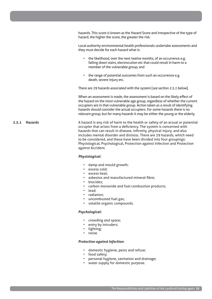hazards. This score is known as the Hazard Score and irrespective of the type of hazard, the higher the score, the greater the risk.

Local authority environmental health professionals undertake assessments and they must decide for each hazard what is:

- the likelihood, over the next twelve months, of an occurrence e.g. falling down stairs, electrocution etc that could result in harm to a member of the vulnerable group, and
- the range of potential outcomes from such an occurrence e.g. death, severe injury etc.

There are 29 hazards associated with the system [*see section 2.5.1 below*].

When an assessment is made, the assessment is based on the likely effect of the hazard on the most vulnerable age group, regardless of whether the current occupiers are in that vulnerable group. Action taken as a result of identifying hazards should consider the actual occupiers. For some hazards there is no relevant group, but for many hazards it may be either the young or the elderly.

A hazard is any risk of harm to the health or safety of an actual or potential occupier that arises from a deficiency. The system is concerned with hazards that can result in disease, infirmity, physical injury, and also includes mental disorder and distress. There are 29 hazards, which need to be considered, and these have been divided into four groupings: Physiological, Psychological, Protection against Infection and Protection against Accident.

#### *Physiological:*

- damp and mould growth;
- excess cold;
- excess heat;
- asbestos and manufactured mineral fibre;
- biocides;
- carbon monoxide and fuel combustion products;
- lead;
- radiation;
- uncombusted fuel gas;
- volatile organic compounds.

#### *Psychological:*

- crowding and space;
- entry by intruders;
- lighting;
- noise.

# *Protection against Infection:*

- domestic hygiene, pests and refuse;
- food safety;
- personal hygiene, sanitation and drainage;
- water supply for domestic purpose.

**2.5.1 Hazards**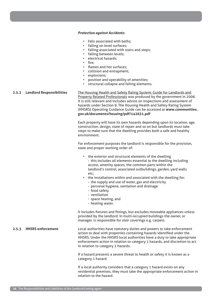# *Protection against Accidents:*

- falls associated with baths;
- falling on level surfaces;
- falling associated with stairs and steps;
- falling between levels;
- electrical hazards;
- fire:
- flames and hot surfaces:
- collision and entrapment;
- explosions;
- position and operability of amenities;
- structural collapse and failing elements.

# **2.5.2 Landlord Responsibilities** The Housing Health and Safety Rating System: Guide for Landlords and Property Related Professionals was produced by the government in 2006. It is still relevant and includes advice on inspections and assessment of hazards under Section 9. The Housing Health and Safety Rating System (HHSRS) Operating Guidance Guide can be accessed at **www.communities. gov.uk/documents/housing/pdf/142631.pdf**

Each property will have its own hazards depending upon its location, age, construction, design, state of repair and so on but landlords must take steps to make sure that the dwelling provides both a safe and healthy environment.

For enforcement purposes the landlord is responsible for the provision, state and proper working order of:

- the exterior and structural elements of the dwelling - this includes all elements essential to the dwelling including access, amenity spaces, the common parts within the landlord's control, associated outbuildings, garden, yard walls etc;
- the installations within and associated with the dwelling for:
	- the supply and use of water, gas and electricity
	- personal hygiene, sanitation and drainage
	- food safety
	- ventilation
	- space heating, and
	- heating water.

It includes fixtures and fittings, but excludes moveable appliances unless provided by the landlord. In multi-occupied buildings the owner, or manager, is responsible for stair coverings e.g. carpets.

# **2.5.3 HHSRS enforcement**

Local authorities have statutory duties and powers to take enforcement action to deal with properties containing hazards identified under the HHSRS. Under the HHSRS local authorities have a duty to take appropriate enforcement action in relation to category 1 hazards, and discretion to act in relation to category 2 hazards.

If a hazard presents a severe threat to health or safety it is known as a category 1 hazard.

If a local authority considers that a category 1 hazard exists on any residential premises, they must take the appropriate enforcement action in relation to the hazard.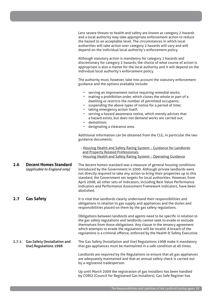|       |                                                                     | Less severe threats to health and safety are known as category 2 hazards<br>and a local authority may take appropriate enforcement action to reduce<br>the hazard to an acceptable level. The circumstances in which local<br>authorities will take action over category 2 hazards will vary and will<br>depend on the individual local authority's enforcement policy.                                                                                                              |
|-------|---------------------------------------------------------------------|--------------------------------------------------------------------------------------------------------------------------------------------------------------------------------------------------------------------------------------------------------------------------------------------------------------------------------------------------------------------------------------------------------------------------------------------------------------------------------------|
|       |                                                                     | Although statutory action is mandatory for category 1 hazards and<br>discretionary for category 2 hazards, the choice of what course of action is<br>appropriate is also a matter for the local authority and it will depend on the<br>individual local authority's enforcement policy.                                                                                                                                                                                              |
|       |                                                                     | The authority must, however, take into account the statutory enforcement<br>guidance and the options available include:                                                                                                                                                                                                                                                                                                                                                              |
|       |                                                                     | • serving an improvement notice requiring remedial works;<br>• making a prohibition order, which closes the whole or part of a<br>dwelling or restricts the number of permitted occupants;<br>• suspending the above types of notice for a period of time;<br>• taking emergency action itself;<br>• serving a hazard awareness notice, which merely advises that<br>a hazard exists, but does not demand works are carried out;<br>• demolition;<br>• designating a clearance area. |
|       |                                                                     | Additional information can be obtained from the CLG, in particular the two<br>guidance documents:                                                                                                                                                                                                                                                                                                                                                                                    |
|       |                                                                     | - Housing Health and Safety Rating System: - Guidance for Landlords<br>and Property Related Professionals<br>- Housing Health and Safety Rating System: - Operating Guidance                                                                                                                                                                                                                                                                                                         |
| 2.6   | <b>Decent Homes Standard</b><br>(applicable to England only)        | The decent homes standard was a measure of general housing conditions<br>introduced by the Government in 2000. Although private landlords were<br>not directly required to take any action to bring their properties up to this<br>standard, the Government set targets for local authorities. However, from<br>April 2008, all other sets of indicators, including Best Value Performance<br>Indicators and Performance Assessment Framework indicators, have been<br>abolished.    |
| 2.7   | <b>Gas Safety</b>                                                   | It is vital that landlords clearly understand their responsibilities and<br>obligations in relation to gas supply and appliances and the duties and<br>responsibilities placed on them by the gas safety regulations.                                                                                                                                                                                                                                                                |
|       |                                                                     | Obligations between landlords and agents need to be specific in relation to<br>the gas safety regulations and landlords cannot seek to evade or exclude<br>themselves from those obligations. Any clause in the tenancy agreement<br>which attempts to evade the regulations will be invalid. A breach of the<br>regulations is a criminal offence, enforced by the Health & Safety Executive.                                                                                       |
| 2.7.1 | <b>Gas Safety (Installation and</b><br><b>Use) Regulations 1998</b> | The Gas Safety (Installation and Use) Regulations 1998 make it mandatory<br>that gas appliances must be maintained in a safe condition at all times.                                                                                                                                                                                                                                                                                                                                 |
|       |                                                                     | Landlords are required by the Regulations to ensure that all gas appliances<br>are adequately maintained and that an annual safety check is carried out<br>by a registered tradesperson.                                                                                                                                                                                                                                                                                             |
|       |                                                                     | Up until March 2009 the registration of gas installers has been handled                                                                                                                                                                                                                                                                                                                                                                                                              |

The Responsibilities and Liabilities of the Landlord/Letting agent **27**

by CORGI (Council for Registered Gas Installers). Gas Safe Register has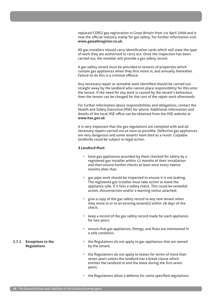replaced CORGI gas registration in Great Britain from 1st April 2009 and is now the official industry stamp for gas safety. For further information visit **www.gassaferegister.co.uk.**

All gas installers should carry identification cards which will state the type of work they are authorised to carry out. Once the inspection has been carried out, the installer will provide a gas safety record.

A gas safety record must be provided to tenants of properties which contain gas appliances when they first move in, and annually thereafter. Failure to do this is a criminal offence.

Any necessary repair or remedial work identified should be carried out straight away by the landlord who cannot place responsibility for this onto the tenant. If the need for any work is caused by the tenant's behaviour, then the tenant can be charged for the cost of the repair work afterwards.

For further information about responsibilities and obligations, contact the Health and Safety Executive (HSE) for advice. Additional information and details of the local HSE office can be obtained from the HSE website at **www.hse.gov.uk**

It is very important that the gas regulations are complied with and all necessary repairs carried out as soon as possible. Defective gas appliances are very dangerous and some tenants have died as a result. Culpable landlords could be subject to legal action.

# *A Landlord Must:*

- have gas appliances provided by them checked for safety by a registered gas installer within 12 months of their installation and then ensure further checks at least once every twelve months after that;
- gas pipe work should be inspected to ensure it is not leaking. The registered gas installer must take action to leave the appliance safe, if it fails a safety check. This could be remedial action, disconnection and/or a warning notice attached;
- give a copy of the gas safety record to any new tenant when they move in or to an existing tenant(s) within 28 days of the check;
- keep a record of the gas safety record made for each appliance for two years;
- ensure that gas appliances, fittings, and flues are maintained in a safe condition.
- the Regulations do not apply to gas appliances that are owned by the tenant;
- the Regulations do not apply to leases for terms of more than seven years unless the landlord has a break clause which entitles the landlord to end the lease during the first seven years;
	- the Regulations allow a defence for some specified regulations

# **2.7.2 Exceptions to the Regulations**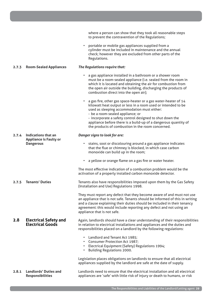|       |                                                                          | where a person can show that they took all reasonable steps<br>to prevent the contravention of the Regulations;                                                                                                                                                                                                                          |
|-------|--------------------------------------------------------------------------|------------------------------------------------------------------------------------------------------------------------------------------------------------------------------------------------------------------------------------------------------------------------------------------------------------------------------------------|
|       |                                                                          | portable or mobile gas appliances supplied from a<br>cylinder must be included in maintenance and the annual<br>check; however they are excluded from other parts of the<br>Regulations.                                                                                                                                                 |
| 2.7.3 | <b>Room-Sealed Appliances</b>                                            | The Regulations require that:                                                                                                                                                                                                                                                                                                            |
|       |                                                                          | a gas appliance installed in a bathroom or a shower room<br>must be a room-sealed appliance (i.e. sealed from the room in<br>which it is located and obtaining the air for combustion from<br>the open air outside the building, discharging the products of<br>combustion direct into the open air);                                    |
|       |                                                                          | a gas fire, other gas space-heater or a gas water-heater of 14<br>kilowatt heat output or less in a room used or intended to be<br>used as sleeping accommodation must either:<br>- be a room-sealed appliance; or                                                                                                                       |
|       |                                                                          | - incorporate a safety control designed to shut down the<br>appliance before there is a build-up of a dangerous quantity of<br>the products of combustion in the room concerned.                                                                                                                                                         |
| 2.7.4 | Indications that an<br><b>Appliance is Faulty or</b><br><b>Dangerous</b> | Danger signs to look for are:                                                                                                                                                                                                                                                                                                            |
|       |                                                                          | stains, soot or discolouring around a gas appliance indicates<br>$\bullet$<br>that the flue or chimney is blocked, in which case carbon<br>monoxide can build up in the room;                                                                                                                                                            |
|       |                                                                          | a yellow or orange flame on a gas fire or water heater.<br>$\bullet$                                                                                                                                                                                                                                                                     |
|       |                                                                          | The most effective indication of a combustion problem would be the<br>activation of a properly installed carbon monoxide detector.                                                                                                                                                                                                       |
| 2.7.5 | <b>Tenants' Duties</b>                                                   | Tenants also have responsibilities imposed upon them by the Gas Safety<br>(Installation and Use) Regulations 1998.                                                                                                                                                                                                                       |
|       |                                                                          | They must report any defect that they become aware of and must not use<br>an appliance that is not safe. Tenants should be informed of this in writing<br>and a clause explaining their duties should be included in their tenancy<br>agreement: this would include reporting any defect and not using an<br>appliance that is not safe. |
| 2.8   | <b>Electrical Safety and</b><br><b>Electrical Goods</b>                  | Again, landlords should have a clear understanding of their responsibilities<br>in relation to electrical installations and appliances and the duties and<br>responsibilities placed on a landlord by the following regulations:                                                                                                         |
|       |                                                                          | Landlord and Tenant Act 1985;<br>• Consumer Protection Act 1987;<br>• Electrical Equipment (Safety) Regulations 1994;<br><b>Building Regulations 2000.</b><br>$\bullet$                                                                                                                                                                  |
|       |                                                                          | Legislation places obligations on landlords to ensure that all electrical<br>appliances supplied by the landlord are safe at the date of supply.                                                                                                                                                                                         |
| 2.8.1 | <b>Landlords' Duties and</b><br><b>Responsibilities</b>                  | Landlords need to ensure that the electrical installation and all electrical<br>appliances are 'safe' with little risk of injury or death to humans, or risk                                                                                                                                                                             |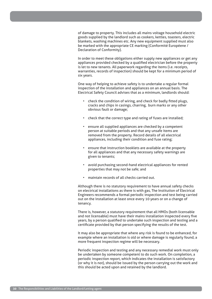of damage to property. This includes all mains voltage household electric goods supplied by the landlord such as cookers, kettles, toasters, electric blankets, washing machines etc. Any new equipment supplied must also be marked with the appropriate CE marking (Conformité Européene / Declaration of Conformity).

In order to meet these obligations either supply new appliances or get any appliances provided checked by a qualified electrician before the property is let to new tenants. All paperwork regarding the items (i.e. receipts, warranties, records of inspection) should be kept for a minimum period of six years.

One way of helping to achieve safety is to undertake a regular formal inspection of the installation and appliances on an annual basis. The Electrical Safety Council advises that as a minimum, landlords should:

- check the condition of wiring, and check for badly fitted plugs, cracks and chips in casings, charring, burn marks or any other obvious fault or damage;
- check that the correct type and rating of fuses are installed;
- ensure all supplied appliances are checked by a competent person at suitable periods and that any unsafe items are removed from the property. Record details of all electrical appliances, including their condition and fuse rating;
- ensure that instruction booklets are available at the property for all appliances and that any necessary safety warnings are given to tenants;
- avoid purchasing second-hand electrical appliances for rented properties that may not be safe; and
- maintain records of all checks carried out.

Although there is no statutory requirement to have annual safety checks on electrical installations as there is with gas, The Institution of Electrical Engineers recommends a formal periodic inspection and test being carried out on the installation at least once every 10 years or on a change of tenancy.

There is, however, a statutory requirement that all HMOs (both licensable and not licensable) must have their mains installation inspected every five years, by a person qualified to undertake such inspection and testing and a certificate provided by that person specifying the results of the test.

It may also be appropriate that where any risk is found to be enhanced, for example where an installation is old or where damage is regularly found, a more frequent inspection regime will be necessary.

Periodic inspection and testing and any necessary remedial work must only be undertaken by someone competent to do such work. On completion, a periodic inspection report, which indicates the installation is satisfactory (or why it is not), should be issued by the person carrying out the work and this should be acted upon and retained by the landlord.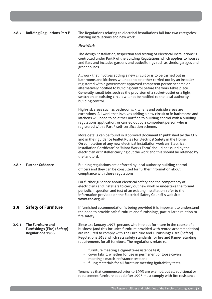# **2.8.2 Building Regulations Part P**

The Regulations relating to electrical installations fall into two categories: existing installations and new work.

#### *New Work*

The design, installation, inspection and testing of electrical installations is controlled under Part P of the Building Regulations which applies to houses and flats and includes gardens and outbuildings such as sheds, garages and greenhouses.

All work that involves adding a new circuit or is to be carried out in bathrooms and kitchens will need to be either carried out by an installer registered with a government-approved competent person scheme or alternatively notified to building control before the work takes place. Generally, small jobs such as the provision of a socket-outlet or a light switch on an existing circuit will not be notified to the local authority building control.

High-risk areas such as bathrooms, kitchens and outside areas are exceptions. All work that involves adding a new circuit or in bathrooms and kitchens will need to be either notified to building control with a building regulations application, or carried out by a competent person who is registered with a Part P self-certification scheme.

More details can be found in 'Approved Document P' published by the CLG and in their guidance leaflet Rules for Electrical Safety in the Home. On completion of any new electrical installation work an 'Electrical Installation Certificate' or 'Minor Works Form' should be issued by the electrician or installer carrying out the work and this should be retained by the landlord.

**2.8.3 Further Guidance** Building regulations are enforced by local authority building control officers and they can be consulted for further information about compliance with these regulations.

> For further guidance about electrical safety and the competency of electricians and installers to carry out new work or undertake the formal periodic inspection and test of an existing installation, refer to the information provided on the Electrical Safety Council's website: **www.esc.org.uk**.

# **2.9 Safety of Furniture**

If furnished accommodation is being provided it is important to understand the need to provide safe furniture and furnishings, particular in relation to fire safety.

**2.9.1 The Furniture and Furnishings (Fire) (Safety) Regulations 1988** Since 1st January 1997, persons who hire out furniture in the course of a business (and this includes furniture provided with rented accommodation) are required to comply with The Furniture and Furnishings (Fire)(Safety) Regulations 1988 which sets safety standards for fire and flame-retarding requirements for all furniture. The regulations relate to:

- furniture meeting a cigarette-resistance test;
- cover fabric, whether for use in permanent or loose covers, meeting a match-resistance test; and
- filling materials for all furniture meeting ignitability tests.

Tenancies that commenced prior to 1993 are exempt, but all additional or replacement furniture added after 1993 must comply with fire resistance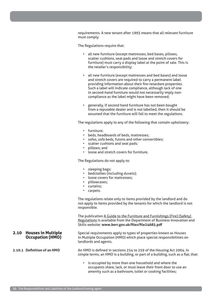requirements. A new tenant after 1993 means that all relevant furniture must comply.

The Regulations require that:

- all new furniture (except mattresses, bed bases, pillows, scatter cushions, seat pads and loose and stretch covers for furniture) must carry a display label at the point of sale. This is the retailer's responsibility;
- all new furniture (except mattresses and bed bases) and loose and stretch covers are required to carry a permanent label providing information about their fire-retardant properties. Such a label will indicate compliance, although lack of one in second-hand furniture would not necessarily imply noncompliance as the label might have been removed;
- generally, if second hand furniture has not been bought from a reputable dealer and is not labelled, then it should be assumed that the furniture will fail to meet the regulations.

The regulations apply to any of the following that contain upholstery:

- furniture;
- beds, headboards of beds, mattresses;
- sofas, sofa beds, futons and other convertibles;
- scatter cushions and seat pads;
- pillows; and
- loose and stretch covers for furniture.

The Regulations do not apply to:

- sleeping bags;
- bedclothes (including duvets);
- loose covers for mattresses;
- pillowcases;
- curtains;
- carpets.

The regulations relate only to items provided by the landlord and do not apply to items provided by the tenants for which the landlord is not responsible.

The publication A Guide to the Furniture and Furnishings (Fire) (Safety) Regulations is available from the Department of Business Innovation and Skills website: **www.berr.gov.uk/files/file24685.pdf**

Special requirements apply to types of properties known as Houses in Multiple Occupation (HMO) which place special responsibilities on landlords and agents.

An HMO is defined in sections 254 to 259 of the Housing Act 2004. In simple terms, an HMO is a building, or part of a building, such as a flat, that:

is occupied by more than one household and where the occupants share, lack, or must leave their front door to use an amenity such as a bathroom, toilet or cooking facilities;

# **2.10 Houses in Multiple Occupation (HMO)**

# **2.10.1 Definition of an HMO**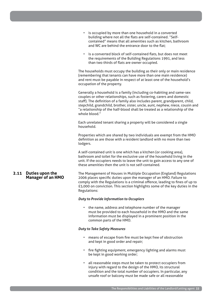- **2.11 Duties upon the Manager of an HMO** is occupied by more than one household in a converted building where not all the flats are self-contained. "Selfcontained" means that all amenities such as kitchen, bathroom and WC are behind the entrance door to the flat; is a converted block of self-contained flats, but does not meet the requirements of the Building Regulations 1991, and less than two thirds of flats are owner occupied. The households must occupy the building as their only or main residence (remembering that tenants can have more than one main residence) and rent must be payable in respect of at least one of the household's occupation of the property. Generally a household is a family (including co-habiting and same-sex couples or other relationships, such as fostering, carers and domestic staff). The definition of a family also includes parent, grandparent, child, stepchild, grandchild, brother, sister, uncle, aunt, nephew, niece, cousin and "a relationship of the half-blood shall be treated as a relationship of the whole blood." Each unrelated tenant sharing a property will be considered a single household. Properties which are shared by two individuals are exempt from the HMO definition as are those with a resident landlord with no more than two lodgers. A self-contained unit is one which has a kitchen (or cooking area), bathroom and toilet for the exclusive use of the household living in the unit. If the occupiers needs to leave the unit to gain access to any one of these amenities then the unit is not self-contained. The Management of Houses in Multiple Occupation (England) Regulations 2006 places specific duties upon the manager of an HMO. Failure to comply with the Regulations is a criminal offence, leading to fines of up to £5,000 on conviction. This section highlights some of the key duties in the Regulations: *Duty to Provide Information to Occupiers*
	- the name, address and telephone number of the manager must be provided to each household in the HMO and the same information must be displayed in a prominent position in the common parts of the HMO.

# *Duty to Take Safety Measures*

- means of escape from fire must be kept free of obstruction and kept in good order and repair;
- fire fighting equipment, emergency lighting and alarms must be kept in good working order;
- all reasonable steps must be taken to protect occupiers from injury with regard to the design of the HMO, its structural condition and the total number of occupiers. In particular, any unsafe roof or balcony must be made safe or all reasonable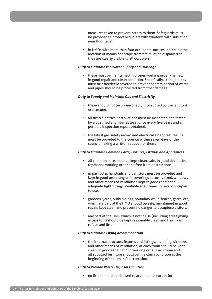measures taken to prevent access to them. Safeguards must be provided to protect occupiers with windows with sills at or near floor level;

• in HMOs with more than four occupants, notices indicating the location of means of escape from fire must be displayed so they are clearly visible to all occupiers.

### *Duty to Maintain the Water Supply and Drainage*

• these must be maintained in proper working order - namely in good repair and clean condition. Specifically, storage tanks must be effectively covered to prevent contamination of water, and pipes should be protected from frost damage.

# *Duty to Supply and Maintain Gas and Electricity*

- these should not be unreasonably interrupted by the landlord or manager;
- all fixed electrical installations must be inspected and tested by a qualified engineer at least once every five years and a periodic inspection report obtained;
- the latest gas safety record and electrical safety test results must be provided to the council within seven days of the council making a written request for them.

# *Duty to Maintain Common Parts, Fixtures, Fittings and Appliances*

- all common parts must be kept clean, safe, in good decorative repair and working order and free from obstruction;
- in particular, handrails and banisters must be provided and kept in good order, any stair coverings securely fixed, windows and other means of ventilation kept in good repair and adequate light fittings available at all times for every occupier to use;
- gardens, yards, outbuildings, boundary walls/fences, gates, etc, which are part of the HMO should be safe, maintained in good repair, kept clean and present no danger to occupiers/visitors;
- any part of the HMO which is not in use (including areas giving access to it) should be kept reasonably clean and free from refuse and litter.

#### *Duty to Maintain Living Accommodation*

• the internal structure, fixtures and fittings, including windows and other means of ventilation, of each room should be kept clean, in good repair and in working order. Each room and all supplied furniture should be in a clean condition at the beginning of the tenant's occupation.

# *Duty to Provide Waste Disposal Facilities*

• no litter should be allowed to accumulate, except for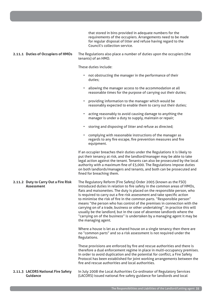|  |                                                           | that stored in bins provided in adequate numbers for the<br>requirements of the occupiers. Arrangements need to be made<br>for regular disposal of litter and refuse having regard to the<br>Council's collection service.                                                                                                                                                                                                                                                                                                                                                                                                                                                                                                    |
|--|-----------------------------------------------------------|-------------------------------------------------------------------------------------------------------------------------------------------------------------------------------------------------------------------------------------------------------------------------------------------------------------------------------------------------------------------------------------------------------------------------------------------------------------------------------------------------------------------------------------------------------------------------------------------------------------------------------------------------------------------------------------------------------------------------------|
|  | 2.11.1 Duties of Occupiers of HMOs                        | The Regulations also place a number of duties upon the occupiers (the<br>tenants) of an HMO.                                                                                                                                                                                                                                                                                                                                                                                                                                                                                                                                                                                                                                  |
|  |                                                           | These duties include:                                                                                                                                                                                                                                                                                                                                                                                                                                                                                                                                                                                                                                                                                                         |
|  |                                                           | not obstructing the manager in the performance of their<br>$\bullet$<br>duties;                                                                                                                                                                                                                                                                                                                                                                                                                                                                                                                                                                                                                                               |
|  |                                                           | allowing the manager access to the accommodation at all<br>$\bullet$<br>reasonable times for the purpose of carrying out their duties;                                                                                                                                                                                                                                                                                                                                                                                                                                                                                                                                                                                        |
|  |                                                           | providing information to the manager which would be<br>$\bullet$<br>reasonably expected to enable them to carry out their duties;                                                                                                                                                                                                                                                                                                                                                                                                                                                                                                                                                                                             |
|  |                                                           | acting reasonably to avoid causing damage to anything the<br>$\bullet$<br>manager is under a duty to supply, maintain or repair;                                                                                                                                                                                                                                                                                                                                                                                                                                                                                                                                                                                              |
|  |                                                           | storing and disposing of litter and refuse as directed;<br>$\bullet$                                                                                                                                                                                                                                                                                                                                                                                                                                                                                                                                                                                                                                                          |
|  |                                                           | complying with reasonable instructions of the manager as<br>$\bullet$<br>regards to any fire escape, fire prevention measures and fire<br>equipment.                                                                                                                                                                                                                                                                                                                                                                                                                                                                                                                                                                          |
|  |                                                           | If an occupier breaches their duties under the Regulations it is likely to<br>put their tenancy at risk, and the landlord/manager may be able to take<br>legal action against the tenant. Tenants can also be prosecuted by the local<br>authority with a maximum fine of £5,000. The Regulations impose duties<br>on both landlords/managers and tenants, and both can be prosecuted and<br>fined for breaching them.                                                                                                                                                                                                                                                                                                        |
|  | 2.11.2 Duty to Carry Out a Fire Risk<br><b>Assessment</b> | The Regulatory Reform (Fire Safety) Order 2005 (known as the FSO)<br>introduced duties in relation to fire safety in the common areas of HMOs,<br>flats and maisonettes. The duty is placed on the responsible person, who<br>is required to carry out a fire risk assessment and take specific action<br>to minimise the risk of fire in the common parts. "Responsible person"<br>means "the person who has control of the premises in connection with the<br>carrying on of a trade, business or other undertaking". In practice this will<br>usually be the landlord, but in the case of absentee landlords where the<br>"carrying on of the business" is undertaken by a managing agent it may be<br>the managing agent. |
|  |                                                           | Where a house is let as a shared house on a single tenancy then there are<br>no "common parts" and so a risk assessment is not required under the<br>Regulations.                                                                                                                                                                                                                                                                                                                                                                                                                                                                                                                                                             |
|  |                                                           | These provisions are enforced by fire and rescue authorities and there is<br>therefore a dual enforcement regime in place in multi-occupancy premises.<br>In order to avoid duplication and the potential for conflict, a Fire Safety<br>Protocol has been established for joint working arrangements between the<br>fire and rescue authorities and local authorities.                                                                                                                                                                                                                                                                                                                                                       |
|  | 2.11.3 LACORS National Fire Safety<br>Guidance            | In July 2008 the Local Authorities Co-ordinator of Regulatory Services<br>(LACORS) issued national fire safety guidance for landlords and local                                                                                                                                                                                                                                                                                                                                                                                                                                                                                                                                                                               |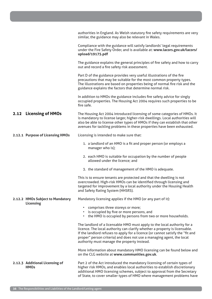|                                               | authorities in England. As Welsh statutory fire safety requirements are very<br>similar, the guidance may also be relevant in Wales.                                                                                                                                                                                                                             |
|-----------------------------------------------|------------------------------------------------------------------------------------------------------------------------------------------------------------------------------------------------------------------------------------------------------------------------------------------------------------------------------------------------------------------|
|                                               | Compliance with the guidance will satisfy landlords' legal requirements<br>under the Fire Safety Order, and is available at: www.lacors.gov.uk/lacors/<br>upload/19175.pdf                                                                                                                                                                                       |
|                                               | The guidance explains the general principles of fire safety and how to carry<br>out and record a fire safety risk assessment.                                                                                                                                                                                                                                    |
|                                               | Part D of the guidance provides very useful illustrations of the fire<br>precautions that may be suitable for the most common property types.<br>The illustrations are based on properties being of normal fire risk and the<br>guidance explains the factors that determine normal risk.                                                                        |
|                                               | In addition to HMOs the guidance includes fire safety advice for singly<br>occupied properties. The Housing Act 2004 requires such properties to be<br>fire safe.                                                                                                                                                                                                |
| 2.12 Licensing of HMOs                        | The Housing Act 2004 introduced licensing of some categories of HMOs. It<br>is mandatory to license larger, higher-risk dwellings. Local authorities will<br>also be able to license other types of HMOs if they can establish that other<br>avenues for tackling problems in these properties have been exhausted.                                              |
| 2.12.1 Purpose of Licensing HMOs              | Licensing is intended to make sure that:                                                                                                                                                                                                                                                                                                                         |
|                                               | 1. a landlord of an HMO is a fit and proper person (or employs a<br>manager who is);                                                                                                                                                                                                                                                                             |
|                                               | 2. each HMO is suitable for occupation by the number of people<br>allowed under the licence; and                                                                                                                                                                                                                                                                 |
|                                               | 3. the standard of management of the HMO is adequate.                                                                                                                                                                                                                                                                                                            |
|                                               | This is to ensure tenants are protected and that the dwelling is not<br>overcrowded. High-risk HMOs can be identified through licensing and<br>targeted for improvement by a local authority under the Housing Health<br>and Safety Rating System (HHSRS).                                                                                                       |
| 2.12.2 HMOs Subject to Mandatory              | Mandatory licensing applies if the HMO (or any part of it):                                                                                                                                                                                                                                                                                                      |
| Licensing                                     | comprises three storeys or more;<br>is occupied by five or more persons, and<br>• the HMO is occupied by persons from two or more households.                                                                                                                                                                                                                    |
|                                               | The landlord of a licensable HMO must apply to the local authority for a<br>licence. The local authority can clarify whether a property is licensable.<br>If the landlord refuses to apply for a licence (or cannot satisfy the "fit and<br>proper" person criteria) and does not use a managing agent, the local<br>authority must manage the property instead. |
|                                               | More information about mandatory HMO licensing can be found below and<br>on the CLG website at www.communities.gov.uk.                                                                                                                                                                                                                                           |
| 2.12.3 Additional Licensing of<br><b>HMOs</b> | Part 2 of the Act introduced the mandatory licensing of certain types of<br>higher risk HMOs, and enables local authorities to establish discretionary<br>additional HMO licensing schemes, subject to approval from the Secretary<br>of State, to cover smaller types of HMO where management problems have                                                     |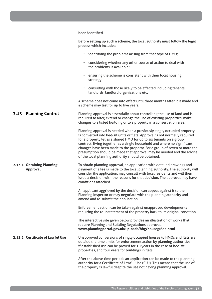|                                       | been identified.                                                                                                                                                                                                                                                                                                                                                                                                                                                                                                     |
|---------------------------------------|----------------------------------------------------------------------------------------------------------------------------------------------------------------------------------------------------------------------------------------------------------------------------------------------------------------------------------------------------------------------------------------------------------------------------------------------------------------------------------------------------------------------|
|                                       | Before setting up such a scheme, the local authority must follow the legal<br>process which includes:                                                                                                                                                                                                                                                                                                                                                                                                                |
|                                       | • identifying the problems arising from that type of HMO;                                                                                                                                                                                                                                                                                                                                                                                                                                                            |
|                                       | considering whether any other course of action to deal with<br>the problems is available;                                                                                                                                                                                                                                                                                                                                                                                                                            |
|                                       | ensuring the scheme is consistent with their local housing<br>strategy;                                                                                                                                                                                                                                                                                                                                                                                                                                              |
|                                       | consulting with those likely to be affected including tenants,<br>$\bullet$<br>landlords, landlord organisations etc.                                                                                                                                                                                                                                                                                                                                                                                                |
|                                       | A scheme does not come into effect until three months after it is made and<br>a scheme may last for up to five years.                                                                                                                                                                                                                                                                                                                                                                                                |
| 2.13 Planning Control                 | Planning approval is essentially about controlling the use of land and is<br>required to alter, extend or change the use of existing properties, make<br>changes to a listed building or to a property in a conservation area.                                                                                                                                                                                                                                                                                       |
|                                       | Planning approval is needed when a previously singly occupied property<br>is converted into bed-sit units or flats. Approval is not normally required<br>for a property let as a shared HMO for up to six tenants on a group<br>contract, living together as a single household and where no significant<br>changes have been made to the property. For a group of seven or more the<br>presumption should be made that approval may be needed and the advice<br>of the local planning authority should be obtained. |
| 2.13.1 Obtaining Planning<br>Approval | To obtain planning approval, an application with detailed drawings and<br>payment of a fee is made to the local planning authority. The authority will<br>consider the application, may consult with local residents and will then<br>issue a decision with the reasons for that decision. The approval may have<br>conditions attached.                                                                                                                                                                             |
|                                       | An applicant aggrieved by the decision can appeal against it to the<br>Planning Inspector or may negotiate with the planning authority and<br>amend and re-submit the application.                                                                                                                                                                                                                                                                                                                                   |
|                                       | Enforcement action can be taken against unapproved developments<br>requiring the re-instatement of the property back to its original condition.                                                                                                                                                                                                                                                                                                                                                                      |
|                                       | The interactive site given below provides an illustration of works that<br>require Planning and Building Regulations approval.<br>www.planningportal.gov.uk/uploads/hhg/houseguide.html                                                                                                                                                                                                                                                                                                                              |
| 2.13.2 Certificate of Lawful Use      | Unapproved conversions of singly occupied houses to HMOs and flats are<br>outside the time limits for enforcement action by planning authorities<br>if established use can be proved for 10 years in the case of bed-sit<br>properties, and four years for buildings in flats.                                                                                                                                                                                                                                       |
|                                       | After the above time periods an application can be made to the planning<br>authority for a Certificate of Lawful Use (CLU). This means that the use of<br>the property is lawful despite the use not having planning approval.                                                                                                                                                                                                                                                                                       |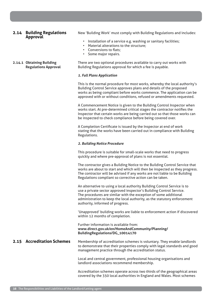### **2.14 Building Regulations Approval**

**2.14.1 Obtaining Building** 

**Regulations Approval**

New 'Building Work' must comply with Building Regulations and includes:

- Installation of a service e.g. washing or sanitary facilities;
- Material alterations to the structure;
- Conversions to flats;
- Some major repairs.

There are two optional procedures available to carry out works with Building Regulations approval for which a fee is payable.

#### *1. Full Plans Application*

This is the normal procedure for most works, whereby the local authority's Building Control Service approves plans and details of the proposed works as being compliant before works commence. The application can be approved with or without conditions, refused or amendments requested.

A Commencement Notice is given to the Building Control Inspector when works start. At pre-determined critical stages the contractor notifies the Inspector that certain works are being carried out so that those works can be inspected to check compliance before being covered over.

A Completion Certificate is issued by the Inspector at end of work stating that the works have been carried out in compliance with Building Regulations.

#### *2. Building Notice Procedure*

This procedure is suitable for small-scale works that need to progress quickly and where pre-approval of plans is not essential.

The contractor gives a Building Notice to the Building Control Service that works are about to start and which will then be inspected as they progress. The contractor will be advised if any works are not liable to be Building Regulations compliant so corrective action can be taken.

An alternative to using a local authority Building Control Service is to use a private sector approved inspector's Building Control Service. The procedures are similar with the exception of some additional administration to keep the local authority, as the statutory enforcement authority, informed of progress.

'Unapproved' building works are liable to enforcement action if discovered within 12 months of completion.

#### Further information is available from: **www.direct.gov.uk/en/HomeAndCommunity/Planning/ BuildingRegulations/DG\_10014170**

## **2.15 Accreditation Schemes**

Membership of accreditation schemes is voluntary. They enable landlords to demonstrate that their properties comply with legal standards and good management practice through the accreditation status.

Local and central government, professional housing organisations and landlord associations recommend membership.

Accreditation schemes operate across two thirds of the geographical areas covered by the 350 local authorities in England and Wales. Most schemes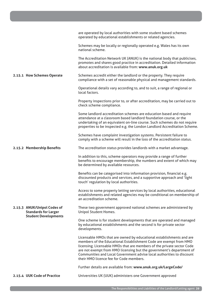|                                                            | are operated by local authorities with some student based schemes<br>operated by educational establishments or related agencies.                                                                                                                                                                                                                                                                                |
|------------------------------------------------------------|-----------------------------------------------------------------------------------------------------------------------------------------------------------------------------------------------------------------------------------------------------------------------------------------------------------------------------------------------------------------------------------------------------------------|
|                                                            | Schemes may be locally or regionally operated e.g. Wales has its own<br>national scheme.                                                                                                                                                                                                                                                                                                                        |
|                                                            | The Accreditation Network UK (ANUK) is the national body that publicises,<br>promotes and shares good practice in accreditation. Detailed information<br>about accreditation is available from: www.anuk.org.uk                                                                                                                                                                                                 |
| 2.15.1 How Schemes Operate                                 | Schemes accredit either the landlord or the property. They require<br>compliance with a set of reasonable physical and management standards.                                                                                                                                                                                                                                                                    |
|                                                            | Operational details vary according to, and to suit, a range of regional or<br>local factors.                                                                                                                                                                                                                                                                                                                    |
|                                                            | Property inspections prior to, or after accreditation, may be carried out to<br>check scheme compliance.                                                                                                                                                                                                                                                                                                        |
|                                                            | Some landlord accreditation schemes are education based and require<br>attendance at a classroom based landlord foundation course, or the<br>undertaking of an equivalent on-line course. Such schemes do not require<br>properties to be inspected e.g. the London Landlord Accreditation Scheme.                                                                                                              |
|                                                            | Schemes have complaint investigation systems. Persistent failure to<br>comply with a scheme will result in the loss of the accreditation status.                                                                                                                                                                                                                                                                |
| 2.15.2 Membership Benefits                                 | The accreditation status provides landlords with a market advantage.                                                                                                                                                                                                                                                                                                                                            |
|                                                            | In addition to this, scheme operators may provide a range of further<br>benefits to encourage membership, the numbers and extent of which may<br>be determined by available resources.                                                                                                                                                                                                                          |
|                                                            | Benefits can be categorised into information provision, financial e.g.<br>discounted products and services, and a supportive approach and 'light<br>touch' regulation by local authorities.                                                                                                                                                                                                                     |
|                                                            | Access to some property letting services by local authorities, educational<br>establishments and related agencies may be conditional on membership of<br>an accreditation scheme.                                                                                                                                                                                                                               |
| 2.15.3 ANUK/Unipol Codes of<br><b>Standards for Larger</b> | These two government approved national schemes are administered by<br><b>Unipol Student Homes.</b>                                                                                                                                                                                                                                                                                                              |
| <b>Student Developments</b>                                | One scheme is for student developments that are operated and managed<br>by educational establishments and the second is for private sector<br>developments.                                                                                                                                                                                                                                                     |
|                                                            | Licensable HMOs that are owned by educational establishments and are<br>members of the Educational Establishment Code are exempt from HMO<br>licensing. Licensable HMOs that are members of the private sector Code<br>are not exempt from HMO licensing but the government's department of<br>Communities and Local Government advise local authorities to discount<br>their HMO licence fee for Code members. |
|                                                            | Further details are available from: www.anuk.org.uk/LargeCode/                                                                                                                                                                                                                                                                                                                                                  |
| 2.15.4 UUK Code of Practice                                | Universities UK (UUK) administers one Government approved                                                                                                                                                                                                                                                                                                                                                       |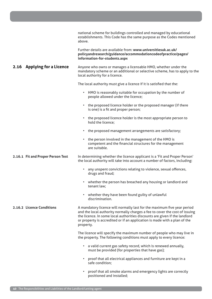|                                   | national scheme for buildings controlled and managed by educational<br>establishments. This Code has the same purpose as the Codes mentioned<br>above.                                                                                                                                                                         |
|-----------------------------------|--------------------------------------------------------------------------------------------------------------------------------------------------------------------------------------------------------------------------------------------------------------------------------------------------------------------------------|
|                                   | Further details are available from: www.universitiesuk.ac.uk/<br>policyandresearch/guidance/accommodationcodeofpractice/pages/<br>information-for-students.aspx                                                                                                                                                                |
| 2.16 Applying for a Licence       | Anyone who owns or manages a licensable HMO, whether under the<br>mandatory scheme or an additional or selective scheme, has to apply to the<br>local authority for a licence.                                                                                                                                                 |
|                                   | The local authority must give a licence if it is satisfied that the:                                                                                                                                                                                                                                                           |
|                                   | • HMO is reasonably suitable for occupation by the number of<br>people allowed under the licence;                                                                                                                                                                                                                              |
|                                   | the proposed licence holder or the proposed manager (if there<br>$\bullet$<br>is one) is a fit and proper person;                                                                                                                                                                                                              |
|                                   | the proposed licence holder is the most appropriate person to<br>٠<br>hold the licence;                                                                                                                                                                                                                                        |
|                                   | the proposed management arrangements are satisfactory;<br>٠                                                                                                                                                                                                                                                                    |
|                                   | the person involved in the management of the HMO is<br>٠<br>competent and the financial structures for the management<br>are suitable.                                                                                                                                                                                         |
| 2.16.1 Fit and Proper Person Test | In determining whether the licence applicant is a 'Fit and Proper Person'<br>the local authority will take into account a number of factors, including:                                                                                                                                                                        |
|                                   | any unspent convictions relating to violence, sexual offences,<br>٠<br>drugs and fraud;                                                                                                                                                                                                                                        |
|                                   | whether the person has breached any housing or landlord and<br>٠<br>tenant law;                                                                                                                                                                                                                                                |
|                                   | whether they have been found guilty of unlawful<br>٠<br>discrimination.                                                                                                                                                                                                                                                        |
| 2.16.2 Licence Conditions         | A mandatory licence will normally last for the maximum five year period<br>and the local authority normally charges a fee to cover the cost of issuing<br>the licence. In some local authorities discounts are given if the landlord<br>or property is accredited or if an application is made with a plan of the<br>property. |
|                                   | The licence will specify the maximum number of people who may live in<br>the property. The following conditions must apply to every licence:                                                                                                                                                                                   |
|                                   | • a valid current gas safety record, which is renewed annually,<br>must be provided (for properties that have gas);                                                                                                                                                                                                            |
|                                   | proof that all electrical appliances and furniture are kept in a<br>٠<br>safe condition;                                                                                                                                                                                                                                       |
|                                   | proof that all smoke alarms and emergency lights are correctly<br>٠<br>positioned and installed;                                                                                                                                                                                                                               |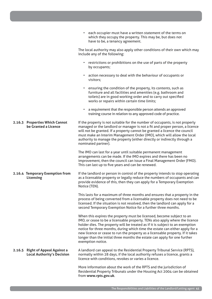|                                                                       | each occupier must have a written statement of the terms on<br>$\bullet$<br>which they occupy the property. This may be, but does not<br>have to be, a tenancy agreement.                                                                                                                                                                                                                                                                                                                                  |
|-----------------------------------------------------------------------|------------------------------------------------------------------------------------------------------------------------------------------------------------------------------------------------------------------------------------------------------------------------------------------------------------------------------------------------------------------------------------------------------------------------------------------------------------------------------------------------------------|
|                                                                       | The local authority may also apply other conditions of their own which may<br>include any of the following:                                                                                                                                                                                                                                                                                                                                                                                                |
|                                                                       | • restrictions or prohibitions on the use of parts of the property<br>by occupants;                                                                                                                                                                                                                                                                                                                                                                                                                        |
|                                                                       | • action necessary to deal with the behaviour of occupants or<br>visitors;                                                                                                                                                                                                                                                                                                                                                                                                                                 |
|                                                                       | ensuring the condition of the property, its contents, such as<br>furniture and all facilities and amenities (e.g. bathroom and<br>toilets) are in good working order and to carry out specified<br>works or repairs within certain time limits;                                                                                                                                                                                                                                                            |
|                                                                       | a requirement that the responsible person attends an approved<br>$\bullet$<br>training course in relation to any approved code of practice.                                                                                                                                                                                                                                                                                                                                                                |
| 2.16.3 Properties Which Cannot<br>be Granted a Licence                | If the property is not suitable for the number of occupants, is not properly<br>managed or the landlord or manager is not a fit and proper person, a licence<br>will not be granted. If a property cannot be granted a licence the council<br>must make an Interim Management Order (IMO), which will allow the local<br>authority to manage the property (either directly or indirectly through a<br>nominated partner).                                                                                  |
|                                                                       | The IMO can last for a year until suitable permanent management<br>arrangements can be made. If the IMO expires and there has been no<br>improvement, then the council can issue a Final Management Order (FMO).<br>This can last up to five years and can be renewed.                                                                                                                                                                                                                                     |
| 2.16.4 Temporary Exemption from<br>Licensing                          | If the landlord or person in control of the property intends to stop operating<br>as a licensable property or legally reduce the numbers of occupants and can<br>provide evidence of this, then they can apply for a Temporary Exemption<br>Notice (TEN).                                                                                                                                                                                                                                                  |
|                                                                       | This lasts for a maximum of three months and ensures that a property in the<br>process of being converted from a licensable property does not need to be<br>licensed. If the situation is not resolved, then the landlord can apply for a<br>second Temporary Exemption Notice for a further three months.                                                                                                                                                                                                 |
|                                                                       | When this expires the property must be licensed, become subject to an<br>IMO, or cease to be a licensable property. TENs also apply where the licence<br>holder dies. The property will be treated as if it is subject to an exemption<br>notice for three months, during which time the estate can either apply for a<br>new licence or cease to run the property as a licensable property. If it takes<br>longer than the initial three months the estate can apply for one further<br>exemption notice. |
| 2.16.5 Right of Appeal Against a<br><b>Local Authority's Decision</b> | A landlord can appeal to the Residential Property Tribunal Service (RPTS),<br>normally within 28 days, if the local authority refuses a licence, grants a<br>licence with conditions, revokes or varies a licence.                                                                                                                                                                                                                                                                                         |
|                                                                       | More information about the work of the RPTS and the jurisdiction of<br>Residential Property Tribunals under the Housing Act 2004 can be obtained<br>from www.rpts.gov.uk.                                                                                                                                                                                                                                                                                                                                  |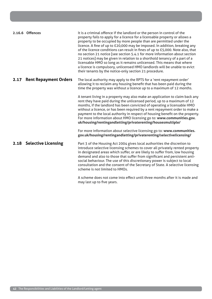|      | 2.16.6 Offences              | It is a criminal offence if the landlord or the person in control of the<br>property fails to apply for a licence for a licensable property or allows a<br>property to be occupied by more people than are permitted under the<br>licence. A fine of up to £20,000 may be imposed. In addition, breaking any<br>of the licence conditions can result in fines of up to £5,000. Note also, that<br>no section 21 notice [see section 5.4.1 for more information about section<br>21 notices] may be given in relation to a shorthold tenancy of a part of a<br>licensable HMO so long as it remains unlicensed. This means that where<br>a licence is compulsory, unlicensed HMO landlords will be unable to evict<br>their tenants by the notice-only section 21 procedure. |
|------|------------------------------|-----------------------------------------------------------------------------------------------------------------------------------------------------------------------------------------------------------------------------------------------------------------------------------------------------------------------------------------------------------------------------------------------------------------------------------------------------------------------------------------------------------------------------------------------------------------------------------------------------------------------------------------------------------------------------------------------------------------------------------------------------------------------------|
| 2.17 | <b>Rent Repayment Orders</b> | The local authority may apply to the RPTS for a 'rent repayment order'<br>allowing it to reclaim any housing benefit that has been paid during the<br>time the property was without a licence up to a maximum of 12 months.                                                                                                                                                                                                                                                                                                                                                                                                                                                                                                                                                 |
|      |                              | A tenant living in a property may also make an application to claim back any<br>rent they have paid during the unlicensed period, up to a maximum of 12<br>months, if the landlord has been convicted of operating a licensable HMO<br>without a licence, or has been required by a rent repayment order to make a<br>payment to the local authority in respect of housing benefit on the property.<br>For more information about HMO licensing go to: www.communities.gov.<br>uk/housing/rentingandletting/privaterenting/housesmultiple/                                                                                                                                                                                                                                  |
|      |                              | For more information about selective licensing go to: www.communities.<br>gov.uk/housing/rentingandletting/privaterenting/selectivelicensing/                                                                                                                                                                                                                                                                                                                                                                                                                                                                                                                                                                                                                               |
|      | 2.18 Selective Licensing     | Part 3 of the Housing Act 2004 gives local authorities the discretion to<br>introduce selective licensing schemes to cover all privately rented property<br>in designated areas which suffer, or are likely to suffer from, low housing<br>demand and also to those that suffer from significant and persistent anti-<br>social behaviour. The use of this discretionary power is subject to local<br>consultation and the consent of the Secretary of State. A selective licensing<br>scheme is not limited to HMOs.                                                                                                                                                                                                                                                       |

A scheme does not come into effect until three months after it is made and may last up to five years.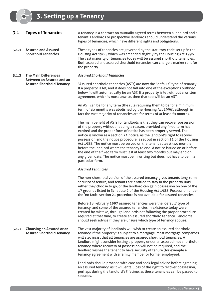- **3.1 Types of Tenancies**
- **3.1.1 Assured and Assured Shorthold Tenancies**

**3.1.2 The Main Differences Between an Assured and an Assured Shorthold Tenancy** A tenancy is a contract on mutually agreed terms between a landlord and a tenant. Landlords or prospective landlords should understand the various types of tenancies, which have different rights and obligations.

These types of tenancies are governed by the statutory code set up in the Housing Act 1988, which was amended slightly by the Housing Act 1996. The vast majority of tenancies today will be assured shorthold tenancies. Both assured and assured shorthold tenancies can charge a market rent for the property.

#### *Assured Shorthold Tenancies*

"Assured shorthold tenancies (ASTs) are now the "default" type of tenancy. If a property is let, and it does not fall into one of the exceptions outlined below, it will automatically be an AST. If a property is let without a written agreement, which is most unwise, then that too will be an AST.

An AST can be for any term (the rule requiring them to be for a minimum term of six months was abolished by the Housing Act 1996), although in fact the vast majority of tenancies are for terms of at least six months.

The main benefit of ASTs for landlords is that they can recover possession of the property without needing a reason, provided any fixed term has expired and the proper form of notice has been properly served. The notice is known as a section 21 notice, as the landlord's right to recover possession and the notice procedure is set out in section 21 of the Housing Act 1988. The notice must be served on the tenant at least two months before the landlord wants the tenancy to end. A notice issued on or before the end of the fixed term must last at least two months but may end on any given date. The notice must be in writing but does not have to be in a particular form.

#### *Assured Tenancies*

The non-shorthold version of the assured tenancy gives tenants long-term security of tenure, and tenants are entitled to stay in the property until either they choose to go, or the landlord can gain possession on one of the 17 grounds listed in Schedule 2 of the Housing Act 1988. Possession under the 'no fault' section 21 procedure is not available for assured tenancies.

Before 28 February 1997 assured tenancies were the 'default' type of tenancy, and some of the assured tenancies in existence today were created by mistake, through landlords not following the proper procedure required at that time, to create an assured shorthold tenancy. Landlords should seek advice if they are unsure which type of tenancy applies.

**3.1.3 Choosing an Assured or an Assured Shorthold Tenancy** The vast majority of landlords will wish to create an assured shorthold tenancy. If the property is subject to a mortgage, most mortgage companies will also insist that all tenancies are assured shorthold tenancies. A landlord might consider letting a property under an assured (not shorthold) tenancy, where recovery of possession will not be required, and the landlord wishes the tenant to have security of tenure (for example a tenancy agreement with a family member or former employee).

> Landlords should proceed with care and seek legal advice before agreeing an assured tenancy, as it will entail loss of the right to recover possession, perhaps during the landlord's lifetime, as these tenancies can be passed to spouses.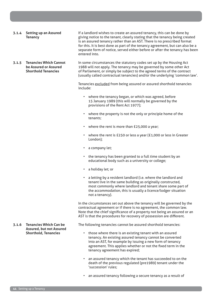**3.1.4 Setting up an Assured Tenancy**

If a landlord wishes to create an assured tenancy, this can be done by giving notice to the tenant, clearly stating that the tenancy being created is an assured tenancy rather than an AST. There is no prescribed format for this. It is best done as part of the tenancy agreement, but can also be a separate form of notice, served either before or after the tenancy has been entered into.

**3.1.5 Tenancies Which Cannot be Assured or Assured Shorthold Tenancies**

In some circumstances the statutory codes set up by the Housing Act 1988 will not apply. The tenancy may be governed by some other Act of Parliament, or simply be subject to the agreed terms of the contract (usually called contractual tenancies) and/or the underlying 'common law'.

Tenancies excluded from being assured or assured shorthold tenancies include:

- where the tenancy began, or which was agreed, before 15 January 1989 (this will normally be governed by the provisions of the Rent Act 1977);
- where the property is not the only or principle home of the tenants;
- where the rent is more than £25,000 a year;
- where the rent is £250 or less a year (£1,000 or less in Greater London);
- a company let;
- the tenancy has been granted to a full time student by an educational body such as a university or college;
- a holiday let; or
- a letting by a resident landlord (i.e. where the landlord and tenant live in the same building as originally constructed, most commonly where landlord and tenant share some part of the accommodation, this is usually a licence/lodger situation not a tenancy).

In the circumstances set out above the tenancy will be governed by the contractual agreement or if there is no agreement, the common law. Note that the chief significance of a property not being an assured or an AST is that the procedures for recovery of possession are different.

The following tenancies cannot be assured shorthold tenancies:

- those where there is an existing tenant with an assured tenancy. An existing assured tenancy cannot be converted into an AST, for example by issuing a new form of tenancy agreement. This applies whether or not the fixed term in the tenancy agreement has expired;
- an assured tenancy which the tenant has succeeded to on the death of the previous regulated (pre1989) tenant under the 'succession' rules;
- an assured tenancy following a secure tenancy as a result of

**3.1.6 Tenancies Which Can be Assured, but not Assured Shorthold, Tenancies**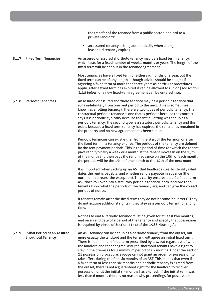|       |                                                                 | the transfer of the tenancy from a public sector landlord to a<br>private landlord;                                                                                                                                                                                                                                                                                                                                                                                                                                                                                                                                                                                                                                                                                                                                                                                    |
|-------|-----------------------------------------------------------------|------------------------------------------------------------------------------------------------------------------------------------------------------------------------------------------------------------------------------------------------------------------------------------------------------------------------------------------------------------------------------------------------------------------------------------------------------------------------------------------------------------------------------------------------------------------------------------------------------------------------------------------------------------------------------------------------------------------------------------------------------------------------------------------------------------------------------------------------------------------------|
|       |                                                                 | • an assured tenancy arising automatically when a long<br>leasehold tenancy expires.                                                                                                                                                                                                                                                                                                                                                                                                                                                                                                                                                                                                                                                                                                                                                                                   |
| 3.1.7 | <b>Fixed Term Tenancies</b>                                     | An assured or assured shorthold tenancy may be a fixed term tenancy,<br>which lasts for a fixed number of weeks, months or years. The length of the<br>fixed term will be set out in the tenancy agreement.                                                                                                                                                                                                                                                                                                                                                                                                                                                                                                                                                                                                                                                            |
|       |                                                                 | Most tenancies have a fixed term of either six months or a year, but the<br>fixed term can be of any length although advice should be sought if<br>agreeing a fixed term of more than three years as particular procedures<br>apply. After a fixed term has expired it can be allowed to run on [see section<br>3.1.8 below] or a new fixed-term agreement can be entered into.                                                                                                                                                                                                                                                                                                                                                                                                                                                                                        |
| 3.1.8 | <b>Periodic Tenancies</b>                                       | An assured or assured shorthold tenancy may be a periodic tenancy that<br>runs indefinitely from one rent period to the next. (This is sometimes<br>known as a rolling tenancy). There are two types of periodic tenancy. The<br>contractual periodic tenancy is one that is periodic because the contract<br>says it is periodic, typically because the initial letting was set up as a<br>periodic tenancy. The second type is a statutory periodic tenancy and this<br>exists because a fixed term tenancy has expired, the tenant has remained in<br>the property and no new agreement has been set up.                                                                                                                                                                                                                                                            |
|       |                                                                 | Periodic tenancies can exist either from the start of the tenancy, or after<br>the fixed term in a tenancy expires. The periods of the tenancy are defined<br>by the rent payment periods. This is the period of time for which the tenant<br>pays rent, typically a week or a month. If the tenant moves in on the 15th<br>of the month and then pays the rent in advance on the 15th of each month,<br>the periods will be the 15th of one month to the 14th of the next month.                                                                                                                                                                                                                                                                                                                                                                                      |
|       |                                                                 | It is important when setting up an AST that landlords clearly identify what<br>dates the rent is payable, and whether rent is payable in advance (the<br>norm) or in arrears (the exception). This clarity ensures that if a fixed term<br>AST does roll over into a statutory periodic tenancy, both landlords and<br>tenants know what the periods of the tenancy are, and can give the correct<br>periods of notice.                                                                                                                                                                                                                                                                                                                                                                                                                                                |
|       |                                                                 | If tenants remain after the fixed term they do not become 'squatters'. They<br>do not acquire additional rights if they stay as a periodic tenant for a long<br>time.                                                                                                                                                                                                                                                                                                                                                                                                                                                                                                                                                                                                                                                                                                  |
|       |                                                                 | Notices to end a Periodic Tenancy must be given for at least two months,<br>end on an end date of a period of the tenancy and specify that possession<br>is required by virtue of Section 21 (4) of the 1988 Housing Act.                                                                                                                                                                                                                                                                                                                                                                                                                                                                                                                                                                                                                                              |
| 3.1.9 | <b>Initial Period of an Assured</b><br><b>Shorthold Tenancy</b> | An AST tenancy can be set up as a periodic tenancy from the outset, but<br>more usually the landlord and the tenant will agree an initial fixed term.<br>There is no minimum fixed term prescribed by law, but regardless of what<br>the landlord and tenant agree, assured shorthold tenants have a right to<br>stay in the premises for a minimum period of six months. Under the section<br>21 possession procedure, a judge cannot grant an order for possession to<br>take effect during the first six months of an AST. This means that even if<br>a fixed term of less than six months or a periodic tenancy is agreed from<br>the outset, there is not a guaranteed right for the landlord to recover<br>possession until the initial six months has expired. (If the initial term was<br>less than 6 months there is no reason why proceedings for possession |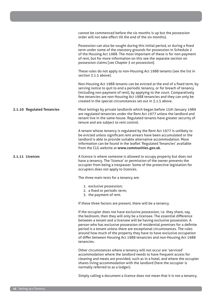|                            | cannot be commenced before the six months is up but the possession<br>order will not take effect till the end of the six months).                                                                                                                                                                                                                                                                                                                                                                                                                          |
|----------------------------|------------------------------------------------------------------------------------------------------------------------------------------------------------------------------------------------------------------------------------------------------------------------------------------------------------------------------------------------------------------------------------------------------------------------------------------------------------------------------------------------------------------------------------------------------------|
|                            | Possession can also be sought during this initial period, or during a fixed<br>term under some of the statutory grounds for possession in Schedule 2<br>of the Housing Act 1988. The most important of these is for non-payment<br>of rent, but for more information on this see the separate section on<br>possession claims [see Chapter 5 on possession].                                                                                                                                                                                               |
|                            | These rules do not apply to non-Housing Act 1988 tenants (see the list in<br>section 3.1.5 above).                                                                                                                                                                                                                                                                                                                                                                                                                                                         |
|                            | Non-Housing Act 1988 tenants can be evicted at the end of a fixed term, by<br>serving notice to quit to end a periodic tenancy, or for breach of tenancy<br>(including non payment of rent), by applying to the court. Comparatively<br>few tenancies are non-Housing Act 1988 tenancies and they can only be<br>created in the special circumstances set out in 3.1.5 above.                                                                                                                                                                              |
| 3.1.10 Regulated Tenancies | Most lettings by private landlords which began before 15th January 1989<br>are regulated tenancies under the Rent Act 1977 unless the landlord and<br>tenant live in the same house. Regulated tenants have greater security of<br>tenure and are subject to rent control.                                                                                                                                                                                                                                                                                 |
|                            | A tenant whose tenancy is regulated by the Rent Act 1977 is unlikely to<br>be evicted unless significant rent arrears have been accumulated or the<br>landlord is able to provide suitable alternative accommodation. More<br>information can be found in the leaflet 'Regulated Tenancies' available<br>from the CLG website at www.communities.gov.uk.                                                                                                                                                                                                   |
| 3.1.11 Licences            | A licence is where someone is allowed to occupy property but does not<br>have a tenancy. The 'licence' or permission of the owner prevents the<br>occupier from being a trespasser. Some of the protective legislation for<br>occupiers does not apply to licences.                                                                                                                                                                                                                                                                                        |
|                            | The three main tests for a tenancy are:                                                                                                                                                                                                                                                                                                                                                                                                                                                                                                                    |
|                            | 1. exclusive possession;<br>2. a fixed or periodic term;<br>3. the payment of rent.                                                                                                                                                                                                                                                                                                                                                                                                                                                                        |
|                            | If these three factors are present, there will be a tenancy.                                                                                                                                                                                                                                                                                                                                                                                                                                                                                               |
|                            | If the occupier does not have exclusive possession, i.e. they share, say,<br>the bedroom, then they will only be a licensee. The essential difference<br>between a tenant and a licensee will be having exclusive possession. A<br>person who has exclusive possession of residential premises for a definite<br>period is a tenant unless there are exceptional circumstances. The rules<br>around how much of the property they have to have exclusive occupation<br>of differ between Housing Act 1988 tenancies and non-Housing Act 1988<br>tenancies. |
|                            | Other circumstances where a tenancy will not occur are 'serviced'<br>accommodation where the landlord needs to have frequent access for<br>cleaning and meals are provided, such as in a hotel, and where the occupier<br>shares living accommodation with the landlord (here the occupier is<br>normally referred to as a lodger).                                                                                                                                                                                                                        |
|                            |                                                                                                                                                                                                                                                                                                                                                                                                                                                                                                                                                            |

Simply calling a document a licence does not mean that it is not a tenancy.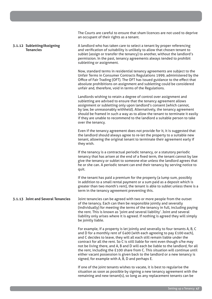**3.1.12 Subletting/Assigning Tenancies 3.1.13 Joint and Several Tenancies** The Courts are careful to ensure that sham licences are not used to deprive an occupant of their rights as a tenant. A landlord who has taken care to select a tenant by proper referencing and verification of suitability is unlikely to allow that chosen tenant to sublet (assign or transfer the tenancy) to another, without the landlord's permission. In the past, tenancy agreements always tended to prohibit subletting or assignment. Now, standard terms in residential tenancy agreements are subject to the Unfair Terms in Consumer Contracts Regulations 1999, administered by the Office of Fair Trading (OFT). The OFT has issued guidance to the effect that absolute prohibitions on assignment and subletting could be considered unfair and, therefore, void in terms of the Regulations. Landlords wishing to retain a degree of control over assignment and subletting are advised to ensure that the tenancy agreement allows assignment or subletting only upon landlord's consent (which cannot, by law, be unreasonably withheld). Alternatively, the tenancy agreement should be framed in such a way as to allow the tenant to terminate it easily if they are unable to recommend to the landlord a suitable person to take over the tenancy. Even if the tenancy agreement does not provide for it, it is suggested that the landlord should always agree to re-let the property to a suitable new tenant, allowing the original tenant to terminate their agreement early if they wish. If the tenancy is a contractual periodic tenancy, or a statutory periodic tenancy that has arisen at the end of a fixed term, the tenant cannot by law give the tenancy or sublet to someone else unless the landlord agrees that he or she can. A periodic tenant can end their tenancy by serving notice to quit. If the tenant has paid a premium for the property (a lump sum, possibly in addition to a small rental payment or a sum paid as a deposit which is greater than two month's rent), the tenant is able to sublet unless there is a term in the tenancy agreement preventing this. Joint tenancies can be agreed with two or more people from the outset of the tenancy. Each can then be responsible jointly and severally (individually) for meeting the terms of the tenancy in full, including paying the rent. This is known as 'joint and several liability'. Joint and several liability only arises where it is agreed. If nothing is agreed they will simply be jointly liable. For example, if a property is let jointly and severally to four tenants A, B, C and D for a monthly rent of £400 (with each agreeing to pay £100 each), and C decides to leave, they will all each still remain liable under the contract for all the rent. So C is still liable for rent even though s/he may not be living there, and A, B and D will each be liable to the landlord, for all the rent, including the £100 share from C. This situation will continue until either vacant possession is given back to the landlord or a new tenancy is signed, for example with A, B, D and perhaps E. If one of the joint tenants wishes to vacate, it is best to regularise the

situation as soon as possible by signing a new tenancy agreement with the remaining and new tenant(s), so long as any replacement tenants can be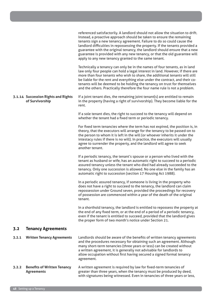|       | 3.1.14 Succession Rights and Rights<br>of Survivorship  | referenced satisfactorily. A landlord should not allow the situation to drift.<br>Instead, a proactive approach should be taken to ensure the remaining<br>tenants sign a new tenancy agreement. Failure to do so could cause the<br>landlord difficulties in repossessing the property. If the tenants provided a<br>guarantee with the original tenancy, the landlord should ensure that a new<br>guarantee is provided with any new tenancy, or that the old guarantee will<br>apply to any new tenancy granted to the same tenant.<br>Technically a tenancy can only be in the names of four tenants, as in land<br>law only four people can hold a legal interest in land. However, if there are<br>more than four tenants who wish to share, the additional tenants will still<br>be liable for the rent and everything else under the contract, and their co-<br>tenants will be deemed to be holding the tenancy on trust for themselves<br>and the others. Practically therefore the four name rule is not a problem.<br>If a joint tenant dies, the remaining joint tenant(s) are entitled to remain<br>in the property (having a right of survivorship). They become liable for the<br>rent.<br>If a sole tenant dies, the right to succeed to the tenancy will depend on<br>whether the tenant had a fixed term or periodic tenancy.<br>For fixed term tenancies where the term has not expired, the position is, in<br>theory, that the executors will arrange for the tenancy to be passed-on to<br>the person to whom it is left in the will (or whoever inherits it under the<br>intestacy rules if there is no will). In practice, the executors will usually<br>agree to surrender the property, and the landlord will agree to seek<br>another tenant.<br>If a periodic tenancy, the tenant's spouse or a person who lived with the<br>tenant as husband or wife, has an automatic right to succeed to a periodic<br>assured tenancy unless the tenant who died had already succeeded to the<br>tenancy. Only one succession is allowed. No one else in the family has an<br>automatic right to succession (section 17 Housing Act 1988). |
|-------|---------------------------------------------------------|--------------------------------------------------------------------------------------------------------------------------------------------------------------------------------------------------------------------------------------------------------------------------------------------------------------------------------------------------------------------------------------------------------------------------------------------------------------------------------------------------------------------------------------------------------------------------------------------------------------------------------------------------------------------------------------------------------------------------------------------------------------------------------------------------------------------------------------------------------------------------------------------------------------------------------------------------------------------------------------------------------------------------------------------------------------------------------------------------------------------------------------------------------------------------------------------------------------------------------------------------------------------------------------------------------------------------------------------------------------------------------------------------------------------------------------------------------------------------------------------------------------------------------------------------------------------------------------------------------------------------------------------------------------------------------------------------------------------------------------------------------------------------------------------------------------------------------------------------------------------------------------------------------------------------------------------------------------------------------------------------------------------------------------------------------------------------------------------------------------------------------------------------------------|
|       |                                                         | In a periodic assured tenancy, if someone is living in the property who<br>does not have a right to succeed to the tenancy, the landlord can claim<br>repossession under Ground seven, provided the proceedings for recovery<br>of possession are commenced within a year of the death of the original<br>tenant.                                                                                                                                                                                                                                                                                                                                                                                                                                                                                                                                                                                                                                                                                                                                                                                                                                                                                                                                                                                                                                                                                                                                                                                                                                                                                                                                                                                                                                                                                                                                                                                                                                                                                                                                                                                                                                            |
|       |                                                         | In a shorthold tenancy, the landlord is entitled to repossess the property at<br>the end of any fixed term, or at the end of a period of a periodic tenancy,<br>even if the tenant is entitled to succeed, provided that the landlord gives<br>the proper form of two month's notice under Section 21.                                                                                                                                                                                                                                                                                                                                                                                                                                                                                                                                                                                                                                                                                                                                                                                                                                                                                                                                                                                                                                                                                                                                                                                                                                                                                                                                                                                                                                                                                                                                                                                                                                                                                                                                                                                                                                                       |
| 3.2   | <b>Tenancy Agreements</b>                               |                                                                                                                                                                                                                                                                                                                                                                                                                                                                                                                                                                                                                                                                                                                                                                                                                                                                                                                                                                                                                                                                                                                                                                                                                                                                                                                                                                                                                                                                                                                                                                                                                                                                                                                                                                                                                                                                                                                                                                                                                                                                                                                                                              |
| 3.2.1 | <b>Written Tenancy Agreements</b>                       | Landlords should be aware of the benefits of written tenancy agreements<br>and the procedures necessary for obtaining such an agreement. Although<br>many short-term tenancies (three years or less) can be created without<br>a written agreement, it is generally not advisable for landlords to<br>allow occupation without first having secured a signed formal tenancy<br>agreement.                                                                                                                                                                                                                                                                                                                                                                                                                                                                                                                                                                                                                                                                                                                                                                                                                                                                                                                                                                                                                                                                                                                                                                                                                                                                                                                                                                                                                                                                                                                                                                                                                                                                                                                                                                    |
| 3.2.2 | <b>Benefits of Written Tenancy</b><br><b>Agreements</b> | A written agreement is required by law for fixed-term tenancies of<br>greater than three years, when the tenancy must be produced by deed,<br>with signatures being witnessed. Even in tenancies of three years or less,                                                                                                                                                                                                                                                                                                                                                                                                                                                                                                                                                                                                                                                                                                                                                                                                                                                                                                                                                                                                                                                                                                                                                                                                                                                                                                                                                                                                                                                                                                                                                                                                                                                                                                                                                                                                                                                                                                                                     |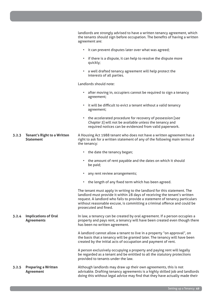|       |                                                        | landlords are strongly advised to have a written tenancy agreement, which<br>the tenants should sign before occupation. The benefits of having a written                                                                                                                                                                                  |
|-------|--------------------------------------------------------|-------------------------------------------------------------------------------------------------------------------------------------------------------------------------------------------------------------------------------------------------------------------------------------------------------------------------------------------|
|       |                                                        | agreement are:                                                                                                                                                                                                                                                                                                                            |
|       |                                                        | • it can prevent disputes later over what was agreed;                                                                                                                                                                                                                                                                                     |
|       |                                                        | if there is a dispute, it can help to resolve the dispute more<br>quickly;                                                                                                                                                                                                                                                                |
|       |                                                        | a well drafted tenancy agreement will help protect the<br>$\bullet$<br>interests of all parties.                                                                                                                                                                                                                                          |
|       |                                                        | Landlords should note:                                                                                                                                                                                                                                                                                                                    |
|       |                                                        | • after moving in, occupiers cannot be required to sign a tenancy<br>agreement;                                                                                                                                                                                                                                                           |
|       |                                                        | it will be difficult to evict a tenant without a valid tenancy<br>agreement;                                                                                                                                                                                                                                                              |
|       |                                                        | the accelerated procedure for recovery of possession [see<br>$\bullet$<br>Chapter 5] will not be available unless the tenancy and<br>required notices can be evidenced from valid paperwork.                                                                                                                                              |
| 3.2.3 | <b>Tenant's Right to a Written</b><br><b>Statement</b> | A Housing Act 1988 tenant who does not have a written agreement has a<br>right to ask for a written statement of any of the following main terms of<br>the tenancy:                                                                                                                                                                       |
|       |                                                        | • the date the tenancy began;                                                                                                                                                                                                                                                                                                             |
|       |                                                        | the amount of rent payable and the dates on which it should<br>$\bullet$<br>be paid;                                                                                                                                                                                                                                                      |
|       |                                                        | any rent review arrangements;<br>$\bullet$                                                                                                                                                                                                                                                                                                |
|       |                                                        | the length of any fixed term which has been agreed.                                                                                                                                                                                                                                                                                       |
|       |                                                        | The tenant must apply in writing to the landlord for this statement. The<br>landlord must provide it within 28 days of receiving the tenant's written<br>request. A landlord who fails to provide a statement of tenancy particulars<br>without reasonable excuse, is committing a criminal offence and could be<br>prosecuted and fined. |
| 3.2.4 | <b>Implications of Oral</b><br><b>Agreements</b>       | In law, a tenancy can be created by oral agreement. If a person occupies a<br>property and pays rent, a tenancy will have been created even though there<br>has been no written agreement.                                                                                                                                                |
|       |                                                        | A landlord cannot allow a tenant to live in a property "on approval", on<br>the basis that a tenancy will be granted later. The tenancy will have been<br>created by the initial acts of occupation and payment of rent.                                                                                                                  |
|       |                                                        | A person exclusively occupying a property and paying rent will legally<br>be regarded as a tenant and be entitled to all the statutory protections<br>provided to tenants under the law.                                                                                                                                                  |
| 3.2.5 | <b>Preparing a Written</b><br><b>Agreement</b>         | Although landlords may draw up their own agreements, this is not<br>advisable. Drafting tenancy agreements is a highly skilled job and landlords<br>doing this without legal advice may find that they have actually made their                                                                                                           |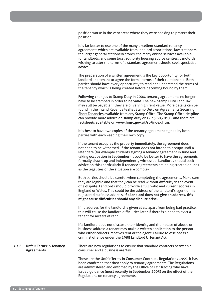position worse in the very areas where they were seeking to protect their position.

It is far better to use one of the many excellent standard tenancy agreements which are available from landlord associations, law stationers, the larger general stationery stores, the many online services available for landlords, and some local authority housing advice centres. Landlords wishing to alter the terms of a standard agreement should seek specialist advice.

The preparation of a written agreement is the key opportunity for both landlord and tenant to agree the formal terms of their relationship. Both parties should have every opportunity to read and understand the terms of the tenancy which is being created before becoming bound by them.

Following changes to Stamp Duty in 2004, tenancy agreements no longer have to be stamped in order to be valid. The new Stamp Duty Land Tax may still be payable if they are of very high rent value. More details can be found in the Inland Revenue leaflet Stamp Duty on Agreements Securing Short Tenancies available from any Stamp Office. The Stamp Office Helpline can provide more advice on stamp duty on 0845 603 0135 and there are factsheets available on **www.hmrc.gov.uk/so/index.htm**.

It is best to have two copies of the tenancy agreement signed by both parties with each keeping their own copy.

If the tenant occupies the property immediately, the agreement does not need to be witnessed. If the tenant does not intend to occupy until a later date (for example students signing a tenancy agreement in June and taking occupation in September) it could be better to have the agreements formally drawn-up and independently witnessed. Landlords should seek advice on this (particularly if tenancy agreements are being created online) as the legalities of the situation are complex.

Both parties should be careful when completing the agreements. Make sure they are legible and that they can be read without difficulty in the event of a dispute. Landlords should provide a full, valid and current address in England or Wales. This could be the address of the landlord's agent or his registered business address. **If a landlord does not give an address, this might cause difficulties should any dispute arise.**

If no address for the landlord is given at all, apart from being bad practice, this will cause the landlord difficulties later if there is a need to evict a tenant for arrears of rent.

If a landlord does not disclose their identity and their place of abode or business address a tenant may make a written application to the person who either collects, receives rent or the agent. Failure to disclose is a criminal offence under the 1985 Landlord & Tenant Act.

#### **3.2.6 Unfair Terms in Tenancy Agreements** There are now regulations to ensure that standard contracts between a consumer and a business are 'fair'.

These are the Unfair Terms in Consumer Contracts Regulations 1999. It has been confirmed that they apply to tenancy agreements. The Regulations are administered and enforced by the Office of Fair Trading who have issued guidance (most recently in September 2005) on the effect of the Regulations on tenancy agreements.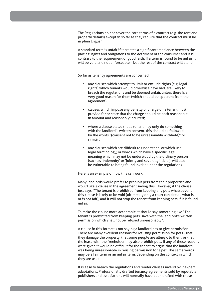The Regulations do not cover the core terms of a contract (e.g. the rent and property details) except in so far as they require that the contract must be in plain English.

A standard term is unfair if it creates a significant imbalance between the parties' rights and obligations to the detriment of the consumer and it is contrary to the requirement of good faith. If a term is found to be unfair it will be void and not enforceable – but the rest of the contract will stand.

So far as tenancy agreements are concerned:

- any clauses which attempt to limit or exclude rights (e.g. legal rights) which tenants would otherwise have had, are likely to breach the regulations and be deemed unfair, unless there is a very good reason for them (which should be apparent from the agreement);
- clauses which impose any penalty or charge on a tenant must provide for or state that the charge should be both reasonable in amount and reasonably incurred;
- where a clause states that a tenant may only do something with the landlord's written consent, this should be followed by the words "(consent not to be unreasonably withheld)" or similar;
- any clauses which are difficult to understand, or which use legal terminology, or words which have a specific legal meaning which may not be understood by the ordinary person (such as 'indemnity' or 'jointly and severally liable'), will also be vulnerable to being found invalid under the regulations.

Here is an example of how this can work.

Many landlords would prefer to prohibit pets from their properties and would like a clause in the agreement saying this. However, if the clause just says, "The tenant is prohibited from keeping any pets whatsoever", this clause is likely to be void (ultimately only a court can decide what is or is not fair), and it will not stop the tenant from keeping pets if it is found unfair.

To make the clause more acceptable, it should say something like "The tenant is prohibited from keeping pets, save with the landlord's written permission which shall not be refused unreasonably".

A clause in this format is not saying a landlord has to give permission. There are many excellent reasons for refusing permission for pets - that they damage the property, that some people are allergic to them, or that the lease with the freeholder may also prohibit pets. If any of these reasons were given it would be difficult for the tenant to argue that the landlord was being unreasonable in reusing permission for a pet. The same words may be a fair term or an unfair term, depending on the context in which they are used.

It is easy to breach the regulations and render clauses invalid by inexpert adaptations. Professionally drafted tenancy agreements sold by reputable publishers and associations will normally have been drafted with these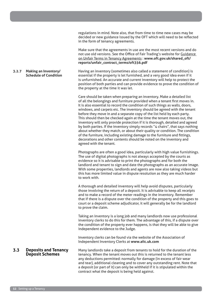regulations in mind. Note also, that from time to time new cases may be decided or new guidance issued by the OFT which will need to be reflected in the form of tenancy agreements.

Make sure that the agreements in use are the most recent versions and do not use old versions. See the Office of Fair Trading's website for Guidance on Unfair Terms in Tenancy Agreements : **www.oft.gov.uk/shared\_oft/ reports/unfair\_contract\_terms/oft356.pdf**

Having an inventory (sometimes also called a statement of condition) is essential if the property is let furnished, and a very good idea even if it is unfurnished. An accurate and current inventory will help to protect the position of both parties and can provide evidence to prove the condition of the property at the time it was let.

Care should be taken when preparing an inventory. Make a detailed list of all the belongings and furniture provided when a tenant first moves in. It is also essential to record the condition of such things as walls, doors, windows, and carpets etc. The inventory should be agreed with the tenant before they move in and a separate copy of the list held by each party. This should then be checked again at the time the tenant moves out, the inventory will only provide protection if it is thorough, detailed and agreed by both parties. If the inventory simply records "4 chairs", that says nothing about whether they match, or about their quality or condition. The condition of the furniture, including existing damage to the furniture and fittings, decorations and other contents should be noted on the inventory and agreed with the tenant.

Photographs are often a good idea, particularly with high value furnishings. The use of digital photographs is not always accepted by the courts as evidence so it is advisable to print the photographs and for both the landlord and tenant to sign and date the photographs as an accurate image. With some properties, landlords and agents are now also taking videos but this has more limited value in dispute resolution as they are much harder to work with.

A thorough and detailed inventory will help avoid disputes, particularly those involving the return of a deposit. It is advisable to keep all receipts and to make a record of the meter readings in the inventory. Remember that if there is a dispute over the condition of the property and this goes to court or a deposit scheme adjudicator, it will generally be for the landlord to prove the claim.

Taking an inventory is a long job and many landlords now use professional inventory clerks to do this for them. The advantage of this, if a dispute over the condition of the property ever happens, is that they will be able to give independent evidence to the Judge.

Inventory clerks can be found via the website of the Association of Independent Inventory Clerks at **www.aiic.uk.com**

# **3.3 Deposits and Tenancy Deposit Schemes**

Many landlords take a deposit from tenants to hold for the duration of the tenancy. When the tenant moves out this is returned to the tenant less any deductions permitted: normally for damage (in excess of fair wear and tear), additional cleaning and to cover any outstanding rent. Note that a deposit (or part of it) can only be withheld if it is stipulated within the contract what the deposit is being held against.

**3.2.7 Making an Inventory/** 

**Schedule of Condition**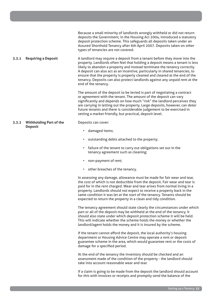|       |                                                  | Because a small minority of landlords wrongly withheld or did not return<br>deposits the Government, in the Housing Act 2004, introduced a statutory<br>deposit protection scheme. This safeguards all deposits taken under an<br>Assured Shorthold Tenancy after 6th April 2007. Deposits taken on other<br>types of tenancies are not covered.                                                                                                                                                          |
|-------|--------------------------------------------------|-----------------------------------------------------------------------------------------------------------------------------------------------------------------------------------------------------------------------------------------------------------------------------------------------------------------------------------------------------------------------------------------------------------------------------------------------------------------------------------------------------------|
| 3.3.1 | <b>Requiring a Deposit</b>                       | A landlord may require a deposit from a tenant before they move into the<br>property. Landlords often feel that holding a deposit means a tenant is less<br>likely to abandon a property and instead terminate the tenancy correctly.<br>A deposit can also act as an incentive, particularly in shared tenancies, to<br>ensure that the property is properly cleaned and cleared at the end of the<br>tenancy. Deposits can also protect landlords against any unpaid rent at the<br>end of the tenancy. |
|       |                                                  | The amount of the deposit to be levied is part of negotiating a contract<br>or agreement with the tenant. The amount of the deposit can vary<br>significantly and depends on how much "risk" the landlord perceives they<br>are carrying in letting out the property. Large deposits, however, can deter<br>future tenants and there is considerable judgement to be exercised in<br>setting a market friendly, but practical, deposit level.                                                             |
| 3.3.2 | <b>Withholding Part of the</b><br><b>Deposit</b> | Deposits can cover:<br>damaged items;<br>$\bullet$<br>outstanding debts attached to the property;<br>$\bullet$<br>failure of the tenant to carry out obligations set out in the<br>$\bullet$<br>tenancy agreement such as cleaning;<br>non-payment of rent;<br>$\bullet$<br>$\bullet$                                                                                                                                                                                                                     |
|       |                                                  | other breaches of the tenancy.                                                                                                                                                                                                                                                                                                                                                                                                                                                                            |

In assessing any damage, allowance must be made for fair wear and tear, the cost of which is not deductible from the deposit. Fair wear and tear is paid for in the rent charged. Wear and tear arises from normal living in a property. Landlords should not expect to receive a property back in the same condition it was let at the start of the tenancy. Tenants should be expected to return the property in a clean and tidy condition.

The tenancy agreement should state clearly the circumstances under which part or all of the deposit may be withheld at the end of the tenancy. It should also state under which deposit protection scheme it will be held. This will indicate whether the scheme holds the money or whether the landlord/agent holds the money and it is insured by the scheme.

If the tenant cannot afford the deposit, the local authority's housing department or Housing Advice Centre may operate a rent or deposit guarantee scheme in the area, which would guarantee rent or the costs of damage for a specified period.

At the end of the tenancy the inventory should be checked and an assessment made of the condition of the property - the landlord should take into account reasonable wear and tear.

If a claim is going to be made from the deposit the landlord should account for this with invoices or receipts and promptly send the balance of the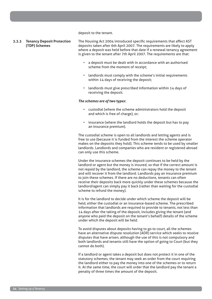deposit to the tenant.

#### **3.3.3 Tenancy Deposit Protection (TDP) Schemes**

The Housing Act 2004 introduced specific requirements that affect AST deposits taken after 6th April 2007. The requirements are likely to apply where a deposit was held before that date if a renewal tenancy agreement is given to the tenant after 7th April 2007. The requirements are that:

- a deposit must be dealt with in accordance with an authorised scheme from the moment of receipt;
- landlords must comply with the scheme's initial requirements within 14 days of receiving the deposit;
- landlords must give prescribed information within 14 days of receiving the deposit.

#### *The schemes are of two types:*

- custodial (where the scheme administrators hold the deposit and which is free of charge), or;
- insurance (where the landlord holds the deposit but has to pay an insurance premium).

The custodial scheme is open to all landlords and letting agents and is free to use (because it is funded from the interest the scheme operator makes on the deposits they hold). This scheme tends to be used by smaller landlords. Landlords and companies who are resident or registered abroad can only use this scheme.

Under the insurance schemes the deposit continues to be held by the landlord or agent but the money is insured, so that if the correct amount is not repaid by the landlord, the scheme can repay the money to the tenant and will recover it from the landlord. Landlords pay an insurance premium to join these schemes. If there are no deductions, tenants can often receive their deposits back more quickly under these schemes because the landlord/agent can simply pay it back (rather than waiting for the custodial scheme to refund the money).

It is for the landlord to decide under which scheme the deposit will be held, either the custodial or an insurance-based scheme. The prescribed information that landlords are required to provide to tenants, not less than 14 days after the taking of the deposit, includes giving the tenant (and anyone who paid the deposit on the tenant's behalf) details of the scheme under which the deposit will be held.

To avoid disputes about deposits having to go to court, all the schemes have an alternative dispute resolution (ADR) service which seeks to resolve disputes that have arisen, although the use of this is not compulsory and both landlords and tenants still have the option of going to Court (but they cannot do both).

If a landlord or agent takes a deposit but does not protect it in one of the statutory schemes, the tenant may seek an order from the court requiring the landlord either to pay the money into one of the schemes or to return it. At the same time, the court will order that the landlord pay the tenant a penalty of three times the amount of the deposit.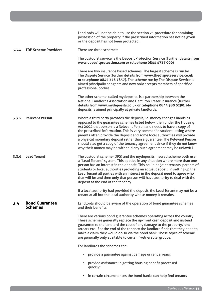|       |                                         | Landlords will not be able to use the section 21 procedure for obtaining<br>possession of the property if the prescribed information has not be given<br>or the deposit has not been protected.                                                                                                                                                                                                                                                                                                                                                                                                                  |
|-------|-----------------------------------------|------------------------------------------------------------------------------------------------------------------------------------------------------------------------------------------------------------------------------------------------------------------------------------------------------------------------------------------------------------------------------------------------------------------------------------------------------------------------------------------------------------------------------------------------------------------------------------------------------------------|
| 3.3.4 | <b>TDP Scheme Providers</b>             | There are three schemes:                                                                                                                                                                                                                                                                                                                                                                                                                                                                                                                                                                                         |
|       |                                         | The custodial service is the Deposit Protection Service (Further details from<br>www.depositprotection.com or telephone 0844 4727 000)                                                                                                                                                                                                                                                                                                                                                                                                                                                                           |
|       |                                         | There are two insurance based schemes. The largest scheme is run by<br>The Dispute Service (further details from www.thedisputeservice.co.uk<br>or telephone 0845 226 7837). The scheme run by The Dispute Service is<br>aimed principally at agents and now only accepts members of specified<br>professional bodies.                                                                                                                                                                                                                                                                                           |
|       |                                         | The other scheme, called mydeposits, is a partnership between the<br>National Landlords Association and Hamilton Fraser Insurance (further<br>details from www.mydeposits.co.uk or telephone 0844 980 0290) My<br>deposits is aimed principally at private landlords.                                                                                                                                                                                                                                                                                                                                            |
| 3.3.5 | <b>Relevant Person</b>                  | Where a third party provides the deposit, i.e. money changes hands as<br>opposed to the guarantee schemes listed below, then under the Housing<br>Act 2004 that person is a Relevant Person and needs to have a copy of<br>the prescribed information. This is very common in student letting where<br>parents often provide the deposit and some local authorities will provide<br>a physical monetary deposit rather than a guarantee. The Relevant Person<br>should also get a copy of the tenancy agreement since if they do not know<br>why their money may be withheld any such agreement may be unlawful. |
| 3.3.6 | <b>Lead Tenant</b>                      | The custodial scheme (DPS) and the mydeposits insured scheme both use<br>a "Lead Tenant" system. This applies in any situation where more than one<br>person has an interest in the deposit. This could be joint tenants, parents of<br>students or local authorities providing an actual deposit. In setting up the<br>Lead Tenant all parties with an interest in the deposit need to agree who<br>that will be and then only that person will have authority to deal with the<br>deposit at the end of the tenancy.                                                                                           |
|       |                                         | If a local authority had provided the deposit, the Lead Tenant may not be a<br>tenant at all but the local authority whose money it remains.                                                                                                                                                                                                                                                                                                                                                                                                                                                                     |
| 3.4   | <b>Bond Guarantee</b><br><b>Schemes</b> | Landlords should be aware of the operation of bond guarantee schemes<br>and their benefits.                                                                                                                                                                                                                                                                                                                                                                                                                                                                                                                      |
|       |                                         | There are various bond guarantee schemes operating across the country.<br>These schemes generally replace the up-front cash deposit and instead<br>guarantee to the landlord the cost of any damage to the property/rent<br>arrears etc. If at the end of the tenancy the landlord finds that they need to<br>make a claim they would do so via the bond bank. These types of scheme<br>are generally only available to certain 'vulnerable' groups.                                                                                                                                                             |
|       |                                         | For landlords the schemes can:                                                                                                                                                                                                                                                                                                                                                                                                                                                                                                                                                                                   |
|       |                                         | provide a guarantee against damage or rent arrears;<br>$\bullet$                                                                                                                                                                                                                                                                                                                                                                                                                                                                                                                                                 |
|       |                                         | provide assistance in getting housing benefit processed<br>quickly;                                                                                                                                                                                                                                                                                                                                                                                                                                                                                                                                              |

• in certain circumstances the bond banks can help find tenants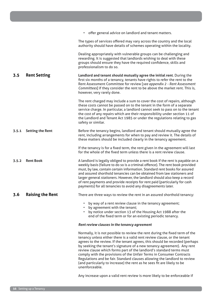|       |                         | • offer general advice on landlord and tenant matters.                                                                                                                                                                                                                                                                                                                                                                                                                                                                                                                                                                                        |
|-------|-------------------------|-----------------------------------------------------------------------------------------------------------------------------------------------------------------------------------------------------------------------------------------------------------------------------------------------------------------------------------------------------------------------------------------------------------------------------------------------------------------------------------------------------------------------------------------------------------------------------------------------------------------------------------------------|
|       |                         | The types of services offered may vary across the country and the local<br>authority should have details of schemes operating within the locality.                                                                                                                                                                                                                                                                                                                                                                                                                                                                                            |
|       |                         | Dealing appropriately with vulnerable groups can be challenging and<br>rewarding. It is suggested that landlords wishing to deal with these<br>groups should ensure they have the required confidence, skills and<br>professionalism to do so.                                                                                                                                                                                                                                                                                                                                                                                                |
| 3.5   | <b>Rent Setting</b>     | Landlord and tenant should mutually agree the initial rent. During the<br>first six months of a tenancy, tenants have rights to refer the rent to the<br>Rent Assessment Committee for review [see appendix 2 - Rent Assessment<br>Committees] if they consider the rent to be above the market rent. This is,<br>however, very rarely done.                                                                                                                                                                                                                                                                                                  |
|       |                         | The rent charged may include a sum to cover the cost of repairs, although<br>these costs cannot be passed on to the tenant in the form of a separate<br>service charge. In particular, a landlord cannot seek to pass on to the tenant<br>the cost of any repairs which are their responsibility under section 11 of<br>the Landlord and Tenant Act 1985 or under the regulations relating to gas<br>safety or similar.                                                                                                                                                                                                                       |
| 3.5.1 | <b>Setting the Rent</b> | Before the tenancy begins, landlord and tenant should mutually agree the<br>rent, including arrangements for when to pay and review it. The details of<br>these matters should be included clearly in the tenancy agreement.                                                                                                                                                                                                                                                                                                                                                                                                                  |
|       |                         | If the tenancy is for a fixed term, the rent given in the agreement will last<br>for the whole of the fixed term unless there is a rent review clause.                                                                                                                                                                                                                                                                                                                                                                                                                                                                                        |
| 3.5.2 | <b>Rent Book</b>        | A landlord is legally obliged to provide a rent book if the rent is payable on a<br>weekly basis (failure to do so is a criminal offence). The rent book provided<br>must, by law, contain certain information. Standard rent books for assured<br>and assured shorthold tenancies can be obtained from law stationers and<br>larger general stationers. However, the landlord should also keep a record<br>of rent payments and provide receipts for rent paid (particularly for cash<br>payments) for all tenancies to avoid any disagreements later.                                                                                       |
| 3.6   | <b>Raising the Rent</b> | There are three ways to review the rent in an assured shorthold tenancy:                                                                                                                                                                                                                                                                                                                                                                                                                                                                                                                                                                      |
|       |                         | by way of a rent review clause in the tenancy agreement;<br>by agreement with the tenant;<br>by notice under section 13 of the Housing Act 1988 after the<br>end of the fixed term or for an existing periodic tenancy.                                                                                                                                                                                                                                                                                                                                                                                                                       |
|       |                         | Rent review clauses in the tenancy agreement                                                                                                                                                                                                                                                                                                                                                                                                                                                                                                                                                                                                  |
|       |                         | Normally, it is not possible to review the rent during the fixed term of the<br>tenancy unless either there is a valid rent review clause, or the tenant<br>agrees to the review. If the tenant agrees, this should be recorded (perhaps<br>by seeking the tenant's signature of a new tenancy agreement). Any rent<br>review clause which forms part of the landlord's standard terms must<br>comply with the provisions of the Unfair Terms in Consumer Contracts<br>Regulations and be fair. Standard clauses allowing the landlord to review<br>(and particularly to increase) the rent as he sees fit are likely to be<br>unenforceable. |
|       |                         |                                                                                                                                                                                                                                                                                                                                                                                                                                                                                                                                                                                                                                               |

Any increase upon a valid rent review is more likely to be enforceable if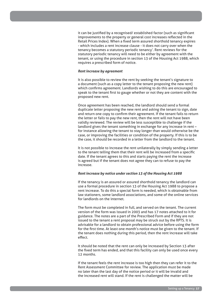it can be justified by a recognised/ established factor (such as significant improvements to the property or general cost increases reflected in the Retail Prices Index). When a fixed term assured shorthold tenancy expires - which includes a rent increase clause - it does not carry over when the tenancy becomes a statutory periodic tenancy'. Rent reviews for the statutory periodic tenancy will need to be either by agreement with the tenant, or using the procedure in section 13 of the Housing Act 1988, which requires a prescribed form of notice.

#### *Rent increase by agreement*

It is also possible to review the rent by seeking the tenant's signature to a document (such as a copy letter to the tenant proposing the new rent) which confirms agreement. Landlords wishing to do this are encouraged to speak to the tenant first to gauge whether or not they are content with the proposed new rent.

Once agreement has been reached, the landlord should send a formal duplicate letter proposing the new rent and asking the tenant to sign, date and return one copy to confirm their agreement. If the tenant fails to return the letter or fails to pay the new rent, then the rent will not have been validly reviewed. The review will be less susceptible to challenge if the landlord gives the tenant something in exchange for any increase in rent – for instance allowing the tenant to stay longer than would otherwise be the case, or improving the facilities or condition of the property. If this is to be the case, it should be recorded in a letter from the landlord to the tenant.

It is not possible to increase the rent unilaterally by simply sending a letter to the tenant telling them that their rent will be increased from a specific date. If the tenant agrees to this and starts paying the rent the increase is agreed but if the tenant does not agree they can to refuse to pay the increase.

#### *Rent increase by notice under section 13 of the Housing Act 1988*

If the tenancy is an assured or assured shorthold tenancy the landlord can use a formal procedure in section 13 of the Housing Act 1988 to propose a rent increase. To do this a special form is needed, which is obtainable from law stationers, some landlord associations, and some of the online services for landlords on the internet.

The form must be completed in full, and served on the tenant. The current version of the form was issued in 2003 and has 17 notes attached to it for guidance. The notes are a part of the Prescribed Form and if they are not issued to the tenant a rent proposal may be struck out by the RPTS. It is advisable for a landlord to obtain professional advice before using the form for the first time. At least one month's notice must be given to the tenant. If the tenant does nothing during this period, then the rent increase will take effect.

It should be noted that the rent can only be increased by Section 13 after the fixed term has ended, and that this facility can only be used once every 12 months.

If the tenant feels the rent increase is too high then they can refer it to the Rent Assessment Committee for review. The application must be made no later than the last day of the notice period or it will be invalid and the increased rent will stand. If the rent is challenged the matter will be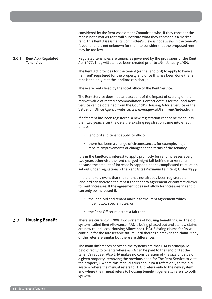|       |                                                 | considered by the Rent Assessment Committee who, if they consider the<br>rent is not a market rent, will substitute what they consider is a market<br>rent. This Rent Assessments Committee's view is not always in the tenant's<br>favour and it is not unknown for them to consider that the proposed rent<br>may be too low.                                              |
|-------|-------------------------------------------------|------------------------------------------------------------------------------------------------------------------------------------------------------------------------------------------------------------------------------------------------------------------------------------------------------------------------------------------------------------------------------|
| 3.6.1 | <b>Rent Act (Regulated)</b><br><b>Tenancies</b> | Regulated tenancies are tenancies governed by the provisions of the Rent<br>Act 1977. They will all have been created prior to 15th January 1989.                                                                                                                                                                                                                            |
|       |                                                 | The Rent Act provides for the tenant (or the landlord) to apply to have a<br>'fair rent' registered for the property and once this has been done the fair<br>rent is the only rent the landlord can charge.                                                                                                                                                                  |
|       |                                                 | These are rents fixed by the local office of the Rent Service.                                                                                                                                                                                                                                                                                                               |
|       |                                                 | The Rent Service does not take account of the impact of scarcity on the<br>market value of rented accommodation. Contact details for the local Rent<br>Service can be obtained from the Council's Housing Advice Service or the<br>Valuation Office Agency website: www.voa.gov.uk/fair_rent/index.htm.                                                                      |
|       |                                                 | If a fair rent has been registered, a new registration cannot be made less<br>than two years after the date the existing registration came into effect<br>unless:                                                                                                                                                                                                            |
|       |                                                 | • landlord and tenant apply jointly. or                                                                                                                                                                                                                                                                                                                                      |
|       |                                                 | there has been a change of circumstances, for example, major<br>$\bullet$<br>repairs, improvements or changes in the terms of the tenancy.                                                                                                                                                                                                                                   |
|       |                                                 | It is in the landlord's interest to apply promptly for rent increases every<br>two years otherwise the rent charged might fall behind market rents<br>because the amount of increase is capped under a complicated calculation<br>set out under regulations - The Rent Acts (Maximum Fair Rent) Order 1999.                                                                  |
|       |                                                 | In the unlikely event that the rent has not already been registered a<br>landlord can increase the rent if the tenancy agreement or contract allows<br>for rent increases. If the agreement does not allow for increases in rent it<br>can only be increased if:                                                                                                             |
|       |                                                 | • the landlord and tenant make a formal rent agreement which<br>must follow special rules; or                                                                                                                                                                                                                                                                                |
|       |                                                 | the Rent Officer registers a fair rent.<br>$\bullet$                                                                                                                                                                                                                                                                                                                         |
| 3.7   | <b>Housing Benefit</b>                          | There are currently (2009) two systems of housing benefit in use. The old<br>system, called Rent Allowance (RA), is being phased out and all new claims<br>are now called Local Housing Allowance (LHA). Existing claims for RA will<br>continue for the foreseeable future until there is a break in the claim. Many<br>of the rules are similar but there are differences. |
|       |                                                 | The main differences between the systems are that LHA is principally<br>paid directly to tenants where as RA can be paid to the landlord at the<br>tenant's request. Also LHA makes no consideration of the size or value of<br>a given property (removing the previous need for The Rent Service to visit                                                                   |

the property). Where this manual talks about RA it refers only to the old system, where the manual refers to LHA it refers only to the new system and where the manual refers to housing benefit it generally refers to both systems.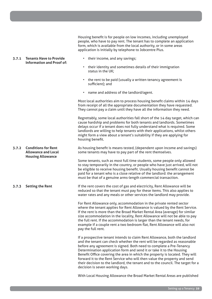Housing benefit is for people on low incomes, including unemployed people, who have to pay rent. The tenant has to complete an application form, which is available from the local authority, or in some areas application is initially by telephone to Jobcentre Plus.

- their income, and any savings;
- their identity and sometimes details of their immigration status in the UK;
- the rent to be paid (usually a written tenancy agreement is sufficient); and
- name and address of the landlord/agent.

Most local authorities aim to process housing benefit claims within 14 days from receipt of all the appropriate documentation they have requested. They cannot pay a claim until they have all the information they need.

Regrettably, some local authorities fall short of the 14 day target, which can cause hardship and problems for both tenants and landlords. Sometimes delays occur if a tenant does not fully understand what is required. Some landlords are willing to help tenants with their applications, whilst others might form a view about a tenant's suitability if they are applying for housing benefit.

**3.7.2 Conditions for Rent**  As housing benefit is means tested, (dependent upon income and savings) some tenants may have to pay part of the rent themselves.

> Some tenants, such as most full time students, some people only allowed to stay temporarily in the country, or people who have just arrived, will not be eligible to receive housing benefit. Usually housing benefit cannot be paid for a tenant who is a close relative of the landlord: the arrangement must be that of a genuine arms-length commercial transaction.

If the rent covers the cost of gas and electricity, Rent Allowance will be reduced so that the tenant must pay for these items. This also applies to water rates and any meals or other services the landlord may provide.

For Rent Allowance only, accommodation in the private rented sector where the tenant applies for Rent Allowance is valued by the Rent Service. If the rent is more than the Broad Market Rental Area (average) for similar size accommodation in the locality, Rent Allowance will not be able to pay the full rent. If the accommodation is larger than the tenant needs, for example if a couple rent a two bedroom flat, Rent Allowance will also not pay the full rent.

If a prospective tenant intends to claim Rent Allowance, both the landlord and the tenant can check whether the rent will be regarded as reasonable before any agreement is signed. Both need to complete a Pre-Tenancy Determination application form and send it or take it to the Housing Benefit Office covering the area in which the property is located. They will forward it to the Rent Service who will then value the property and send their decision to the landlord, the tenant and to the council. The target for a decision is seven working days.

With Local Housing Allowance the Broad Market Rental Areas are published

#### **3.7.1 Tenants Have to Provide Information and Proof of:**

**Allowance and Local Housing Allowance**

**3.7.3 Setting the Rent**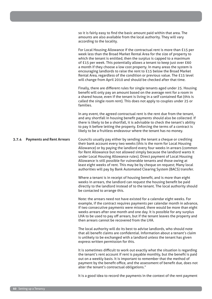**3.7.4 Payments and Rent Arrears** amounts are also available from the local authority. They will vary according to the locality. For Local Housing Allowance if the contractual rent is more than £15 per week less than the Broad Market Rental Area for the size of property to which the tenant is entitled, then the surplus is capped to a maximum of £15 per week. This potentially allows a tenant to keep just over £60 a month if they choose a low cost property. In many areas the system is encouraging landlords to raise the rent to £15 below the Broad Market Rental Area, regardless of the condition or previous value. The £15 level will change from April 2010 and should be checked after that time. Finally, there are different rules for single tenants aged under 25. Housing benefit will only pay an amount based on the average rent for a room in a shared house, even if the tenant is living in a self contained flat (this is called the single room rent). This does not apply to couples under 25 or families. In any event, the agreed contractual rent is the rent due from the tenant, and any shortfall in housing benefit payments should also be collected. If there is likely to be a shortfall, it is advisable to check the tenant's ability to pay it before letting the property. Enforcing the terms of a contract is likely to be a fruitless endeavour where the tenant has no money. Councils usually pay either by sending the tenant a cheque or crediting their bank account every two weeks (this is the norm for Local Housing Allowance) or by paying the landlord every four weeks in arrears (common for Rent Allowance but not allowed simply because the landlord wants it under Local Housing Allowance rules). Direct payment of Local Housing Allowance is still possible for vulnerable tenants and those owing at least eight weeks of rent. This may be by cheque on request; Many local authorities will pay by Bank Automated Clearing System (BACS) transfer. Where a tenant is in receipt of housing benefit, and is more than eight weeks in arrears, the landlord can request the housing benefit be paid directly to the landlord instead of to the tenant. The local authority should be contacted to arrange this. Note: the arrears need not have existed for a calendar eight weeks. For example, if the contract requires payments per calendar month in advance, if two consecutive payments were missed, there would be more than eight weeks arrears after one month and one day. It is possible for any surplus LHA to be used to pay off arrears, but if the tenant leaves the property and then arrears cannot be recovered from the LHA. The local authority will do its best to advise landlords, who should note that all benefit claims are confidential. Information about a tenant's claim is unlikely to be exchanged with a landlord unless the tenant has given express written permission for this.

so it is fairly easy to find the basic amount paid within that area. The

It is sometimes difficult to work out exactly what the situation is regarding the tenant's rent account if rent is payable monthly, but the benefit is paid out on a weekly basis. It is important to remember that the method of payment by the benefit office, and the assessment of benefit due, does not alter the tenant's contractual obligations."

It is a good idea to record the payments in the context of the rent payment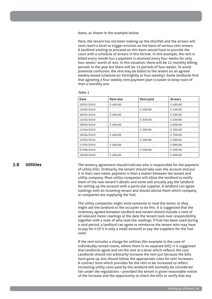dates, as shown in the example below.

Here, the tenant has not been making up the shortfall and the arrears will soon reach a level to trigger eviction on the basis of serious rent arrears. A landlord wishing to proceed on this basis would have to provide the court with a schedule of arrears in this format. In this example, the rent is billed every month but a payment is received every four weeks for only four weeks' worth of rent. In this situation, there will be 12 monthly billing periods in the year but there will be 13 periods of four weeks. To avoid potential confusion, the rent may be billed to the tenant on an agreed weekly-based schedule (or fortnightly or four-weekly). Some landlords find that agreeing a four-weekly rent payment plan is easier to keep track of than a monthly one.

| Table 1 |  |
|---------|--|
|---------|--|

| <b>Date</b> | <b>Rent due</b> | <b>Rent paid</b> | <b>Arrears</b> |
|-------------|-----------------|------------------|----------------|
| 18/01/2010  | £400.00         |                  | £400.00        |
| 15/02/2010  |                 | £300.00          | £100.00        |
| 18/02/2010  | £400.00         |                  | £500.00        |
| 15/03/2010  |                 | £300.00          | £200.00        |
| 18/03/2010  | £400.00         |                  | £600.00        |
| 12/04/2010  |                 | £300.00          | £300.00        |
| 18/04/2010  | £400.00         | -                | £700.00        |
| 10/05/2010  |                 | £300.00          | £400.00        |
| 17/05/2010  | £400.00         |                  | £800.00        |
| 07/06/2010  |                 | £300.00          | £500.00        |
| 18/06/2010  | £400.00         |                  | £900.00        |

#### **3.8 Utilities**

The tenancy agreement should indicate who is responsible for the payment of utility bills. Ordinarily the tenant should take over the account and put it in their own name, payment is then a matter between the tenant and utility company. Most utility companies will allow the landlord to notify them of the new tenant's details and some will actually pay the landlord for setting up the account with a particular supplier. A landlord can agree readings with an incoming tenant and should advise them which company or companies are supplying the fuel.

The utility companies might send someone to read the meter, or they might ask the landlord or the occupier to do this. It is suggested that the inventory agreed between landlord and tenant should include a note of all relevant meter readings at the date the tenant took over responsibility, together with a note of who took the readings. If fuel has been used during a void period, a landlord can agree to reimburse the tenant who may have to pay for it (if it is only a small amount) or pay the suppliers for the fuel used.

If the rent includes a charge for utilities (for example in the case of individually rented rooms, where there is no separate bill), it is suggested that landlords agree and set the rent at a level which reflects the cost. Landlords should not arbitrarily increase the rent just because the bills have gone up, but should follow the appropriate rules for rent increases. A contract term which provides for the rent to be increased to reflect increasing utility costs paid by the landlord will normally be considered fair under the regulations – provided the tenant is given reasonable notice of the increase and the opportunity to check the bills to verify that any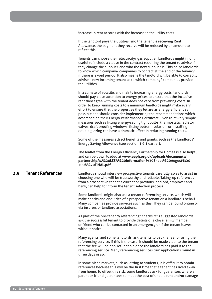increase in rent accords with the increase in the utility costs.

If the landlord pays the utilities, and the tenant is receiving Rent Allowance, the payment they receive will be reduced by an amount to reflect this.

Tenants can choose their electricity/ gas supplier. Landlords might find it useful to include a clause in the contract requiring the tenant to advise if they change the supplier, and who the new supplier is. This helps landlords to know which company/ companies to contact at the end of the tenancy if there is a void period. It also means the landlord will be able to correctly advise a new incoming tenant as to which company/ companies provide the utilities.

In a climate of volatile, and mainly increasing energy costs, landlords should pay close attention to energy prices to ensure that the inclusive rent they agree with the tenant does not vary from prevailing costs. In order to keep running costs to a minimum landlords might make every effort to ensure that the properties they let are as energy efficient as possible and should consider implementing the recommendations which accompanied their Energy Performance Certificate. Even relatively simple measures such as fitting energy-saving light bulbs, thermostatic radiator valves, draft proofing windows, fitting better insulation, or installing double glazing can have a dramatic effect in reducing running costs.

Some of the measures attract benefits and grants, such as the Landlords' Energy Saving Allowance (see section 1.6.1 earlier).

The leaflet from the Energy Efficiency Partnership for Homes is also helpful and can be down loaded at **www.eeph.org.uk/uploads/documents/ partnership/4.%20LESA%20Information%20Sheet%20August%20 2008%20FINAL.pdf**

#### **3.9 Tenant References** Landlords should interview prospective tenants carefully, so as to assist in choosing one who will be trustworthy and reliable. Taking-up references from a prospective tenant's current or previous landlord, employer and bank, can help to inform the tenant selection process.

Some landlords might also use a tenant referencing service, which will make checks and enquiries of a prospective tenant on a landlord's behalf. Many companies provide services such as this. They can be found online or via insurers or landlord associations.

As part of the pre-tenancy referencing/ checks, it is suggested landlords ask the successful tenant to provide details of a close family member or friend who can be contacted in an emergency or if the tenant leaves without notice.

Many agents, and some landlords, ask tenants to pay the fee for using the referencing service. If this is the case, it should be made clear to the tenant that the fee will be non-refundable once the landlord has paid it to the referencing service. Many referencing services turn applications round in three days or so.

In some niche markets, such as letting to students, it is difficult to obtain references because this will be the first time that a tenant has lived away from home. To offset this risk, some landlords ask for guarantors where a parent or friend guarantees to meet the cost of unpaid rent and/or damage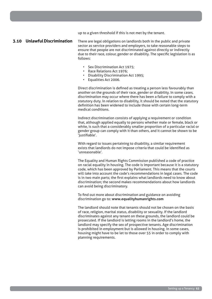up to a given threshold if this is not met by the tenant.

#### **3.10 Unlawful Discrimination**

There are legal obligations on landlords both in the public and private sector as service providers and employers, to take reasonable steps to ensure that people are not discriminated against directly or indirectly due to their race, colour, gender or disability. The specific legislation is as follows:

- Sex Discrimination Act 1975;
- Race Relations Act 1976;
- Disability Discrimination Act 1995;
- Equalities Act 2006.

Direct discrimination is defined as treating a person less favourably than another on the grounds of their race, gender or disability. In some cases, discrimination may occur where there has been a failure to comply with a statutory duty. In relation to disability, it should be noted that the statutory definition has been widened to include those with certain long-term medical conditions.

Indirect discrimination consists of applying a requirement or condition that, although applied equally to persons whether male or female, black or white, is such that a considerably smaller proportion of a particular racial or gender group can comply with it than others, and it cannot be shown to be 'justifiable'.

With regard to issues pertaining to disability, a similar requirement exists that landlords do not impose criteria that could be identified as 'unreasonable'.

The Equality and Human Rights Commission published a code of practice on racial equality in housing. The code is important because it is a statutory code, which has been approved by Parliament. This means that the courts will take into account the code's recommendations in legal cases. The code is in two main parts; the first explains what landlords need to know about discrimination; the second makes recommendations about how landlords can avoid being discriminatory.

To find out more about discrimination and guidance on avoiding discrimination go to: **www.equalityhumanrights.com**

The landlord should note that tenants should not be chosen on the basis of race, religion, marital status, disability or sexuality. If the landlord discriminates against any tenant on these grounds, the landlord could be prosecuted. If the landlord is letting rooms in the landlord's home, the landlord may specify the sex of prospective tenants. Age discrimination is prohibited in employment but is allowed in housing. In some cases, housing might have to be let to those over 55 in order to comply with planning requirements.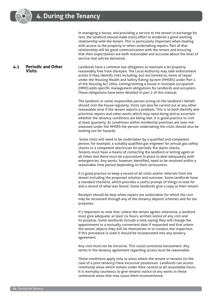In managing a house, and providing a service to the tenant in exchange for rent, the landlord should make every effort to establish a good working relationship with the tenant. This is particularly important when dealing with access to the property or when undertaking repairs. Part of that relationship will be good communication with the tenant and ensuring that their expectations are both reasonable and accurate about the level of service that will be delivered.

**Visits** Landlords have a common law obligation to maintain a let property reasonably free from disrepair. The Local Authority may take enforcement action if they identify risks including, but not limited to, items of repair under the Housing Health and Safety Rating System (HHSRS) under Part 1 of the Housing Act 2004. Letting/renting a house in multiple occupation (HMO) adds specific management obligations for landlords and occupiers. These obligations have been detailed in part 2 of this manual.

> The landlord, or some responsible person acting on the landlord's behalf, should visit the house regularly. Visits can also be carried out at any other reasonable time if the tenant reports a problem. This is to both identify and prioritise repairs and other works which may need doing and to ascertain whether the tenancy conditions are being met. It is good practice to visit at least quarterly. As conditions within residential premises are now riskassessed under the HHSRS the person undertaking the visits should also be looking out for hazards.

> Some visits will need to be undertaken by a qualified and competent person, for example, a suitably qualified gas engineer for annual gas safety checks or a competent electrician for periodic fire alarm checks. Tenants must have a means of contacting the landlord or letting agent at all times and there must be a procedure in place to deal adequately with emergencies. Any works, however identified, need to be resolved within a reasonable time period depending on their seriousness.

> It is good practice to keep a record of all visits and/or referrals from the tenant including the proposed solution and outcome. Some landlords have a standard checklist, which provides a useful prompt of things to look for and a record of what was found. Some landlords give a copy to their tenant.

Receipts should be kept when repairs are undertaken for which the cost may be recovered through any of the tenancy deposit schemes and for tax purposes.

It's important to note that: unless the tenant agrees otherwise, a landlord must give adequate, at least 24 hours, written notice of any visit and its purpose. Some landlords include a note saying they will change the appointment to a mutually convenient date if requested and that unless the tenant objects they will let themselves in to conduct the inspection. If this procedure is used it should be incorporated into any tenancy agreement.

Any visit must not be intrusive. This could constitute harassment. Any terms in the tenancy agreement regarding access must be reasonable.

These conditions apply only to areas where the tenant or tenants (in the case of a joint tenancy) have exclusive possession. Landlords can access communal areas which remain under their control at all reasonable hours. It is normally courteous to give tenants notice of any works in these communal areas that may cause them inconvenience.

# **4.1 Periodic and Other**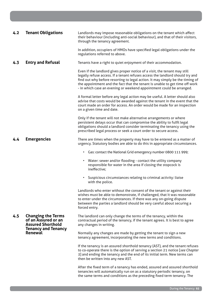| 4.2 | <b>Tenant Obligations</b>                                                    | Landlords may impose reasonable obligations on the tenant which affect<br>their behaviour (including anti-social behaviour), and that of their visitors,<br>through the tenancy agreement.                                                                                                                                                                                                         |
|-----|------------------------------------------------------------------------------|----------------------------------------------------------------------------------------------------------------------------------------------------------------------------------------------------------------------------------------------------------------------------------------------------------------------------------------------------------------------------------------------------|
|     |                                                                              | In addition, occupiers of HMOs have specified legal obligations under the<br>regulations referred to above.                                                                                                                                                                                                                                                                                        |
| 4.3 | <b>Entry and Refusal</b>                                                     | Tenants have a right to quiet enjoyment of their accommodation.                                                                                                                                                                                                                                                                                                                                    |
|     |                                                                              | Even if the landlord gives proper notice of a visit, the tenant may still<br>legally refuse access. If a tenant refuses access the landlord should try and<br>find out why before resorting to legal action. It may simply be the timing of<br>the appointment and the fact that the tenant is unable to get time off work<br>- in which case an evening or weekend appointment could be arranged. |
|     |                                                                              | A formal letter before any legal action may be useful. A letter should also<br>advise that costs would be awarded against the tenant in the event that the<br>court made an order for access. An order would be made for an inspection<br>on a given time and date.                                                                                                                                |
|     |                                                                              | Only if the tenant will not make alternative arrangements or where<br>persistent delays occur that can compromise the ability to fulfil legal<br>obligations should a landlord consider terminating the tenancy using the<br>prescribed legal process or seek a court order to secure access.                                                                                                      |
| 4.4 | <b>Emergencies</b>                                                           | There are times when the property may have to be entered as a matter of<br>urgency. Statutory bodies are able to do this in appropriate circumstances.                                                                                                                                                                                                                                             |
|     |                                                                              | Gas: contact the National Grid emergency number 0800 111 999;<br>$\bullet$                                                                                                                                                                                                                                                                                                                         |
|     |                                                                              | • Water: sewer and/or flooding - contact the utility company<br>responsible for water in the area if closing the stopcock is<br>ineffective;                                                                                                                                                                                                                                                       |
|     |                                                                              | Suspicious circumstances relating to criminal activity: liaise<br>$\bullet$<br>with the police.                                                                                                                                                                                                                                                                                                    |
|     |                                                                              | Landlords who enter without the consent of the tenant or against their<br>wishes must be able to demonstrate, if challenged, that it was reasonable<br>to enter under the circumstances. If there was any on-going dispute<br>between the parties a landlord should be very careful about securing a<br>forced entry.                                                                              |
| 4.5 | <b>Changing the Terms</b><br>of an Assured or an<br><b>Assured Shorthold</b> | The landlord can only change the terms of the tenancy, within the<br>contractual period of the tenancy, if the tenant agrees. It is best to agree<br>any changes in writing.                                                                                                                                                                                                                       |
|     | <b>Tenancy and Tenancy</b><br><b>Renewal</b>                                 | Normally any changes are made by getting the tenant to sign a new<br>tenancy agreement, incorporating the new terms and conditions.                                                                                                                                                                                                                                                                |
|     |                                                                              | If the tenancy is an assured shorthold tenancy (AST), and the tenant refuses<br>to co-operate there is the option of serving a section 21 notice [see Chapter<br>5] and ending the tenancy and the end of its initial term. New terms can<br>then be written into any new AST.                                                                                                                     |
|     |                                                                              | After the fixed term of a tenancy has ended, assured and assured shorthold<br>tenancies will automatically run on as a statutory periodic tenancy, on<br>the same terms and conditions as the preceding fixed term tenancy. The                                                                                                                                                                    |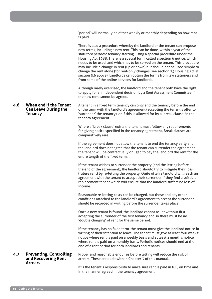'period' will normally be either weekly or monthly depending on how rent is paid.

|     |                                                                         | There is also a procedure whereby the landlord or the tenant can propose<br>new terms, including a new rent. This can be done, within a year of the<br>statutory periodic tenancy starting, using a special procedure under the<br>Housing Act 1988. There is a special form, called a section 6 notice, which<br>needs to be used, and which has to be served on the tenant. This procedure<br>may include a change in rent (up or down) but should not be used simply to<br>change the rent alone (for rent-only changes, see section 13 Housing Act at<br>section 3.6 above). Landlords can obtain the forms from law stationers and<br>from some of the online services for landlords. |
|-----|-------------------------------------------------------------------------|--------------------------------------------------------------------------------------------------------------------------------------------------------------------------------------------------------------------------------------------------------------------------------------------------------------------------------------------------------------------------------------------------------------------------------------------------------------------------------------------------------------------------------------------------------------------------------------------------------------------------------------------------------------------------------------------|
|     |                                                                         | Although rarely exercised, the landlord and the tenant both have the right<br>to apply for an independent decision by a Rent Assessment Committee if<br>the new rent cannot be agreed.                                                                                                                                                                                                                                                                                                                                                                                                                                                                                                     |
| 4.6 | When and If the Tenant<br><b>Can Leave During the</b><br><b>Tenancy</b> | A tenant in a fixed term tenancy can only end the tenancy before the end<br>of the term with the landlord's agreement (accepting the tenant's offer to<br>'surrender' the tenancy), or if this is allowed for by a 'break clause' in the<br>tenancy agreement.                                                                                                                                                                                                                                                                                                                                                                                                                             |
|     |                                                                         | Where a 'break clause' exists the tenant must follow any requirements<br>for giving notice specified in the tenancy agreement. Break clauses are<br>comparatively rare.                                                                                                                                                                                                                                                                                                                                                                                                                                                                                                                    |
|     |                                                                         | If the agreement does not allow the tenant to end the tenancy early and<br>the landlord does not agree that the tenant can surrender the agreement,<br>the tenant will be contractually obliged to pay the landlord the rent for the<br>entire length of the fixed term.                                                                                                                                                                                                                                                                                                                                                                                                                   |
|     |                                                                         | If the tenant wishes to surrender the property (end the letting before<br>the end of the agreement), the landlord should try to mitigate their loss<br>(future rent) by re-letting the property. Quite often a landlord will reach an<br>agreement with the tenant to accept their surrender if they find a suitable<br>replacement tenant which will ensure that the landlord suffers no loss of<br>income.                                                                                                                                                                                                                                                                               |
|     |                                                                         | Reasonable re-letting costs can be charged, but these and any other<br>conditions attached to the landlord's agreement to accept the surrender<br>should be recorded in writing before the surrender takes place.                                                                                                                                                                                                                                                                                                                                                                                                                                                                          |
|     |                                                                         | Once a new tenant is found, the landlord cannot re-let without first<br>accepting the surrender of the first tenancy and so there must be no<br>'double charging' of rent for the same period.                                                                                                                                                                                                                                                                                                                                                                                                                                                                                             |
|     |                                                                         | If the tenancy has no fixed term, the tenant must give the landlord notice in<br>writing of their intention to leave. The tenant must give at least four weeks'<br>notice where rent is paid on a weekly basis and at least a month's notice<br>where rent is paid on a monthly basis. Periodic notices should end at the<br>end of a rent period for both landlords and tenants.                                                                                                                                                                                                                                                                                                          |
| 4.7 | <b>Preventing, Controlling</b><br>and Recovering Rent<br><b>Arrears</b> | Proper and reasonable enquires before letting will reduce the risk of<br>arrears. These are dealt with in Chapter 3 of this manual.                                                                                                                                                                                                                                                                                                                                                                                                                                                                                                                                                        |
|     |                                                                         | It is the tenant's responsibility to make sure rent is paid in full, on time and                                                                                                                                                                                                                                                                                                                                                                                                                                                                                                                                                                                                           |

in the manner agreed in the tenancy agreement.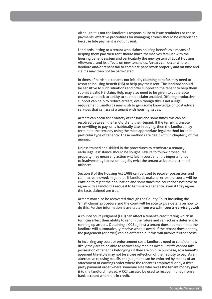Although it is not the landlord's responsibility to issue reminders or chase payments, effective procedures for managing arrears should be established because late payment is not unusual.

Landlords letting to a tenant who claims housing benefit as a means of helping them pay their rent should make themselves familiar with the housing benefit system and particularly the new system of Local Housing Allowance, and its effects on new tenancies. Arrears can occur where a landlord and/or tenant fail to complete paperwork properly and on time and claims may then not be back-dated.

In times of hardship, tenants not initially claiming benefits may need to resort to housing benefit (HB) to help pay their rent. The landlord should be sensitive to such situations and offer support to the tenant to help them submit a valid HB claim. Help may also need to be given to vulnerable tenants who lack to ability to submit a claim unaided. Offering productive support can help to reduce arrears, even though this is not a legal requirement. Landlords may wish to gain some knowledge of local advice services that can assist a tenant with housing issues.

Arrears can occur for a variety of reasons and sometimes this can be resolved between the landlord and their tenant. If the tenant is unable or unwilling to pay, or is habitually late in paying, then the landlord may terminate the tenancy using the most appropriate legal method for that particular type of tenancy. These methods are dealt with in chapter 5 of this manual.

Unless trained and skilled in the procedures to terminate a tenancy early legal assistance should be sought. Failure to follow procedures properly may mean any action will fail in court and it is important not to inadvertently harass or illegally evict the tenant as both are criminal offences.

Section 8 of the Housing Act 1988 can be used to recover possession and claim arrears owed. In general, if landlords make an error, the courts will be entitled to reject the application and sometimes the court does not have to agree with a landlord's request to terminate a tenancy, even if they agree the facts claimed are true.

Arrears may also be recovered through the County Court including the 'small claims' procedure and the court will be able to give details on how to do this. Further information is available from **www.hmcourts-service.gov.uk**

A county court judgment (CCJ) can affect a tenant's credit rating which in turn can affect their ability to rent in the future and can act as a deterrent to running up arrears. Obtaining a CCJ against a tenant does not mean that the landlord will automatically receive what is owed. If the tenant does not pay, the judgement (or order) can be enforced but this will involve further costs.

In incurring any court or enforcement costs landlords need to consider how likely they are to be able to recover any monies owed. Bailiffs cannot take possession of tenant's belongings if they are on hire purchase, so a tenant's apparent life-style may not be a true reflection of their ability to pay. As an alternative to using bailiffs, the judgment can be enforced by means of an attachment of earnings order where the tenant is employed, or by a third party payment order where someone else who owes the tenant money pays it to the landlord instead. A CCJ can also be used to recover money from a bank account when it is in credit.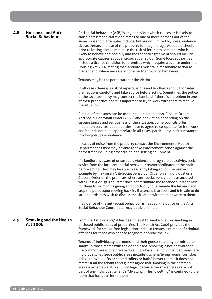### **4.8 Nuisance and Anti-Social Behaviour**

Anti social behaviour (ASB) is any behaviour which causes or is likely to cause harassment, alarm or distress to one or more persons not of the same household. Examples include, but are not limited to, noise, violence, abuse, threats and use of the property for illegal drugs. Adequate checks prior to letting should minimise the risk of letting to someone who is likely to behave anti-socially and the tenancy agreement should include appropriate clauses about anti-social behaviour. Some local authorities include a licence condition for premises which require a licence under the Housing Act 2004 stating that landlords must take reasonable action to prevent and, where necessary, to remedy anti-social behaviour.

Tenants may be the perpetrator or the victim.

In all cases there is a risk of repercussions and landlords should consider their actions carefully and take advice before acting. Sometimes the police or the local authority may contact the landlord if there is a problem in one of their properties and it is important to try to work with them to resolve the situation.

A range of measures can be used including mediation, Closure Orders, Anti Social Behaviour Order (ASBO) and/or eviction depending on the circumstances and seriousness of the situation. Some councils offer mediation services but all parties have to agree to co-operate for it to work and it tends not to be appropriate in all cases, particularly in circumstances involving drugs or violence.

In cases of noise from the property contact the Environmental Health Department as they may be able to take enforcement action against the perpetrator including prosecution and seizing equipment.

If a landlord is aware of or suspects violence or drug-related activity, seek advice from the local anti-social behaviour team/coordinator or the police before acting. They may be able to assist by taking action themselves, for example by making an Anti-Social Behaviour Order on an individual or a Closure Order on the premises where anti-social behaviour is associated with Class A drugs. The latter does not terminate the tenancy but it can last for three to six months giving an opportunity to terminate the tenancy and stop the perpetrator moving back in. If a tenant is at fault, and it is safe to do so, landlords may wish to discuss the situation with them or write to them.

If evidence of the anti-social behaviour is needed, the police or the Anti Social Behaviour Coordinator may be able to help.

**4.9 Smoking and the Health Act 2006** From the 1st July 2007 it has been illegal to smoke or allow smoking in enclosed public areas of properties. The Health Act 2006 provides the framework for smoke-free legislation and also creates a number of criminal offences for those who choose to ignore or break the law.

> Tenants of individually let rooms (and their guests) are only permitted to smoke in those rooms with the door closed. Smoking is not permitted in the common areas of a private dwelling where the individual bedrooms are individually let. Such public areas include kitchens/living rooms, corridors, halls, stairwells, lifts or shared toilets or bath/shower rooms. It does not matter if all the tenants and guests agree that smoking in the common areas is acceptable, it is still not legal, because the shared areas are not part of any individual tenant's "dwelling". The "dwelling" is confined to the room that has been let to them.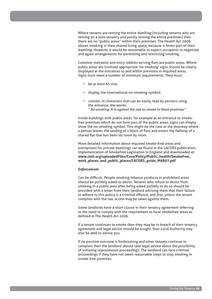Where tenants are renting the entire dwelling (including tenants who are renting on a joint tenancy and jointly renting the entire premises) then there are no "public areas" within their premises. The Health Act 2006 allows smoking in their shared living space, because it forms part of their dwelling. However, it would be reasonable to expect occupants to negotiate and agree arrangements for permitting and restricting smoking.

Common stairwells and entry lobbies serving flats are public areas. Where public areas are involved appropriate 'no smoking' signs should be clearly displayed at the entrances to and within premises in required areas. Signs must meet a number of minimum requirements. They must:

- be at least A5 size;
- display the international no-smoking symbol;
- contain, in characters that can be easily read by persons using the entrance, the words: *" No smoking. It is against the law to smoke in these premises".*

Inside buildings with public areas, for example at an entrance to smokefree premises which do not form part of the public areas, signs can simply show the no-smoking symbol. This might be the case at the doorway where a person leaves the landing of a block of flats and enters the hallway of a shared flat that has been let room by room.

More detailed information about required smoke-free areas and exemptions for private dwellings can be found in the LACORS publication, Implementation of Smokefree Legislation in England and downloaded at: **www.cieh.org/uploadedFiles/Core/Policy/Public\_health/Smokefree\_ work\_places\_and\_public\_places/LACORS\_guide\_MAR07.pdf**

#### *Enforcement*

Can be difficult. People smoking tobacco products in prohibited areas should be politely asked to desist. Tenants who refuse to desist from smoking in a public area after being asked politely to do so should be provided with a letter from their landlord advising them that their failure to adhere to this policy is a criminal offence, and that, unless the tenant complies with the law, action may be taken against them.

Some landlords have a short clause in their tenancy agreement referring to the need to comply with the requirement to have smokefree areas as defined in The Health Act 2006.

If a tenant continues to smoke then they may be in breach of their tenancy agreement and legal advice should be sought. Your Local Authority may also be able to advise you.

If no positive outcome is forthcoming and other tenants continue to complain then the landlord should take legal advice about the possibility of initiating repossession proceedings. The landlord can face criminal proceedings if they have not taken reasonable steps to stop smoking in smoke free premises.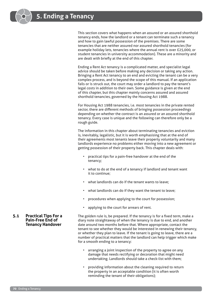This section covers what happens when an assured or an assured shorthold tenancy ends, how the landlord or a tenant can terminate such a tenancy and how to gain lawful possession of the premises. There are some tenancies that are neither assured nor assured shorthold tenancies (for example holiday lets, tenancies where the annual rent is over £25,000, or student tenancies in university accommodation). These are a minority and are dealt with briefly at the end of this chapter.

Ending a Rent Act tenancy is a complicated matter, and specialist legal advice should be taken before making any decision or taking any action. Bringing a Rent Act tenancy to an end and evicting the tenant can be a very complex process, and is beyond the scope of this manual. If an application fails or is struck out, the court may order a landlord to pay the tenant's legal costs in addition to their own. Some guidance is given at the end of this chapter, but this chapter mainly concerns assured and assured shorthold tenancies, governed by the Housing Act 1988.

For Housing Act 1988 tenancies, i.e. most tenancies in the private rented sector, there are different methods of bringing possession proceedings depending on whether the contract is an assured or an assured shorthold tenancy. Every case is unique and the following can therefore only be a rough guide.

The information in this chapter about terminating tenancies and eviction is, inevitably, legalistic, but it is worth emphasising that at the end of their agreements most tenants leave their property voluntarily and many landlords experience no problems either moving into a new agreement or getting possession of their property back. This chapter deals with:

- practical tips for a pain-free handover at the end of the tenancy;
- what to do at the end of a tenancy if landlord and tenant want it to continue;
- what landlords can do if the tenant wants to leave;
- what landlords can do if they want the tenant to leave;
- procedures when applying to the court for possession;
- applying to the court for arrears of rent.

The golden rule is, be prepared. If the tenancy is for a fixed term, make a diary note straightaway of when the tenancy is due to end, and another date around two months before that. Where appropriate, contact the tenant to see whether they would be interested in renewing their tenancy, or whether they plan to leave. If the tenant is going to leave, there are a number of practical matters that the landlord can help trigger which make for a smooth ending to a tenancy:

- arranging a joint inspection of the property to agree on any damage that needs rectifying or decoration that might need undertaking. Landlords should take a check-list with them;
- providing information about the cleaning required to return the property in an acceptable condition (it is often worth reminding the tenant of their obligations);

#### **5.1 Practical Tips For a Pain-Free End of Tenancy Handover**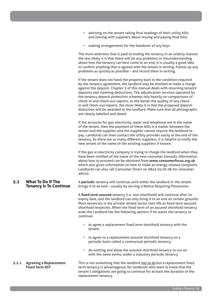- advising on the tenant taking final readings of their utility bills and liaising with suppliers about issuing and paying final bills;
- making arrangements for the handover of any keys.

The more attention that is paid to ending the tenancy in an orderly manner the less likely it is that there will be any problems or misunderstanding about how the tenancy can best come to an end. It is usually a good idea to confirm anything that is agreed with the tenant in writing. Follow up any problems as quickly as possible – and record them in writing.

If the tenant does not hand the property back in the condition required by the tenancy agreement, the landlord may be entitled to make a charge against the deposit. Chapter 3 of this manual deals with returning tenants' deposits and claiming deductions. The adjudication services operated by the tenancy deposit protection schemes rely heavily on comparisons of check-in and check-out reports, so the better the quality of any checkin and check-out reports, the more likely it is that the proposed deposit deduction will be awarded to the landlord. Make sure that all photographs are clearly labelled and dated.

If the accounts for gas, electricity, water and telephone are in the name of the tenant, then the payment of these bills is a matter between the tenant and the supplier, and the supplier cannot require the landlord to pay. Landlords can then contact the utility provider easily at the end of the tenancy. As there are so many different suppliers, it is helpful to notify the new tenant of the name of the existing suppliers if known.

If the gas or electricity company is trying to charge the landlord when they have been notified of the name of the new consumer (tenant), information about how to proceed can be obtained from **www.consumerfocus.org.uk** which also gives information on how to make an energy-related complaint. Landlords can also call Consumer Direct on 0845 04 05 06 for consumer advice.

#### **5.2 What To Do If The Tenancy Is To Continue** A **periodic** tenancy will continue until either the landlord or the tenant brings it to an end – usually by serving a Notice Requiring Possession.

A **fixed term assured** tenancy (i.e. non-shorthold) will continue after its expiry date, and the landlord can only bring it to an end on certain grounds. Most tenancies in the private rented sector start life as fixed term assured shorthold tenancies. When the fixed term of an assured shorthold tenancy ends the Landlord has the following options if he wants the tenancy to continue:

- to agree a replacement fixed term shorthold tenancy with the tenant;
- to agree to a replacement assured shorthold tenancy on a periodic basis called a contractual periodic tenancy;
- do nothing and allow the assured shorthold tenancy to run on with the same terms, under a statutory periodic tenancy.

This is not something that the landlord *has to do* but a replacement fixed term tenancy is advantageous for landlords who want to know that the tenant's obligations are going to continue for at least the duration of the replacement tenancy.

**5.2.1 Agreeing a Replacement Fixed Term AST**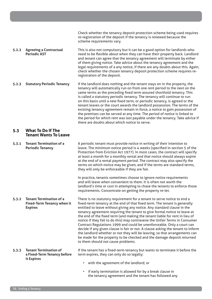|       |                                                                                       | Check whether the tenancy deposit protection scheme being used requires<br>re-registration of the deposit if the tenancy is renewed because the<br>scheme requirements vary.                                                                                                                                                                                                                                                                                                                                                                                                                                                                                                                                                                                                                                                         |
|-------|---------------------------------------------------------------------------------------|--------------------------------------------------------------------------------------------------------------------------------------------------------------------------------------------------------------------------------------------------------------------------------------------------------------------------------------------------------------------------------------------------------------------------------------------------------------------------------------------------------------------------------------------------------------------------------------------------------------------------------------------------------------------------------------------------------------------------------------------------------------------------------------------------------------------------------------|
| 5.2.2 | <b>Agreeing a Contractual</b><br><b>Periodic AST</b>                                  | This is also not compulsory but it can be a good option for landlords who<br>need to be flexible about when they can have their property back. Landlord<br>and tenant can agree that the tenancy agreement will terminate by either<br>of them giving notice. Take advice about the tenancy agreement and the<br>legal requirements of a any notice, if there are any doubts about this. Again,<br>check whether the chosen tenancy deposit protection scheme requires re-<br>registration of the deposit.                                                                                                                                                                                                                                                                                                                           |
| 5.2.3 | <b>Statutory Periodic Tenancy</b>                                                     | If the landlord does nothing and the tenant stays on in the property, the<br>tenancy will automatically run on from one rent period to the next on the<br>same terms as the preceding fixed term assured shorthold tenancy. This<br>is called a statutory periodic tenancy. The tenancy will continue to run<br>on this basis until a new fixed term, or periodic tenancy, is agreed or the<br>tenant leaves or the court awards the landlord possession. The terms of the<br>existing tenancy agreement remain in force, a notice to gain possession of<br>the premises can be served at any time. The period of notice is linked to<br>the period for which rent was last payable under the tenancy. Take advice if<br>there are doubts about which notice to serve.                                                               |
| 5.3   | <b>What To Do If The</b><br><b>Tenant Wants To Leave</b>                              |                                                                                                                                                                                                                                                                                                                                                                                                                                                                                                                                                                                                                                                                                                                                                                                                                                      |
| 5.3.1 | <b>Tenant Termination of a</b><br><b>Periodic Tenancy</b>                             | A periodic tenant must provide notice in writing of their intention to<br>leave. The minimum notice period is 4 weeks (specified in section 5 of the<br>Protection from Eviction Act 1977). In most cases, the contract will specify<br>at least a month for a monthly rental and that notice should always expire<br>at the end of a rental payment period. The contract may also specify the<br>terms on which notice may be given, and if the terms are standard terms,<br>they will only be enforceable if they are fair.                                                                                                                                                                                                                                                                                                        |
|       |                                                                                       | In practice, tenants sometimes choose to ignore notice requirements<br>and will leave when convenient to them. It is often not worth the<br>landlord's time or cost in attempting to chase the tenants to enforce those<br>requirements. Concentrate on getting the property re-let.                                                                                                                                                                                                                                                                                                                                                                                                                                                                                                                                                 |
| 5.3.2 | <b>Tenant Termination of a</b><br><b>Fixed-Term Tenancy when it</b><br><b>Expires</b> | There is no statutory requirement for a tenant to serve notice to end a<br>fixed-term tenancy at the end of that fixed term. The tenant is generally<br>entitled to leave without giving any notice. Any standard clause in the<br>tenancy agreement requiring the tenant to give formal notice to leave at<br>the end of the fixed term (and making the tenant liable for rent in lieu of<br>notice if they fail to do this) may contravene the Unfair Terms in Consumer<br>Contract Regulations 1999 and could be unenforceable. Only a court can<br>decide if any given clause is fair or not. A clause asking the tenant to inform<br>the landlord whether or not they will be leaving, so that arrangements can<br>be made for the property to be checked and the damage deposit returned<br>to them should not cause problems. |
| 5.3.3 | <b>Tenant Termination of</b><br>a Fixed-Term Tenancy before<br>it Expires             | If the tenant has a fixed-term tenancy but wants to terminate it before the<br>term expires, they can only do so legally:<br>$\bullet$ with the agreement of the landlord or                                                                                                                                                                                                                                                                                                                                                                                                                                                                                                                                                                                                                                                         |

- with the agreement of the landlord; or
- if early termination is allowed for by a break clause in the tenancy agreement and the tenant has followed any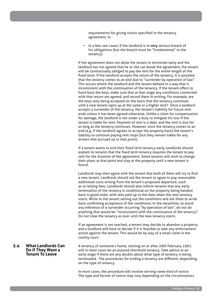requirements for giving notice specified in the tenancy agreement; or

• in a few rare cases, if the landlord is in **very** serious breach of his obligations (but the breach must be "fundamental" to the tenancy).

If the agreement does not allow the tenant to terminate early and the landlord has not agreed that he or she can break the agreement, the tenant will be contractually obliged to pay the rent for the entire length of the fixed term. If the landlord accepts the return of the tenancy, it is possible that the tenancy comes to an end due to "surrender by operation of law". This occurs where the landlord and the tenant behave in a way that is inconsistent with the continuation of the tenancy. If the tenant offers to hand back the keys, make sure that at that stage any conditions connected with that return are agreed, and record them in writing. For example, are the keys only being accepted on the basis that the tenancy continues until a new tenant signs up at the same or a higher rent? Once a landlord accepts a surrender of the tenancy, the tenant's liability for future rent ends unless it has been agreed otherwise. Unlike a claim for compensation for damage, the landlord is not under a duty to mitigate his loss if the tenant is liable for rent. Payment of rent is a debt, and the rent is due for as long as the tenancy continues. However, once the tenancy comes to an end (e.g. if the landlord agrees to accept the property back) the tenant's liability to continue paying rent stops (but they remain liable for any arrears that accrued up to that point).

If a tenant wants to end their fixed term tenancy early, landlords should explain to tenants that the fixed term tenancy requires the tenant to pay rent for the duration of the agreement. Some tenants will wish to change their plans at that point and stay at the property until a new tenant is found.

Landlords may then agree with the tenant that both of them will try to find a new tenant. Landlords should ask the tenant to agree to pay reasonable additional costs arising from the tenant's proposed departure, such as re-letting fees. Landlords should also inform tenants that any early termination of the tenancy is conditional on the property being handed back in good order, with rent paid up to the date when the new tenancy starts. Write to the tenant setting out the conditions and ask them to write back confirming acceptance of the conditions. In the meantime, to avoid any inference of a surrender occurring "by operation of law", do not do anything that would be "inconsistent with the continuance of the tenancy". Do not treat the tenancy as over until the new tenancy starts.

If an agreement is not reached, a tenant may decide to abandon a property and a landlord will have to decide if it is feasible to take any enforcement action against the tenant. This would be by way of a small claim in the county court.

**Do If They Want a Tenant To Leave** A tenancy of someone's home, starting on or after 28th February 1997, will in most cases be an assured shorthold tenancy. Take advice at an early stage if there are any doubts about what type of tenancy is being terminated. The procedures for ending a tenancy are different, depending on the type of tenancy.

> In most cases, the procedure will involve serving some kind of notice. The type and format of notice may vary depending on the circumstances

# **5.4 What Landlords Can**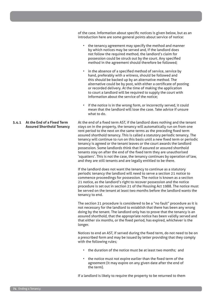of the case. Information about specific notices is given below, but as an introduction here are some general points about service of notice:

- the tenancy agreement may specify the method and manner by which notices may be served and, if the landlord does not follow the required method, the landlord's claim for possession could be struck out by the court. Any specified method in the agreement should therefore be followed;
- in the absence of a specified method of service, service by hand, preferably with a witness, should be followed and this should be backed up by an alternative method. The alternative could be by post, with either a certificate of posting or recorded delivery. At the time of making the application to court a landlord will be required to supply the court with information about the service of the notice;
- if the notice is in the wrong form, or incorrectly served, it could mean that the landlord will lose the case. Take advice if unsure what to do.

**5.4.1 At the End of a Fixed Term Assured Shorthold Tenancy** At the end of a fixed term AST, if the landlord does nothing and the tenant stays on in the property, the tenancy will automatically run on from one rent period to the next on the same terms as the preceding fixed term assured shorthold tenancy. This is called a statutory periodic tenancy. The tenancy will continue to run on this basis until a new fixed term or periodic tenancy is agreed or the tenant leaves or the court awards the landlord possession. Some landlords think that if assured or assured shorthold tenants stay on after the end of the fixed term they are unauthorised 'squatters'. This is not the case, the tenancy continues by operation of law, and they are still tenants and are legally entitled to be there.

> If the landlord does not want the tenancy to continue as a statutory periodic tenancy the landlord will need to serve a section 21 notice to commence proceedings for possession. The notice is known as a section 21 notice, as the landlord's right to recover possession and the notice procedure is set out in section 21 of the Housing Act 1988. The notice must be served on the tenant at least two months before the landlord wants the tenancy to end.

> The section 21 procedure is considered to be a "no fault" procedure as it is not necessary for the landlord to establish that there has been any wrong doing by the tenant. The landlord only has to prove that the tenancy is an assured shorthold, that the appropriate notice has been validly served and that either six months, or the fixed period, has expired, whichever is the longer.

> Notices to end an AST, if served during the fixed term, do not need to be on a prescribed form and may be issued by letter providing that they comply with the following rules;

- the duration of the notice must be at least two months; and
- the notice must not expire earlier than the fixed term of the agreement (it may expire on any given date after the end of the term).

If a landlord is likely to require the property to be returned to them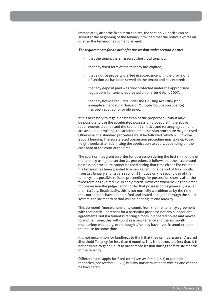immediately after the fixed term expires, the section 21 notice can be served at the beginning of the tenancy provided that the notice expires on or after the tenancy has come to an end.

#### *The requirements for an order for possession under section 21 are:*

- that the tenancy is an assured shorthold tenancy;
- that any fixed term of the tenancy has expired;
- that a notice properly drafted in accordance with the provisions of section 21 has been served on the tenant and has expired;
- that any deposit paid was duly protected under the appropriate regulations for tenancies created on or after 6 April 2007;
- that any licence required under the Housing Act 2004 (for example a mandatory House of Multiple Occupation licence) has been applied for or obtained.

If it is necessary to regain possession of the property quickly it may be possible to use the accelerated possession procedure. If the above requirements are met, and the section 21 notice and tenancy agreement are available in writing, the accelerated possession procedure may be used. Otherwise, the standard procedure must be followed, which will involve a court hearing. The accelerated possession procedure may take up to six - eight weeks after submitting the application to court, depending on the case load of the court at the time.

The court cannot grant an order for possession during the first six months of the tenancy using the section 21 procedure. It follows that the accelerated possession procedure cannot be used during that time either. For example, if a tenancy has been granted to a new tenant for a period of two months from 1st January and issue a section 21 notice on the second day of the tenancy, it is possible to issue proceedings for possession shortly after the fixed term has expired, i.e. in early March. However, when making the order for possession the judge cannot order that possession be given any earlier than 1st July. Realistically, this is not normally a problem as by the time the court papers have been drafted and issued and gone through the court system, the six month period will be nearing its end anyway.

This six month 'moratorium' only counts from the first tenancy agreement with that particular tenant for a particular property, not any subsequent agreements. But if a tenant is renting a room in a shared house and moves to another room, this will count as a new tenancy and the six month moratorium will apply, even though s/he may have lived in another room in the house for some time.

It is not uncommon for landlords to think that they cannot issue an Assured Shorthold Tenancy for less than 6 months. This is not true, it is just that, it is not possible to get a Court to order repossession during the first six months of the tenancy.

Different rules apply for fixed term [*see section 5.5.7.1*] or periodic tenancies [*see section 5.5.7.2*] but any notice must be in writing and cannot be backdated.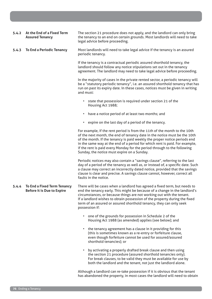| 5.4.2 | At the End of a Fixed Term<br><b>Assured Tenancy</b>                    | The section 21 procedure does not apply, and the landlord can only bring<br>the tenancy to an end on certain grounds. Most landlords will need to take<br>legal advice before proceeding.                                                                                                                                                                                                                                                     |
|-------|-------------------------------------------------------------------------|-----------------------------------------------------------------------------------------------------------------------------------------------------------------------------------------------------------------------------------------------------------------------------------------------------------------------------------------------------------------------------------------------------------------------------------------------|
| 5.4.3 | <b>To End a Periodic Tenancy</b>                                        | Most landlords will need to take legal advice if the tenancy is an assured<br>periodic tenancy.                                                                                                                                                                                                                                                                                                                                               |
|       |                                                                         | If the tenancy is a contractual periodic assured shorthold tenancy, the<br>landlord should follow any notice stipulations set out in the tenancy<br>agreement. The landlord may need to take legal advice before proceeding.                                                                                                                                                                                                                  |
|       |                                                                         | In the majority of cases in the private rented sector, a periodic tenancy will<br>be a "statutory periodic tenancy", i.e. an assured shorthold tenancy that has<br>run on past its expiry date. In these cases, notices must be given in writing<br>and must:                                                                                                                                                                                 |
|       |                                                                         | • state that possession is required under section 21 of the<br>Housing Act 1988;                                                                                                                                                                                                                                                                                                                                                              |
|       |                                                                         | • have a notice period of at least two months; and                                                                                                                                                                                                                                                                                                                                                                                            |
|       |                                                                         | • expire on the last day of a period of the tenancy.                                                                                                                                                                                                                                                                                                                                                                                          |
|       |                                                                         | For example, if the rent period is from the 11th of the month to the 10th<br>of the next month, the end of tenancy date in the notice must be the 10th<br>of the month. If the tenancy is paid weekly the proper notice periods end<br>in the same way at the end of a period for which rent is paid. For example,<br>if the rent is paid every Monday for the period through to the following<br>Sunday, the notice must expire on a Sunday. |
|       |                                                                         | Periodic notices may also contain a "savings clause", referring to the last<br>day of a period of the tenancy as well as, or instead of, a specific date. Such<br>a clause may correct an incorrectly dated notice, provided that the savings<br>clause is clear and precise. A savings clause cannot, however, correct all<br>faults in the notice.                                                                                          |
| 5.4.4 | <b>To End a Fixed Term Tenancy</b><br><b>Before it is Due to Expire</b> | There will be cases when a landlord has agreed a fixed term, but needs to<br>end the tenancy early. This might be because of a change in the landlord's<br>circumstances, or because things are not working out with the tenant.<br>If a landlord wishes to obtain possession of the property during the fixed<br>term of an assured or assured shorthold tenancy, they can only seek<br>possession if:                                       |
|       |                                                                         | one of the grounds for possession in Schedule 2 of the<br>Housing Act 1988 (as amended) applies (see below); and                                                                                                                                                                                                                                                                                                                              |
|       |                                                                         | the tenancy agreement has a clause in it providing for this<br>(this is sometimes known as a re-entry or forfeiture clause,<br>even though forfeiture cannot be used for assured/assured<br>shorthold tenancies); or                                                                                                                                                                                                                          |
|       |                                                                         | by activating a properly drafted break clause and then using<br>the section 21 procedure (assured shorthold tenancies only).<br>For break clauses, to be valid they must be available for use by<br>both the landlord and the tenant, not just the landlord alone.                                                                                                                                                                            |
|       |                                                                         | Although a landlord can re-take possession if it is obvious that the tenant<br>has abandoned the property, in most cases the landlord will need to obtain                                                                                                                                                                                                                                                                                     |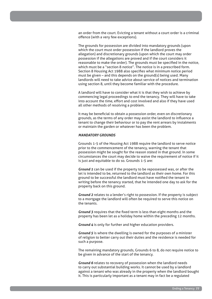an order from the court. Evicting a tenant without a court order is a criminal offence (with a very few exceptions).

The grounds for possession are divided into mandatory grounds (upon which the court must order possession if the landlord proves the allegation) and discretionary grounds (upon which the court may order possession if the allegations are proved and if the court considers it reasonable to make the order). The grounds must be specified in the notice, which must be a "section 8 notice". The notice is in a prescribed form. Section 8 Housing Act 1988 also specifies what minimum notice period must be given – and this depends on the ground(s) being used. Many landlords will need to take advice about service of notices and termination using section 8, until they become familiar with the procedure.

A landlord will have to consider what it is that they wish to achieve by commencing legal proceedings to end the tenancy. They will have to take into account the time, effort and cost involved and also if they have used all other methods of resolving a problem.

It may be beneficial to obtain a possession order, even on discretionary grounds, as the terms of any order may assist the landlord to influence a tenant to change their behaviour or to pay the rent arrears by instalments or maintain the garden or whatever has been the problem.

#### *MANDATORY GROUNDS*

Grounds 1-5 of the Housing Act 1988 require the landlord to serve notice prior to the commencement of the tenancy, warning the tenant that possession might be sought for the reason stated in that ground. In some circumstances the court may decide to waive the requirement of notice if it is just and equitable to do so. Grounds 1-5 are:

*Ground 1* can be used if the property to be repossessed was, or after the let is intended to be, returned to the landlord as their own home. For this ground to be successful the landlord must have notified the tenant in writing before the tenancy started, that he intended one day to ask for the property back on this ground.

*Ground 2* relates to a lender's right to possession. If the property is subject to a mortgage the landlord will often be required to serve this notice on the tenants.

*Ground 3* requires that the fixed term is less than eight months and the property has been let as a holiday home within the preceding 12 months.

*Ground 4* is only for further and higher education providers.

*Ground 5* is where the dwelling is owned for the purposes of a minister of religion to better carry out their duties and the residence is needed for such a purpose.

The remaining mandatory grounds, Grounds 6 to 8, do not require notice to be given in advance of the start of the tenancy.

*Ground 6* relates to recovery of possession when the landlord needs to carry out substantial building works. It cannot be used by a landlord against a tenant who was already in the property when the landlord bought it. This is particularly important as a tenant may in fact be a regulated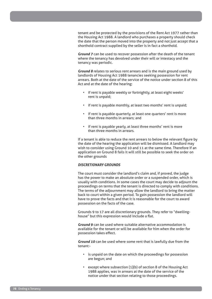tenant and be protected by the provisions of the Rent Act 1977 rather than the Housing Act 1988. A landlord who purchases a property should check the date that the person moved into the property and not just accept that a shorthold contract supplied by the seller is in fact a shorthold.

*Ground 7* can be used to recover possession after the death of the tenant where the tenancy has devolved under their will or intestacy and the tenancy was periodic.

*Ground 8* relates to serious rent arrears and is the main ground used by landlords of Housing Act 1988 tenancies seeking possession for rent arrears. Both at the date of the service of the notice under section 8 of this Act and at the date of the hearing:

- if rent is payable weekly or fortnightly, at least eight weeks' rent is unpaid;
- if rent is payable monthly, at least two months' rent is unpaid;
- if rent is payable quarterly, at least one quarters' rent is more than three months in arrears; and
- if rent is payable yearly, at least three months' rent is more than three months in arrears.

If a tenant is able to reduce the rent arrears to below the relevant figure by the date of the hearing the application will be dismissed. A landlord may wish to consider using Ground 10 and 11 at the same time. Therefore if an application on Ground 8 fails it will still be possible to seek the order on the other grounds

#### *DISCRETIONARY GROUNDS*

The court must consider the landlord's claim and, if proved, the judge has the power to make an absolute order or a suspended order, which is usually with conditions. In some cases the court may decide to adjourn the proceedings on terms that the tenant is directed to comply with conditions. The terms of the adjournment may allow the landlord to bring the matter back to court within a given period. To gain possession the landlord will have to prove the facts and that it is reasonable for the court to award possession on the facts of the case.

Grounds 9 to 17 are all discretionary grounds. They refer to "dwellinghouse" but this expression would include a flat.

*Ground 9* can be used where suitable alternative accommodation is available for the tenant or will be available for him when the order for possession takes effect.

*Ground 10* can be used where some rent that is lawfully due from the tenant:-

- is unpaid on the date on which the proceedings for possession are begun; and
- except where subsection (1)(b) of section 8 of the Housing Act 1988 applies, was in arrears at the date of the service of the notice under that section relating to those proceedings.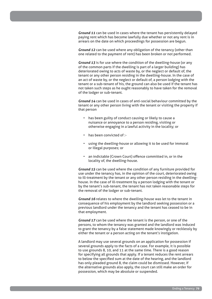*Ground 11* can be used in cases where the tenant has persistently delayed paying rent which has become lawfully due whether or not any rent is in arrears on the date on which proceedings for possession are begun.

*Ground 12* can be used where any obligation of the tenancy (other than one related to the payment of rent) has been broken or not performed.

*Ground 13* is for use where the condition of the dwelling-house (or any of the common parts if the dwelling is part of a larger building) has deteriorated owing to acts of waste by, or the neglect or default of, the tenant or any other person residing in the dwelling-house. In the case of an act of waste by, or the neglect or default of, a person lodging with the tenant or a sub-tenant of his, the ground can also be used if the tenant has not taken such steps as he ought reasonably to have taken for the removal of the lodger or sub-tenant.

*Ground 14* can be used in cases of anti-social behaviour committed by the tenant or any other person living with the tenant or visiting the property if that person

- has been guilty of conduct causing or likely to cause a nuisance or annoyance to a person residing, visiting or otherwise engaging in a lawful activity in the locality; or
- has been convicted of :-
- using the dwelling-house or allowing it to be used for immoral or illegal purposes; or
- an indictable (Crown Court) offence committed in, or in the locality of, the dwelling-house.

*Ground 15* can be used where the condition of any furniture provided for use under the tenancy has, in the opinion of the court, deteriorated owing to ill-treatment by the tenant or any other person residing in the dwellinghouse. In the case of ill-treatment by a person lodging with the tenant or by the tenant's sub-tenant, the tenant has not taken reasonable steps for the removal of the lodger or sub-tenant.

*Ground 16* relates to where the dwelling-house was let to the tenant in consequence of his employment by the landlord seeking possession or a previous landlord under the tenancy and the tenant has ceased to be in that employment.

*Ground 17* can be used where the tenant is the person, or one of the persons, to whom the tenancy was granted and the landlord was induced to grant the tenancy by a false statement made knowingly or recklessly by either the tenant or a person acting on the tenant's instigation.

A landlord may use several grounds on an application for possession if several grounds apply to the facts of a case. For example, it is possible to use grounds 8, 10, and 11 at the same time. There is a good reason for specifying all grounds that apply. If a tenant reduces the rent arrears to below the specified sum at the date of the hearing, and the landlord has only pleaded ground 8, the claim could be dismissed. However, if the alternative grounds also apply, the court can still make an order for possession, which may be absolute or suspended.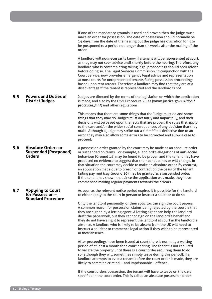If one of the mandatory grounds is used and proven then the judge must make an order for possession. The date of possession should normally be 14 days from the date of the hearing but the judge has discretion for it to be postponed to a period not longer than six weeks after the making of the order.

A landlord will not necessarily know if a tenant will be represented at court, as they may not seek advice until shortly before the hearing. Therefore, any landlord who is contemplating taking legal proceedings should seek advice before doing so. The Legal Services Commission, in conjunction with the Court Service, now provides emergency legal advice and representation at most courts for unrepresented tenants facing possession proceedings based upon rent arrears. Therefore a landlord may find that they are at a disadvantage if the tenant is represented and the landlord is not.

#### **5.5 Powers and Duties of District Judges** Judges are directed by the terms of the legislation on which the application is made, and also by the Civil Procedure Rules (**www.justice.gov.uk/civil/ procrules\_fin/**) and other regulations.

This means that there are some things that the Judge must do and some things that they may do. Judges must act fairly and impartially, and their decisions will be based upon the facts that are proven, the rules that apply to the case and/or the wider social consequences of any decision that they make. Although a judge may strike out a claim if it is defective due to an error, they may also allow some errors to be corrected and allow a case to proceed.

**5.6 Absolute Orders or Suspended (Postponed) Orders** A possession order granted by the court may be made as an absolute order or suspended on terms. For example, a landlord's allegations of anti-social behaviour (Ground 14) may be found to be proven and the tenant may have produced no evidence to suggest that their conduct has or will change. In that situation the court may decide to make an absolute order. By contrast, an application made due to breach of contract on the basis of the tenant failing pay rent (say Ground 10) may be granted as a suspended order, if the tenant has shown that since the application was made, they have commenced making regular payments towards the arrears.

#### **5.7 Applying to Court for Possession – Standard Procedure**

As soon as the relevant notice period expires it is possible for the landlord to either apply to the court in person or instruct a solicitor to do so.

Only the landlord personally, or their solicitor, can sign the court papers. A common reason for possession claims being rejected by the court is that they are signed by a letting agent. A letting agent can help the landlord draft the paperwork, but they cannot sign on the landlord's behalf and they do not have a right to represent the landlord at court in the landlord's absence. A landlord who is likely to be absent from the UK will need to instruct a solicitor to commence legal action if they wish to be represented in their absence.

After proceedings have been issued at court there is normally a waiting period of at least a month for a court hearing. The tenant is not required to vacate the property until there is a court order requiring them to do so (although they will sometimes simply leave during this period). If a landlord attempts to evict a tenant before the court order is made, they are likely to commit a criminal – and imprisonable – offence.

If the court orders possession, the tenant will have to leave on the date specified in the court order. This is called an absolute possession order.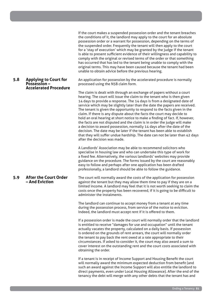### comply with the original or revised terms of the order or that something has occurred that has led to the tenant being unable to comply with the original terms. This may have been caused because the tenant had been unable to obtain advice before the previous hearing.

#### **5.8 Applying to Court for Possession – Accelerated Procedure**

#### An application for possession by the accelerated procedure is normally processed using the N5B claim form.

If the court makes a suspended possession order and the tenant breaches the conditions of it, the landlord may apply to the court for an absolute possession order or a warrant for possession, depending on the terms of the suspended order. Frequently the tenant will then apply to the court for a 'stay of execution' which may be granted by the judge if the tenant is able to present sufficient evidence of their willingness and capability to

The claim is dealt with through an exchange of papers without a court hearing. The court will issue the claim to the tenant who is then given 14 days to provide a response. The 14 days is from a designated date of service which may be slightly later than the date the papers are received. The tenant is given the opportunity to respond to the facts given in the claim. If there is any dispute about the facts the court may decide to hold an oral hearing at short notice to make a finding of fact. If, however, the facts are not disputed and the claim is in order the judge will make a decision to award possession, normally 14 days after the date of the decision. The date may be later if the tenant has been able to establish that they will suffer undue hardship. The date can not be later than 42 days after the decision was made.

A Landlords' Association may be able to recommend solicitors who specialise in housing law and who can undertake this type of work for a fixed fee. Alternatively, the various landlords' websites may provide guidance on the procedure. The forms issued by the court are reasonably easy to follow and perhaps after one application has been drafted professionally, a landlord should be able to follow the guidance.

#### **5.9 After the Court Order – And Eviction** The court will normally award the costs of the application for possession against the tenant but they may allow them time to pay if they are on a limited income. A landlord may feel that it is not worth seeking to claim the costs once the property has been recovered, if it is going to be difficult to administer the instalments.

The landlord can continue to accept money from a tenant at any time during the possession process, from service of the notice to eviction. Indeed, the landlord must accept rent if it is offered to them.

If a possession order is made the court will normally order that the landlord is entitled to receive "damages for use and occupation" until the tenant actually vacates the property, calculated on a daily basis. If possession is ordered on the grounds of rent arrears, the court will normally order the tenant to pay back the rent owed at a rate appropriate to their circumstances. If asked to consider it, the court may also award a sum to cover interest on the outstanding rent and the court costs associated with obtaining the order.

If a tenant is in receipt of Income Support and Housing Benefit the court will normally award the minimum expected deduction from benefit (and such an award against the Income Support will also entitle the landlord to direct payments, even under Local Housing Allowance). After the end of the tenancy the debt will merge with any other debts that the tenant has and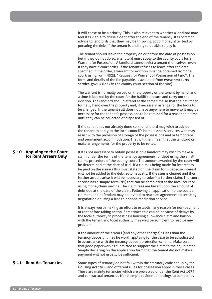it will cease to be a priority. This is also relevant to whether a landlord may feel it is viable to chase a debt after the end of the tenancy. It is common advice to landlords that they may be throwing good money after bad by pursuing the debt if the tenant is unlikely to be able to pay it.

The tenant should leave the property on or before the date of possession but if they do not do so, a landlord must apply to the county court for a Warrant for Possession. A landlord cannot evict a tenant themselves, even if they have a court order. If the tenant refuses to leave after the date specified in the order, a warrant for eviction must be obtained from the court, using Form N325: "Request for Warrant of Possession of land". The form, and details of the fee payable, is available from **www.hmcourtsservice.gov.uk** (look in the county court section of the site).

The warrant is normally served on the property or the tenant by hand, and a time is booked by the court for the bailiff to return and carry out the eviction. The landlord should attend at the same time so that the bailiff can formally hand over the property and, if necessary, arrange for the locks to be changed. If the tenant still does not have anywhere to move to it may be necessary for the tenant's possessions to be retained for a reasonable time until they can be collected or disposed of.

If the tenant has not already done so, the landlord may wish to advise the tenant to apply to the local council's homelessness services who may assist with the provision of storage of the possessions and or temporary and permanent accommodation. That will then mean that the landlord can make arrangements for the property to be re-let.

**for Rent Arrears Only** If it is not necessary to obtain possession a landlord may wish to make a claim under the terms of the tenancy agreement for debt using the small claims procedure of the county court. The amount awarded by the court will be determined at the date of trial. If a claim is being made for interest to be paid on the arrears this must stated on the claim form because interest will not be added to the debt automatically. If the sum is cleared and then further arrears arise it will be necessary to submit a further claim. The court service has a simple form (N1) that can be completed at the local court or using moneyclaim on-line. The claim fees are based upon the amount of debt due at the date of the claim. Following an application to the court a claimant and defendant may be invited to reach an agreement to settle by negotiation or using a free telephone mediation service.

> It is always worth making an effort to establish any reason for non-payment of rent before taking action. Sometimes this can be because of delays by the local authority in processing a housing allowance claim and liaison with the tenant and local authority may well be sufficient to resolve any problem.

If the amount of the arrears (and any other charges) is less than the tenancy deposit, it may be worth applying for the case to be adjudicated in accordance with the tenancy deposit protection scheme. Make sure that good paperwork is submitted to support the claim to the adjudicator. Simply declaring on the application form that the tenant did not make a payment will not usually be sufficient.

**5.11 Rent Act Tenancies** Some types of tenancy do not fall within the statutory code set up by the Housing Act 1988 and different rules for possession apply in these cases. These are mainly tenancies which are protected under the Rent Act 1977 and contractual tenancies (for example residential lettings to companies

## **5.10 Applying to the Court**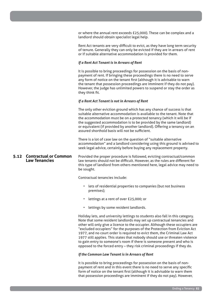or where the annual rent exceeds £25,000). These can be complex and a landlord should obtain specialist legal help.

Rent Act tenants are very difficult to evict, as they have long term security of tenure. Generally they can only be evicted if they are in arrears of rent or if suitable alternative accommodation is provided for them.

#### *If a Rent Act Tenant is in Arrears of Rent*

It is possible to bring proceedings for possession on the basis of nonpayment of rent. If bringing these proceedings there is no need to serve any form of notice on the tenant first (although it is advisable to warn the tenant that possession proceedings are imminent if they do not pay). However, the judge has unlimited powers to suspend or stay the order as they think fit.

#### *If a Rent Act Tenant is not in Arrears of Rent*

The only other eviction ground which has any chance of success is that suitable alternative accommodation is available to the tenant. Note that the accommodation must be on a protected tenancy (which it will be if the suggested accommodation is to be provided by the same landlord) or equivalent (if provided by another landlord). Offering a tenancy on an assured shorthold basis will not be sufficient.

There is a lot of case law on the question of "suitable alternative accommodation" and a landlord considering using this ground is advised to seek legal advice, certainly before buying any replacement property.

**5.12 Contractual or Common Law Tenancies** law tenants should not be difficult. However, as the rules are different for this type of landlord from others mentioned here, legal advice may need to be sought.

Contractual tenancies include:

- lets of residential properties to companies (but not business premises);
- lettings at a rent of over £25,000; or
- lettings by some resident landlords.

Holiday lets, and university lettings to students also fall in this category. Note that some resident landlords may set up contractual tenancies and other will only give a licence to the occupier. Although these occupiers are "excluded occupiers" for the purposes of the Protection from Eviction Act 1977, and no court order is required to evict them, the Criminal Law Act 1977 still applies. This states that nobody should use or threaten violence to gain entry to someone's room if there is someone present and who is opposed to the forced entry – they risk criminal proceedings if they do.

#### *If the Common Law Tenant is in Arrears of Rent*

It is possible to bring proceedings for possession on the basis of nonpayment of rent and in this event there is no need to serve any specific form of notice on the tenant first (although it is advisable to warn them that possession proceedings are imminent if they do not pay). However,

Provided the proper procedure is followed, evicting contractual/common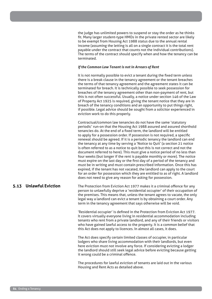the judge has unlimited powers to suspend or stay the order as he thinks fit. Many larger student-type HMOs in the private rented sector are likely to be exempt from Housing Act 1988 status due to the annual rental income (assuming the letting is all on a single contract it is the total rent payable under the contract that counts not the individual contributions). The terms of the contract should specify when and how the tenancy can be terminated.

#### *If the Common Law Tenant is not in Arrears of Rent*

It is not normally possible to evict a tenant during the fixed term unless there is a break clause in the tenancy agreement or the tenant breaches the terms of that tenancy agreement and the agreement states it can be terminated for breach. It is technically possible to seek possession for breaches of the tenancy agreement other than non-payment of rent, but this is not often successful. Usually, a notice under section 146 of the Law of Property Act 1925 is required, giving the tenant notice that they are in breach of the tenancy conditions and an opportunity to put things right, if possible. Legal advice should be sought from a solicitor experienced in eviction work to do this properly.

Contractual/common law tenancies do not have the same 'statutory periodic' run-on that the Housing Act 1988 assured and assured shorthold tenancies do. At the end of a fixed term, the landlord will be entitled to apply for a possession order. If possession is not required, a specific renewal should be agreed. If it is a periodic tenancy the landlord can end the tenancy at any time by serving a 'Notice to Quit' (a section 21 notice is often referred to as a notice to quit but this is not correct and not the document referred to here). This must give a notice period of no less than four weeks (but longer if the rent is payable monthly or more). The notice must expire on the last day or the first day of a period of the tenancy and must be in writing and must contain prescribed information. Once this has expired, if the tenant has not vacated, the landlord can apply to the court for an order for possession which they are entitled to as of right. A landlord does not need to give any reason for asking for possession.

**5.13 Unlawful Eviction** The Protection from Eviction Act 1977 makes it a criminal offence for any person to unlawfully deprive a 'residential occupier' of their occupation of the premises. This means that, unless the tenant agrees to vacate, the only legal way a landlord can evict a tenant is by obtaining a court order. Any term in the tenancy agreement that says otherwise will be void.

> 'Residential occupier' is defined in the Protection from Eviction Act 1977. It covers virtually everyone living in residential accommodation including tenants who rent from a private landlord, and any of their friends or visitors who have gained lawful access to the property. It is a common belief that this Act does not apply to licences. In almost all cases, it does.

The Act does specify certain limited classes of occupier, in particular lodgers who share living accommodation with their landlords, but even here eviction must not involve any force. If considering evicting a lodger the landlord should still seek legal advice before evicting because getting it wrong could be a criminal offence.

The procedures for lawful eviction of tenants are laid out in the various Housing and Rent Acts as detailed above.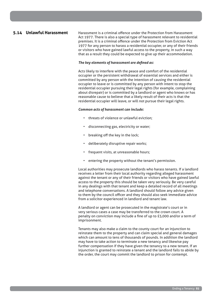**5.14 Unlawful Harassment** Harassment is a criminal offence under the Protection from Harassment Act 1977. There is also a special type of harassment relevant to residential premises. It is a criminal offence under the Protection from Eviction Act 1977 for any person to harass a residential occupier, or any of their friends or visitors who have gained lawful access to the property, in such a way that as a result they could be expected to give up their accommodation.

#### *The key elements of harassment are defined as:*

Acts likely to interfere with the peace and comfort of the residential occupier or the persistent withdrawal of essential services and either is committed by any person with the intention of causing the residential occupier to leave or is committed by any person with intent to stop the residential occupier pursuing their legal rights (for example, complaining about disrepair) or is committed by a landlord or agent who knows or has reasonable cause to believe that a likely result of their acts is that the residential occupier will leave, or will not pursue their legal rights.

#### *Common acts of harassment can include:*

- threats of violence or unlawful eviction;
- disconnecting gas, electricity or water;
- breaking off the key in the lock;
- deliberately disruptive repair works;
- frequent visits, at unreasonable hours;
- entering the property without the tenant's permission.

Local authorities may prosecute landlords who harass tenants. If a landlord receives a letter from their local authority regarding alleged harassment against the tenant or any of their friends or visitors who have gained lawful access to the property this should be taken very seriously. Be very careful in any dealings with that tenant and keep a detailed record of all meetings and telephone conversations. A landlord should follow any advice given to them by the council officer and they should also seek immediate advice from a solicitor experienced in landlord and tenant law.

A landlord or agent can be prosecuted in the magistrate's court or in very serious cases a case may be transferred to the crown court. A penalty on conviction may include a fine of up to £5,000 and/or a term of imprisonment.

Tenants may also make a claim to the county court for an injunction to reinstate them to the property and can claim special and general damages which can amount to tens of thousands of pounds. In addition the landlord may have to take action to terminate a new tenancy and likewise pay further compensation if they have given the tenancy to a new tenant. If an injunction is granted to reinstate a tenant and the landlord fails to abide by the order, the court may commit the landlord to prison for contempt.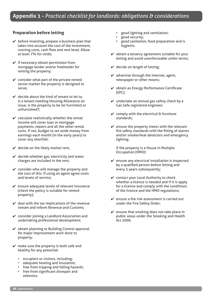#### **Preparation before letting**

- $\vee$  before investing, prepare a business plan that takes into account the cost of the investment, running costs, cash flow and rent level. Allow at least 7% for voids;
- $\checkmark$  if necessary obtain permission from mortgage lender and/or freeholder for renting the property;
- $\checkmark$  consider what part of the private rented sector market the property is designed to serve;
- $\vee$  decide about the kind of tenant to let to. is a tenant needing Housing Allowance an issue, is the property to be let furnished or unfurnished?;
- $\checkmark$  calculate realistically whether the rental income will cover loan or mortgage payments, repairs and all the other rental costs. If not, budget to set aside money from earnings each month (in the early years) to cover any shortfall;
- $\checkmark$  decide on the likely market rent;
- $\vee$  decide whether gas, electricity and water charges are included in the rent;
- $\checkmark$  consider who will manage the property and the cost of this. If using an agent agree costs and levels of service;
- $\mathcal V$  ensure adequate levels of relevant insurance (check the policy is suitable for rented property);
- $\vee$  deal with the tax implications of the revenue stream and inform Revenue and Customs;
- $\checkmark$  consider joining a Landlord Association and undertaking professional development;
- $\mathcal V$  obtain planning or Building Control approval for major improvement work done to property;
- $\mathbf{\nabla}$  make sure the property is both safe and healthy for any potential:
	- occupiers or visitors, including;
	- adequate heating and insulation;
	- free from tripping and falling hazards;
	- free from significant disrepair and asbestos;
- good lighting and ventilation;
- good security;
- good sanitation, food preparation and is hygienic.
- $\mathbf{\nabla}$  obtain a tenancy agreement suitable for your letting and avoid unenforceable unfair terms;
- $\vee$  decide on length of letting;
- $\mathbf{\nabla}$  advertise through the internet, agent, newspaper or other means;
- $\mathcal V$  obtain an Energy Performance Certificate (EPC);
- $\checkmark$  undertake an annual gas safety check by a Gas Safe registered engineer;
- $\checkmark$  comply with the electrical & furniture standards;
- $\mathbf{\nabla}$  ensure the property meets with the relevant fire safety standards with the fitting of alarms and/or smoke/heat detectors and emergency lighting.

if the property is a House in Multiple Occupation (HMO):

- $\checkmark$  ensure any electrical installation is inspected by a qualified person before letting and every 5 years subsequently;
- $\checkmark$  contact your Local Authority to check whether a licence is needed and if it is apply for a licence and comply with the conditions of the licence and the HMO regulations;
- $\mathcal V$  ensure a fire risk assessment is carried out under the Fire Safety Order;
- $\mathbf{\nabla}$  ensure that smoking does not take place in public areas under the Smoking and Health Act 2006.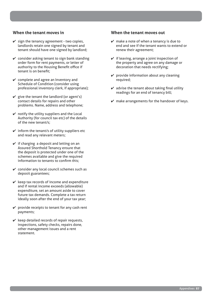#### **When the tenant moves in**

- $\checkmark$  sign the tenancy agreement two copies, landlords retain one signed by tenant and tenant should have one signed by landlord;
- $\checkmark$  consider asking tenant to sign bank standing order form for rent payments, or letter of authority to the Housing Benefit office if tenant is on benefit;
- $\checkmark$  complete and agree an Inventory and Schedule of Condition (consider using professional inventory clerk, if appropriate);
- $\checkmark$  give the tenant the landlord (or agent's) contact details for repairs and other problems. Name, address and telephone;
- $\mathbf y$  notify the utility suppliers and the Local Authority (for council tax etc) of the details of the new tenant/s;
- $\checkmark$  inform the tenant/s of utility suppliers etc and read any relevant meters;
- $\checkmark$  if charging a deposit and letting on an Assured Shorthold Tenancy ensure that the deposit is protected under one of the schemes available and give the required information to tenants to confirm this;
- $\checkmark$  consider any local council schemes such as deposit guarantees;
- $\mathcal V$  keep tax records of income and expenditure and if rental income exceeds (allowable) expenditure, set an amount aside to cover future tax demands. Complete a tax return ideally soon after the end of your tax year;
- $\checkmark$  provide receipts to tenant for any cash rent payments;
- $\mathcal V$  keep detailed records of repair requests, inspections, safety checks, repairs done, other management issues and a rent statement.

#### **When the tenant moves out**

- $\mathbf{\nabla}$  make a note of when a tenancy is due to end and see if the tenant wants to extend or renew their agreement;
- $\checkmark$  if leaving, arrange a joint inspection of the property and agree on any damage or decoration that needs rectifying;
- $\checkmark$  provide information about any cleaning required;
- $\mathbf{\nabla}$  advise the tenant about taking final utility readings for an end of tenancy bill;
- $\mathbf y$  make arrangements for the handover of keys.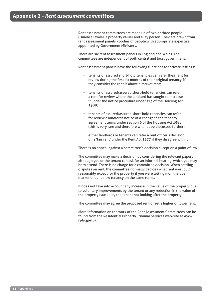Rent assessment committees are made up of two or three people usually a lawyer, a property valuer and a lay person. They are drawn from rent assessment panels - bodies of people with appropriate expertise appointed by Government Ministers.

There are six rent assessment panels in England and Wales. The committees are independent of both central and local government.

Rent assessment panels have the following functions for private lettings:

- tenants of assured short-hold tenancies can refer their rent for review during the first six months of their original tenancy, if they consider the rent is above a market rent;
- tenants of assured/assured short-hold tenancies can refer a rent for review where the landlord has sought to increase it under the notice procedure under s13 of the Housing Act 1988;
- tenants of assured/assured short-hold tenancies can refer for review a landlords notice of a change in the tenancy agreement terms under section 6 of the Housing Act 1988 (this is very rare and therefore will not be discussed further);
- either landlords or tenants can refer a rent officer's decision on a 'fair rent' under the Rent Act 1977 if they disagree with it.

There is no appeal against a committee's decision except on a point of law.

The committee may make a decision by considering the relevant papers although you or the tenant can ask for an informal hearing, which you may both attend. There is no charge for a committee decision. When settling disputes on rent, the committee normally decides what rent you could reasonably expect for the property if you were letting it on the open market under a new tenancy on the same terms.

It does not take into account any increase in the value of the property due to voluntary improvements by the tenant or any reduction in the value of the property caused by the tenant not looking after the property.

The committee may agree the proposed rent or set a higher or lower rent.

More information on the work of the Rent Assessment Committees can be found from the Residential Property Tribunal Services web-site at **www. rpts.gov.uk**.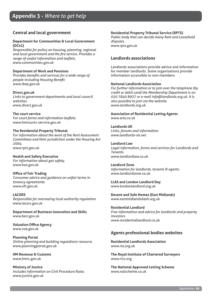#### **Central and local government**

#### **Department for Communities & Local Government (DCLG)**

*Responsible for policy on housing, planning, regional and local government and the fire service. Provides a range of useful information and leaflets.* www.communities.gov.uk

#### **Department of Work and Pensions**

*Provides benefits and services for a wide range of people including Housing Benefit.* www.dwp.gov.uk

#### **Direct.gov.uk**

*Links to government departments and local council websites.* www.direct.gov.uk

**The court service**  *For court forms and information leaflets.* www.hmcourts-service.gov.uk

#### **The Residential Property Tribunal**

*For information about the work of the Rent Assessment Committees and their jurisdiction under the Housing Act 2004.* www.rpts.gov.uk

#### **Health and Safety Executive**

*For information about gas safety.* www.hse.gov.uk

#### **Office of Fair Trading**

*Consumer advice and guidance on unfair terms in tenancy agreements.* www.oft.gov.uk

#### **LACORS**

*Responsible for overseeing local authority regulation.* www.lacors.gov.uk

**Department of Business Innovation and Skills** www.berr.gov.uk

**Valuation Office Agency** www.voa.gov.uk

**Planning Portal** *Online planning and building regulations resource.* www.planningportal.gov.uk

**HM Revenue & Customs** www.hmrc.gov.uk

**Ministry of Justice** *Includes information on Civil Procedure Rules.*  www.justice.gov.uk

#### **Residential Property Tribunal Service (RPTS)**

*Public body that can decide many Rent and Leasehold disputes.* www.rpts.gov.uk

#### **Landlords associations**

Landlords associations provide advice and information for member landlords. Some organisations provide information accessible to non-members.

#### **National Landlords Association**

*For further information or to join over the telephone (by credit or debit card) the Membership Department is on 020 7840 8937 or e-mail info@landlords.org.uk. It is also possible to join via the website.* www.landlords.org.uk

#### **Association of Residential Letting Agents** www.arla.co.uk

**Landlords UK** *Links, forums and information.* www.landlords-uk.net

#### **Landlord Law**

*Legal information, forms and services for Landlords and Tenants.* www.landlordlaw.co.uk

#### **Landlord Zone**

*Information for landlords, tenants & agents.* www.landlordzone.co.uk

**LLAS and London Landlord Day**  www.londonlandlord.org.uk

**Decent and Safe Homes (East Midlands)** www.eastmidlandsdash.org.uk

**Residential Landlord** *Free information and advice for landlords and property investors* www.residentiallandlord.co.uk

#### **Agents professional bodies websites**

**Residential Landlords Association**  www.rla.org.uk

**The Royal Institute of Chartered Surveyors** www.rics.org

**The National Approved Letting Scheme** www.nalscheme.co.uk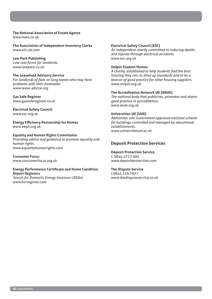**The National Association of Estate Agents** www.naea.co.uk

**The Association of Independent Inventory Clerks** www.aiic.uk.com

**Law Pack Publishing**  *Low cost forms for landlords.* www.lawpack.co.uk

#### **The Leasehold Advisory Service**

*For landlords of flats on long leases who may have problems with their freeholder.* www.lease-advice.org

**Gas Safe Register** www.gassaferegister.co.uk

**Electrical Safety Council** www.esc.org.uk

**Energy Efficiency Partnership for Homes** www.eeph.org.uk

**Equality and Human Rights Commission** *Providing advice and guidance to promote equality and human rights.* www.equalityhumanrights.com

**Consumer Focus** www.consumerfocus.org.uk

**Energy Performance Certificate and Home Condition Report Registers** *Search for Domestic Energy Assessors (DEAs)*. www.hcrregister.com

#### **Electrical Safety Council (ESC)**

*An independent charity committed to reducing deaths and injuries through electrical accidents.* www.esc.org.uk

#### **Unipol Student Homes**

*A charity, established to help students find the best housing they can, to drive up standards and to be a beacon of good practice for other housing suppliers.* www.unipol.org.uk

#### **The Accreditation Network UK (ANUK)**

*The national body that publicises, promotes and shares good practice in accreditation.* www.anuk.org.uk

#### **Universities UK (UUK)**

*Administer one Government approved national scheme for buildings controlled and managed by educational establishments.*  www.universitiesuk.ac.uk

#### **Deposit Protection Services**

**Deposit Protection Service** t: 0844 4727 000 www.depositprotection.com

#### **The Dispute Service**

t:0845 226 7837 www.thedisputeservice.co.uk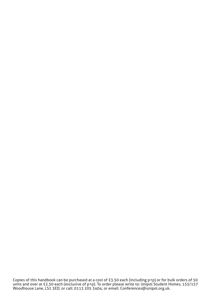Copies of this handbook can be purchased at a cost of £3.50 each (including p+p) or for bulk orders of 50 units and over at £2.50 each (exclusive of p+p). To order please write to: Unipol Student Homes, 155/157 Woodhouse Lane, LS2 3ED; or call: 0113 205 3404; or email: Conferences@unipol.org.uk.